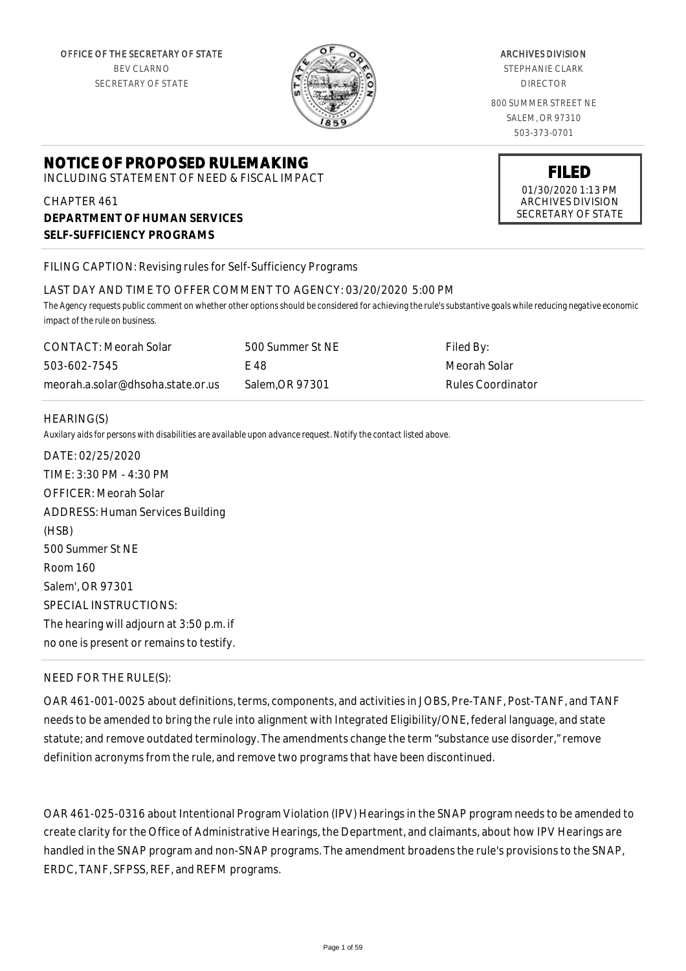

#### ARCHIVES DIVISION

STEPHANIE CLARK DIRECTOR

800 SUMMER STREET NE SALEM, OR 97310 503-373-0701

# **NOTICE OF PROPOSED RULEMAKING**

INCLUDING STATEMENT OF NEED & FISCAL IMPACT

CHAPTER 461 **DEPARTMENT OF HUMAN SERVICES SELF-SUFFICIENCY PROGRAMS**

FILING CAPTION: Revising rules for Self-Sufficiency Programs

#### LAST DAY AND TIME TO OFFER COMMENT TO AGENCY: 03/20/2020 5:00 PM

*The Agency requests public comment on whether other options should be considered for achieving the rule's substantive goals while reducing negative economic impact of the rule on business.*

| CONTACT: Meorah Solar             | 500 Summer St NE | Filed By:         |
|-----------------------------------|------------------|-------------------|
| 503-602-7545                      | E 48             | Meorah Solar      |
| meorah.a.solar@dhsoha.state.or.us | Salem.OR 97301   | Rules Coordinator |

#### HEARING(S)

*Auxilary aids for persons with disabilities are available upon advance request. Notify the contact listed above.*

DATE: 02/25/2020 TIME: 3:30 PM - 4:30 PM OFFICER: Meorah Solar ADDRESS: Human Services Building (HSB) 500 Summer St NE Room 160 Salem', OR 97301 SPECIAL INSTRUCTIONS: The hearing will adjourn at 3:50 p.m. if no one is present or remains to testify.

#### NEED FOR THE RULE(S):

OAR 461-001-0025 about definitions, terms, components, and activities in JOBS, Pre-TANF, Post-TANF, and TANF needs to be amended to bring the rule into alignment with Integrated Eligibility/ONE, federal language, and state statute; and remove outdated terminology. The amendments change the term "substance use disorder," remove definition acronyms from the rule, and remove two programs that have been discontinued.

OAR 461-025-0316 about Intentional Program Violation (IPV) Hearings in the SNAP program needs to be amended to create clarity for the Office of Administrative Hearings, the Department, and claimants, about how IPV Hearings are handled in the SNAP program and non-SNAP programs. The amendment broadens the rule's provisions to the SNAP, ERDC, TANF, SFPSS, REF, and REFM programs.

**FILED**

01/30/2020 1:13 PM ARCHIVES DIVISION SECRETARY OF STATE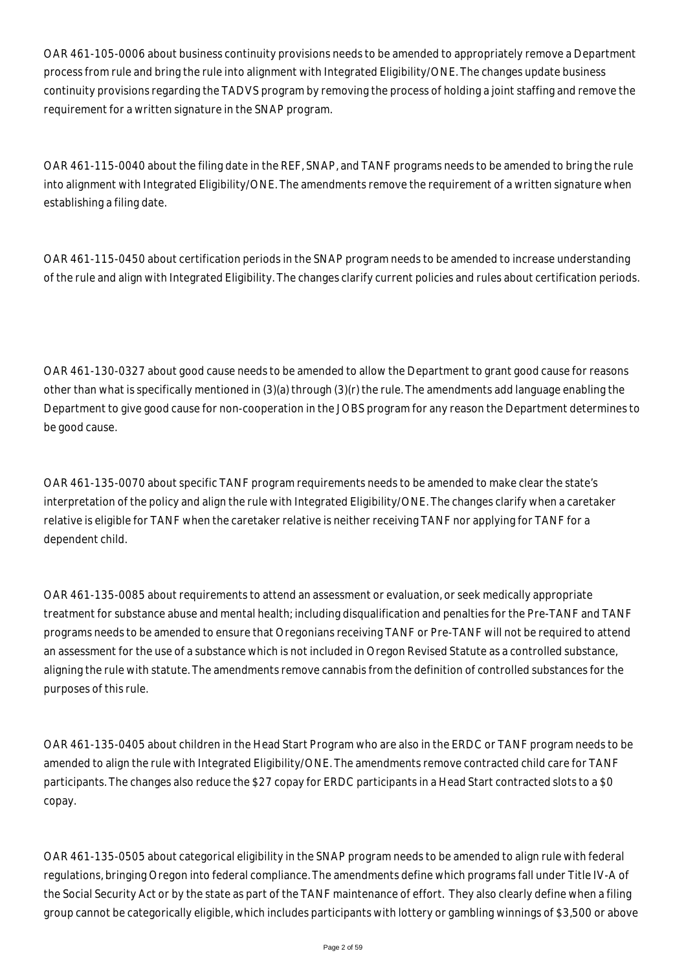OAR 461-105-0006 about business continuity provisions needs to be amended to appropriately remove a Department process from rule and bring the rule into alignment with Integrated Eligibility/ONE. The changes update business continuity provisions regarding the TADVS program by removing the process of holding a joint staffing and remove the requirement for a written signature in the SNAP program.

OAR 461-115-0040 about the filing date in the REF, SNAP, and TANF programs needs to be amended to bring the rule into alignment with Integrated Eligibility/ONE. The amendments remove the requirement of a written signature when establishing a filing date.

OAR 461-115-0450 about certification periods in the SNAP program needs to be amended to increase understanding of the rule and align with Integrated Eligibility. The changes clarify current policies and rules about certification periods.

OAR 461-130-0327 about good cause needs to be amended to allow the Department to grant good cause for reasons other than what is specifically mentioned in (3)(a) through (3)(r) the rule. The amendments add language enabling the Department to give good cause for non-cooperation in the JOBS program for any reason the Department determines to be good cause.

OAR 461-135-0070 about specific TANF program requirements needs to be amended to make clear the state's interpretation of the policy and align the rule with Integrated Eligibility/ONE. The changes clarify when a caretaker relative is eligible for TANF when the caretaker relative is neither receiving TANF nor applying for TANF for a dependent child.

OAR 461-135-0085 about requirements to attend an assessment or evaluation, or seek medically appropriate treatment for substance abuse and mental health; including disqualification and penalties for the Pre-TANF and TANF programs needs to be amended to ensure that Oregonians receiving TANF or Pre-TANF will not be required to attend an assessment for the use of a substance which is not included in Oregon Revised Statute as a controlled substance, aligning the rule with statute. The amendments remove cannabis from the definition of controlled substances for the purposes of this rule.

OAR 461-135-0405 about children in the Head Start Program who are also in the ERDC or TANF program needs to be amended to align the rule with Integrated Eligibility/ONE. The amendments remove contracted child care for TANF participants. The changes also reduce the \$27 copay for ERDC participants in a Head Start contracted slots to a \$0 copay.

OAR 461-135-0505 about categorical eligibility in the SNAP program needs to be amended to align rule with federal regulations, bringing Oregon into federal compliance. The amendments define which programs fall under Title IV-A of the Social Security Act or by the state as part of the TANF maintenance of effort. They also clearly define when a filing group cannot be categorically eligible, which includes participants with lottery or gambling winnings of \$3,500 or above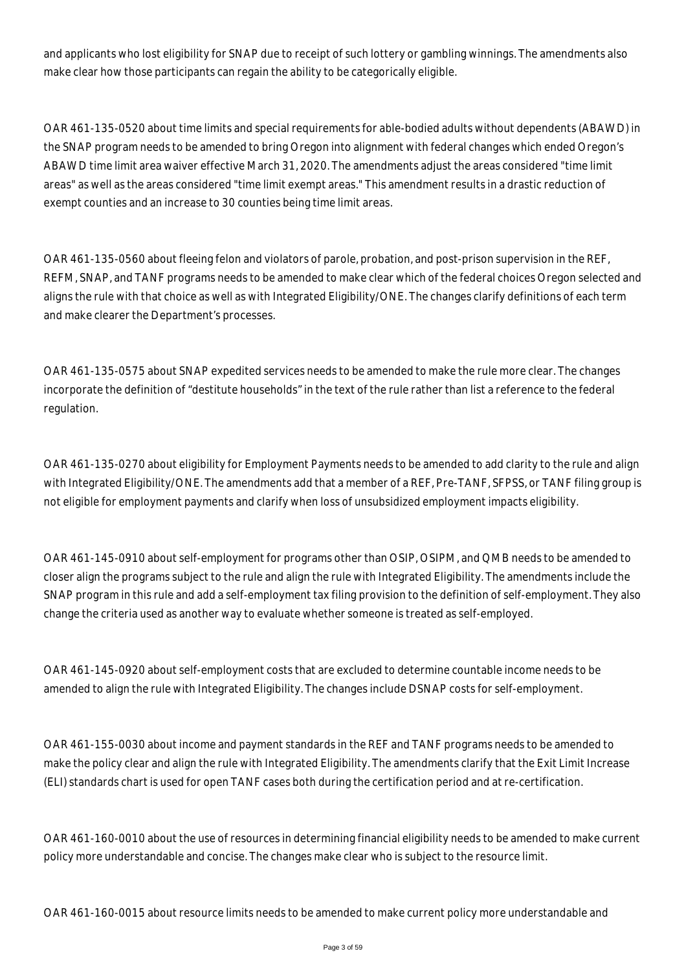and applicants who lost eligibility for SNAP due to receipt of such lottery or gambling winnings. The amendments also make clear how those participants can regain the ability to be categorically eligible.

OAR 461-135-0520 about time limits and special requirements for able-bodied adults without dependents (ABAWD) in the SNAP program needs to be amended to bring Oregon into alignment with federal changes which ended Oregon's ABAWD time limit area waiver effective March 31, 2020. The amendments adjust the areas considered "time limit areas" as well as the areas considered "time limit exempt areas." This amendment results in a drastic reduction of exempt counties and an increase to 30 counties being time limit areas.

OAR 461-135-0560 about fleeing felon and violators of parole, probation, and post-prison supervision in the REF, REFM, SNAP, and TANF programs needs to be amended to make clear which of the federal choices Oregon selected and aligns the rule with that choice as well as with Integrated Eligibility/ONE. The changes clarify definitions of each term and make clearer the Department's processes.

OAR 461-135-0575 about SNAP expedited services needs to be amended to make the rule more clear. The changes incorporate the definition of "destitute households" in the text of the rule rather than list a reference to the federal regulation.

OAR 461-135-0270 about eligibility for Employment Payments needs to be amended to add clarity to the rule and align with Integrated Eligibility/ONE. The amendments add that a member of a REF, Pre-TANF, SFPSS, or TANF filing group is not eligible for employment payments and clarify when loss of unsubsidized employment impacts eligibility.

OAR 461-145-0910 about self-employment for programs other than OSIP, OSIPM, and QMB needs to be amended to closer align the programs subject to the rule and align the rule with Integrated Eligibility. The amendments include the SNAP program in this rule and add a self-employment tax filing provision to the definition of self-employment. They also change the criteria used as another way to evaluate whether someone is treated as self-employed.

OAR 461-145-0920 about self-employment costs that are excluded to determine countable income needs to be amended to align the rule with Integrated Eligibility. The changes include DSNAP costs for self-employment.

OAR 461-155-0030 about income and payment standards in the REF and TANF programs needs to be amended to make the policy clear and align the rule with Integrated Eligibility. The amendments clarify that the Exit Limit Increase (ELI) standards chart is used for open TANF cases both during the certification period and at re-certification.

OAR 461-160-0010 about the use of resources in determining financial eligibility needs to be amended to make current policy more understandable and concise. The changes make clear who is subject to the resource limit.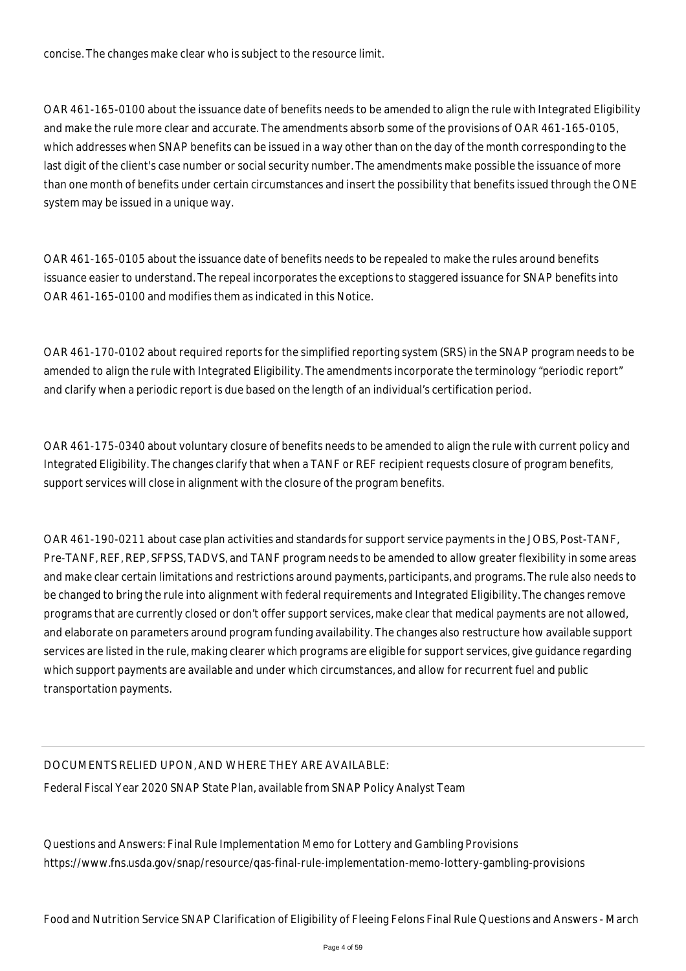concise. The changes make clear who is subject to the resource limit.

OAR 461-165-0100 about the issuance date of benefits needs to be amended to align the rule with Integrated Eligibility and make the rule more clear and accurate. The amendments absorb some of the provisions of OAR 461-165-0105, which addresses when SNAP benefits can be issued in a way other than on the day of the month corresponding to the last digit of the client's case number or social security number. The amendments make possible the issuance of more than one month of benefits under certain circumstances and insert the possibility that benefits issued through the ONE system may be issued in a unique way.

OAR 461-165-0105 about the issuance date of benefits needs to be repealed to make the rules around benefits issuance easier to understand. The repeal incorporates the exceptions to staggered issuance for SNAP benefits into OAR 461-165-0100 and modifies them as indicated in this Notice.

OAR 461-170-0102 about required reports for the simplified reporting system (SRS) in the SNAP program needs to be amended to align the rule with Integrated Eligibility. The amendments incorporate the terminology "periodic report" and clarify when a periodic report is due based on the length of an individual's certification period.

OAR 461-175-0340 about voluntary closure of benefits needs to be amended to align the rule with current policy and Integrated Eligibility. The changes clarify that when a TANF or REF recipient requests closure of program benefits, support services will close in alignment with the closure of the program benefits.

OAR 461-190-0211 about case plan activities and standards for support service payments in the JOBS, Post-TANF, Pre-TANF, REF, REP, SFPSS, TADVS, and TANF program needs to be amended to allow greater flexibility in some areas and make clear certain limitations and restrictions around payments, participants, and programs. The rule also needs to be changed to bring the rule into alignment with federal requirements and Integrated Eligibility. The changes remove programs that are currently closed or don't offer support services, make clear that medical payments are not allowed, and elaborate on parameters around program funding availability. The changes also restructure how available support services are listed in the rule, making clearer which programs are eligible for support services, give guidance regarding which support payments are available and under which circumstances, and allow for recurrent fuel and public transportation payments.

## DOCUMENTS RELIED UPON, AND WHERE THEY ARE AVAILABLE:

Federal Fiscal Year 2020 SNAP State Plan, available from SNAP Policy Analyst Team

Questions and Answers: Final Rule Implementation Memo for Lottery and Gambling Provisions https://www.fns.usda.gov/snap/resource/qas-final-rule-implementation-memo-lottery-gambling-provisions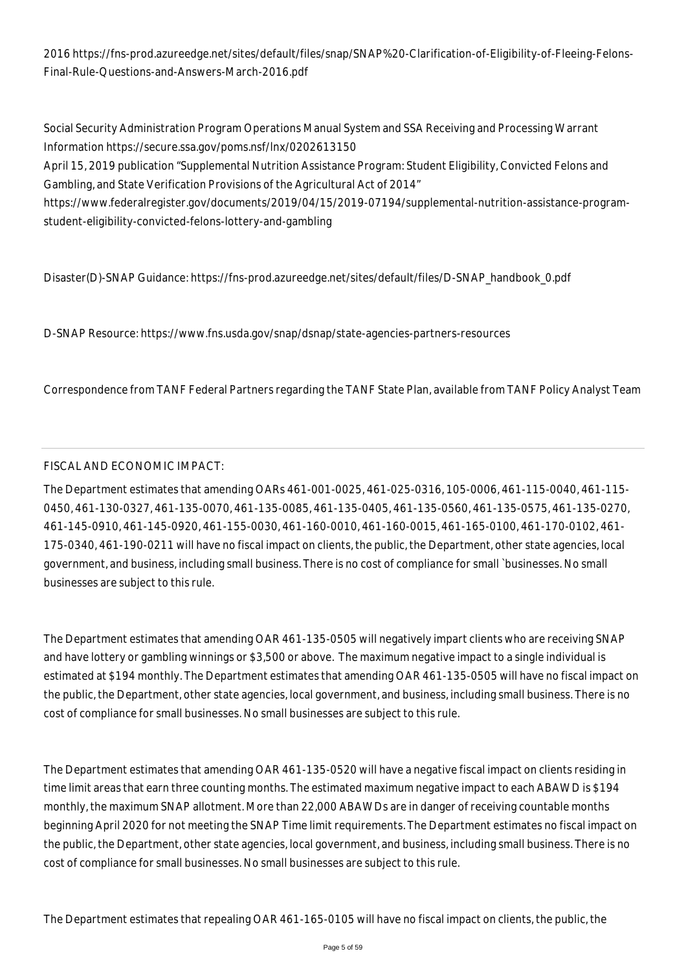2016 https://fns-prod.azureedge.net/sites/default/files/snap/SNAP%20-Clarification-of-Eligibility-of-Fleeing-Felons-Final-Rule-Questions-and-Answers-March-2016.pdf

Social Security Administration Program Operations Manual System and SSA Receiving and Processing Warrant Information https://secure.ssa.gov/poms.nsf/lnx/0202613150

April 15, 2019 publication "Supplemental Nutrition Assistance Program: Student Eligibility, Convicted Felons and Gambling, and State Verification Provisions of the Agricultural Act of 2014"

https://www.federalregister.gov/documents/2019/04/15/2019-07194/supplemental-nutrition-assistance-programstudent-eligibility-convicted-felons-lottery-and-gambling

Disaster(D)-SNAP Guidance: https://fns-prod.azureedge.net/sites/default/files/D-SNAP\_handbook\_0.pdf

D-SNAP Resource: https://www.fns.usda.gov/snap/dsnap/state-agencies-partners-resources

Correspondence from TANF Federal Partners regarding the TANF State Plan, available from TANF Policy Analyst Team

#### FISCAL AND ECONOMIC IMPACT:

The Department estimates that amending OARs 461-001-0025, 461-025-0316, 105-0006, 461-115-0040, 461-115- 0450, 461-130-0327, 461-135-0070, 461-135-0085, 461-135-0405, 461-135-0560, 461-135-0575, 461-135-0270, 461-145-0910, 461-145-0920, 461-155-0030, 461-160-0010, 461-160-0015, 461-165-0100, 461-170-0102, 461- 175-0340, 461-190-0211 will have no fiscal impact on clients, the public, the Department, other state agencies, local government, and business, including small business. There is no cost of compliance for small `businesses. No small businesses are subject to this rule.

The Department estimates that amending OAR 461-135-0505 will negatively impart clients who are receiving SNAP and have lottery or gambling winnings or \$3,500 or above. The maximum negative impact to a single individual is estimated at \$194 monthly. The Department estimates that amending OAR 461-135-0505 will have no fiscal impact on the public, the Department, other state agencies, local government, and business, including small business. There is no cost of compliance for small businesses. No small businesses are subject to this rule.

The Department estimates that amending OAR 461-135-0520 will have a negative fiscal impact on clients residing in time limit areas that earn three counting months. The estimated maximum negative impact to each ABAWD is \$194 monthly, the maximum SNAP allotment. More than 22,000 ABAWDs are in danger of receiving countable months beginning April 2020 for not meeting the SNAP Time limit requirements. The Department estimates no fiscal impact on the public, the Department, other state agencies, local government, and business, including small business. There is no cost of compliance for small businesses. No small businesses are subject to this rule.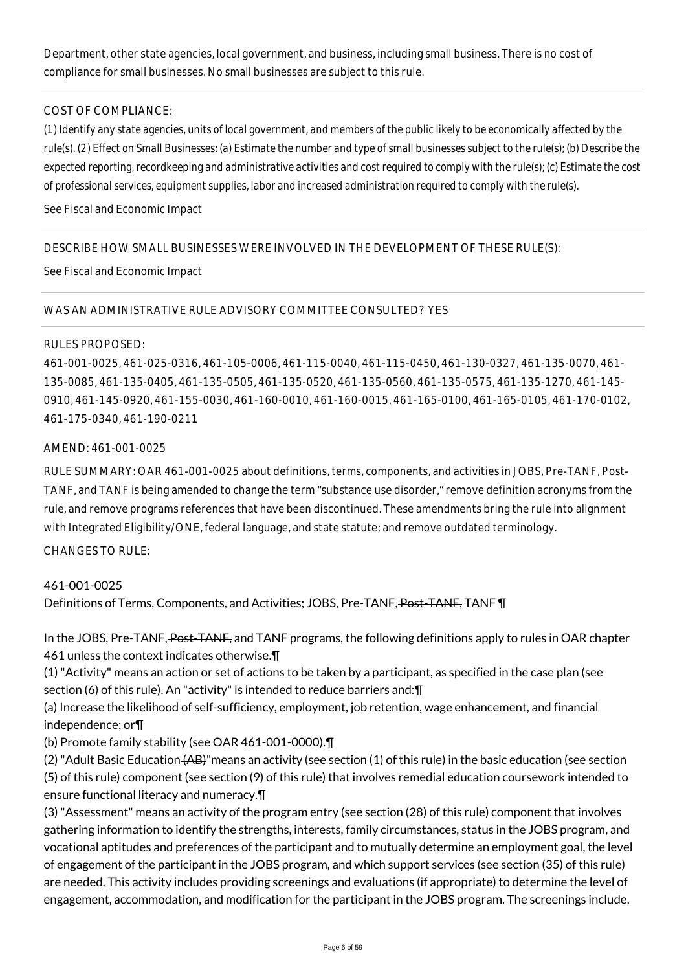Department, other state agencies, local government, and business, including small business. There is no cost of compliance for small businesses. No small businesses are subject to this rule.

#### COST OF COMPLIANCE:

*(1) Identify any state agencies, units of local government, and members of the public likely to be economically affected by the rule(s). (2) Effect on Small Businesses: (a) Estimate the number and type of small businesses subject to the rule(s); (b) Describe the expected reporting, recordkeeping and administrative activities and cost required to comply with the rule(s); (c) Estimate the cost of professional services, equipment supplies, labor and increased administration required to comply with the rule(s).*

#### See Fiscal and Economic Impact

### DESCRIBE HOW SMALL BUSINESSES WERE INVOLVED IN THE DEVELOPMENT OF THESE RULE(S):

See Fiscal and Economic Impact

#### WAS AN ADMINISTRATIVE RULE ADVISORY COMMITTEE CONSULTED? YES

#### RULES PROPOSED:

461-001-0025, 461-025-0316, 461-105-0006, 461-115-0040, 461-115-0450, 461-130-0327, 461-135-0070, 461- 135-0085, 461-135-0405, 461-135-0505, 461-135-0520, 461-135-0560, 461-135-0575, 461-135-1270, 461-145- 0910, 461-145-0920, 461-155-0030, 461-160-0010, 461-160-0015, 461-165-0100, 461-165-0105, 461-170-0102, 461-175-0340, 461-190-0211

#### AMEND: 461-001-0025

RULE SUMMARY: OAR 461-001-0025 about definitions, terms, components, and activities in JOBS, Pre-TANF, Post-TANF, and TANF is being amended to change the term "substance use disorder," remove definition acronyms from the rule, and remove programs references that have been discontinued. These amendments bring the rule into alignment with Integrated Eligibility/ONE, federal language, and state statute; and remove outdated terminology.

### $CHANGFS TO RIIF$

### 461-001-0025

Definitions of Terms, Components, and Activities; JOBS, Pre-TANF, Post-TANF, TANF \[

In the JOBS, Pre-TANF, Post-TANF, and TANF programs, the following definitions apply to rules in OAR chapter 461 unless the context indicates otherwise.¶

(1) "Activity" means an action or set of actions to be taken by a participant, as specified in the case plan (see section (6) of this rule). An "activity" is intended to reduce barriers and:¶

(a) Increase the likelihood of self-sufficiency, employment, job retention, wage enhancement, and financial independence; or¶

(b) Promote family stability (see OAR 461-001-0000).¶

(2) "Adult Basic Education (AB)"means an activity (see section (1) of this rule) in the basic education (see section (5) of this rule) component (see section (9) of this rule) that involves remedial education coursework intended to ensure functional literacy and numeracy.¶

(3) "Assessment" means an activity of the program entry (see section (28) of this rule) component that involves gathering information to identify the strengths, interests, family circumstances, status in the JOBS program, and vocational aptitudes and preferences of the participant and to mutually determine an employment goal, the level of engagement of the participant in the JOBS program, and which support services (see section (35) of this rule) are needed. This activity includes providing screenings and evaluations (if appropriate) to determine the level of engagement, accommodation, and modification for the participant in the JOBS program. The screenings include,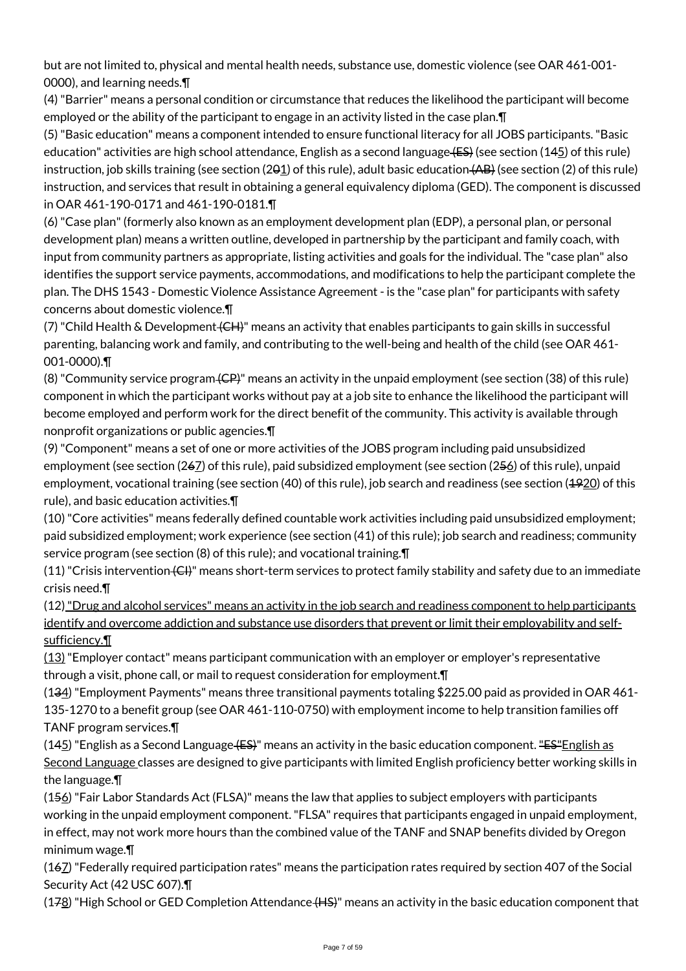but are not limited to, physical and mental health needs, substance use, domestic violence (see OAR 461-001- 0000), and learning needs.¶

(4) "Barrier" means a personal condition or circumstance that reduces the likelihood the participant will become employed or the ability of the participant to engage in an activity listed in the case plan.¶

(5) "Basic education" means a component intended to ensure functional literacy for all JOBS participants. "Basic education" activities are high school attendance, English as a second language  $(ES)$  (see section (145) of this rule) instruction, job skills training (see section (201) of this rule), adult basic education (AB) (see section (2) of this rule) instruction, and services that result in obtaining a general equivalency diploma (GED). The component is discussed in OAR 461-190-0171 and 461-190-0181.¶

(6) "Case plan" (formerly also known as an employment development plan (EDP), a personal plan, or personal development plan) means a written outline, developed in partnership by the participant and family coach, with input from community partners as appropriate, listing activities and goals for the individual. The "case plan" also identifies the support service payments, accommodations, and modifications to help the participant complete the plan. The DHS 1543 - Domestic Violence Assistance Agreement - is the "case plan" for participants with safety concerns about domestic violence.¶

(7) "Child Health & Development (CH)" means an activity that enables participants to gain skills in successful parenting, balancing work and family, and contributing to the well-being and health of the child (see OAR 461- 001-0000).¶

(8) "Community service program (CP)" means an activity in the unpaid employment (see section (38) of this rule) component in which the participant works without pay at a job site to enhance the likelihood the participant will become employed and perform work for the direct benefit of the community. This activity is available through nonprofit organizations or public agencies.¶

(9) "Component" means a set of one or more activities of the JOBS program including paid unsubsidized employment (see section (267) of this rule), paid subsidized employment (see section (256) of this rule), unpaid employment, vocational training (see section (40) of this rule), job search and readiness (see section (1920) of this rule), and basic education activities.¶

(10) "Core activities" means federally defined countable work activities including paid unsubsidized employment; paid subsidized employment; work experience (see section (41) of this rule); job search and readiness; community service program (see section (8) of this rule); and vocational training.¶

 $(11)$  "Crisis intervention  $\langle$ CH)" means short-term services to protect family stability and safety due to an immediate crisis need.¶

(12) "Drug and alcohol services" means an activity in the job search and readiness component to help participants identify and overcome addiction and substance use disorders that prevent or limit their employability and selfsufficiency.¶

 $(13)$  "Employer contact" means participant communication with an employer or employer's representative through a visit, phone call, or mail to request consideration for employment.¶

(134) "Employment Payments" means three transitional payments totaling \$225.00 paid as provided in OAR 461- 135-1270 to a benefit group (see OAR 461-110-0750) with employment income to help transition families off TANF program services.¶

 $(145)$  "English as a Second Language (ES)" means an activity in the basic education component. "ES" English as Second Language classes are designed to give participants with limited English proficiency better working skills in the language.¶

(156) "Fair Labor Standards Act (FLSA)" means the law that applies to subject employers with participants working in the unpaid employment component. "FLSA" requires that participants engaged in unpaid employment, in effect, may not work more hours than the combined value of the TANF and SNAP benefits divided by Oregon minimum wage.¶

(167) "Federally required participation rates" means the participation rates required by section 407 of the Social Security Act (42 USC 607).¶

(178) "High School or GED Completion Attendance (HS)" means an activity in the basic education component that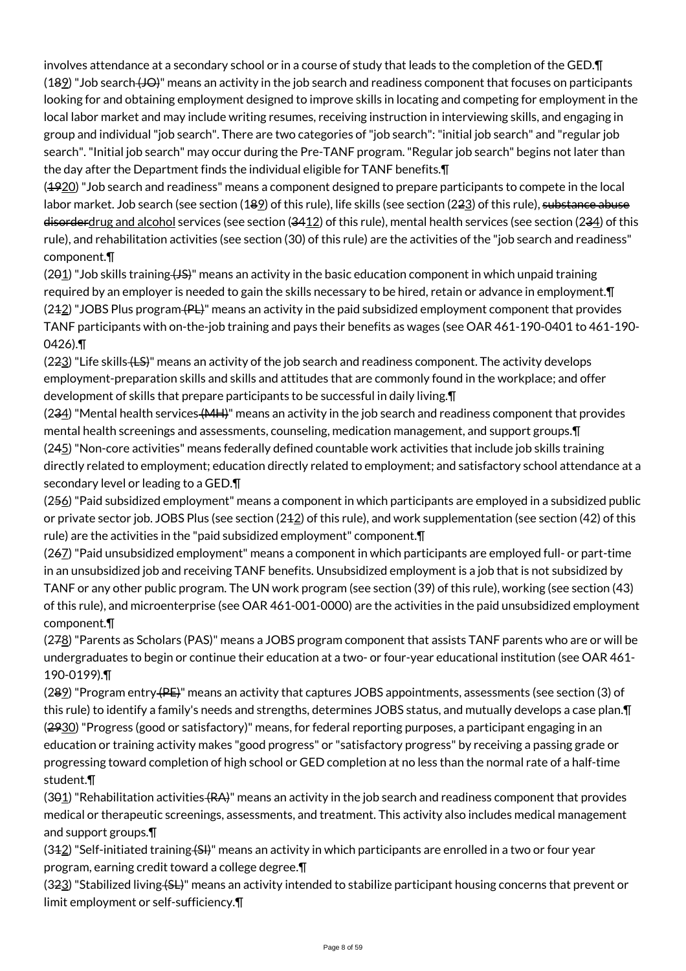involves attendance at a secondary school or in a course of study that leads to the completion of the GED.¶ (189) "Job search (JO)" means an activity in the job search and readiness component that focuses on participants looking for and obtaining employment designed to improve skills in locating and competing for employment in the local labor market and may include writing resumes, receiving instruction in interviewing skills, and engaging in group and individual "job search". There are two categories of "job search": "initial job search" and "regular job search". "Initial job search" may occur during the Pre-TANF program. "Regular job search" begins not later than the day after the Department finds the individual eligible for TANF benefits.¶

(1920) "Job search and readiness" means a component designed to prepare participants to compete in the local labor market. Job search (see section (189) of this rule), life skills (see section (223) of this rule), substance abuse  $d$ isorderdrug and alcohol services (see section (3412) of this rule), mental health services (see section (234) of this rule), and rehabilitation activities (see section (30) of this rule) are the activities of the "job search and readiness" component.¶

 $(291)$  "Job skills training  $(15)$ " means an activity in the basic education component in which unpaid training required by an employer is needed to gain the skills necessary to be hired, retain or advance in employment.¶  $(242)$  "JOBS Plus program  $(PL)$ " means an activity in the paid subsidized employment component that provides TANF participants with on-the-job training and pays their benefits as wages (see OAR 461-190-0401 to 461-190- 0426).¶

(223) "Life skills <del>(LS)</del>" means an activity of the job search and readiness component. The activity develops employment-preparation skills and skills and attitudes that are commonly found in the workplace; and offer development of skills that prepare participants to be successful in daily living.¶

(234) "Mental health services (MH)" means an activity in the job search and readiness component that provides mental health screenings and assessments, counseling, medication management, and support groups.¶ (245) "Non-core activities" means federally defined countable work activities that include job skills training directly related to employment; education directly related to employment; and satisfactory school attendance at a secondary level or leading to a GED.¶

(256) "Paid subsidized employment" means a component in which participants are employed in a subsidized public or private sector job. JOBS Plus (see section (212) of this rule), and work supplementation (see section (42) of this rule) are the activities in the "paid subsidized employment" component.¶

(267) "Paid unsubsidized employment" means a component in which participants are employed full- or part-time in an unsubsidized job and receiving TANF benefits. Unsubsidized employment is a job that is not subsidized by TANF or any other public program. The UN work program (see section (39) of this rule), working (see section (43) of this rule), and microenterprise (see OAR 461-001-0000) are the activities in the paid unsubsidized employment component.¶

 $(278)$  "Parents as Scholars (PAS)" means a JOBS program component that assists TANF parents who are or will be undergraduates to begin or continue their education at a two- or four-year educational institution (see OAR 461- 190-0199).¶

(289) "Program entry (PE)" means an activity that captures JOBS appointments, assessments (see section (3) of this rule) to identify a family's needs and strengths, determines JOBS status, and mutually develops a case plan.¶ (2930) "Progress (good or satisfactory)" means, for federal reporting purposes, a participant engaging in an education or training activity makes "good progress" or "satisfactory progress" by receiving a passing grade or progressing toward completion of high school or GED completion at no less than the normal rate of a half-time student.¶

 $(391)$  "Rehabilitation activities  $(RA)$ " means an activity in the job search and readiness component that provides medical or therapeutic screenings, assessments, and treatment. This activity also includes medical management and support groups.¶

 $(342)$  "Self-initiated training  $(54)$ " means an activity in which participants are enrolled in a two or four year program, earning credit toward a college degree.¶

(3<del>2</del>3) "Stabilized living <del>(SL)</del>" means an activity intended to stabilize participant housing concerns that prevent or limit employment or self-sufficiency.¶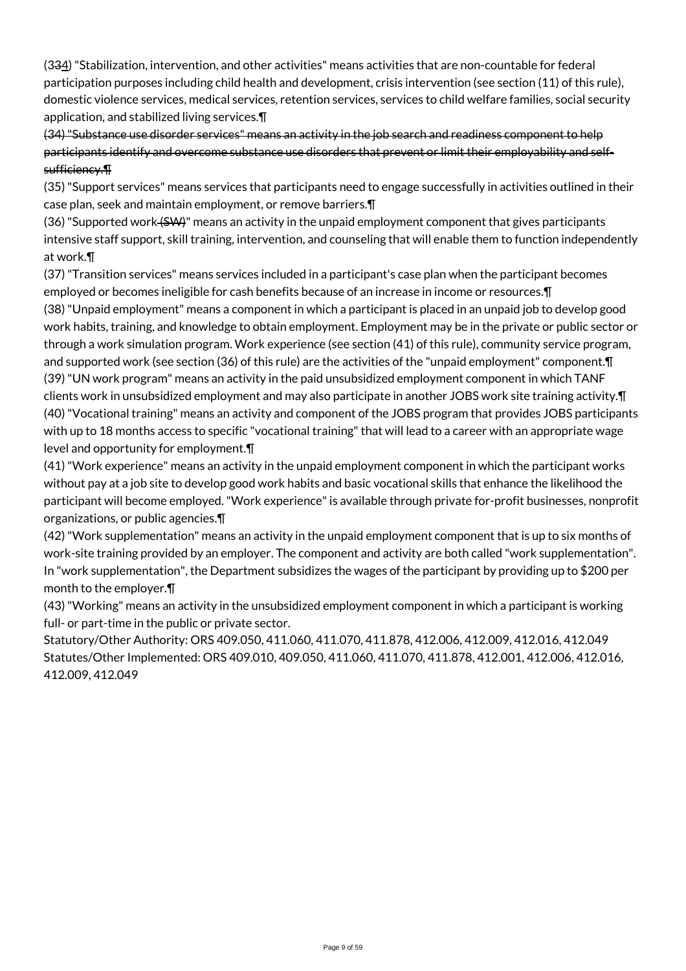(334) "Stabilization, intervention, and other activities" means activities that are non-countable for federal participation purposes including child health and development, crisis intervention (see section (11) of this rule), domestic violence services, medical services, retention services, services to child welfare families, social security application, and stabilized living services.¶

(34) "Substance use disorder services" means an activity in the job search and readiness component to help participants identify and overcome substance use disorders that prevent or limit their employability and selfsufficiency.¶

(35) "Support services" means services that participants need to engage successfully in activities outlined in their case plan, seek and maintain employment, or remove barriers.¶

(36) "Supported work (SW)" means an activity in the unpaid employment component that gives participants intensive staff support, skill training, intervention, and counseling that will enable them to function independently at work.¶

(37) "Transition services" means services included in a participant's case plan when the participant becomes employed or becomes ineligible for cash benefits because of an increase in income or resources.¶

(38) "Unpaid employment" means a component in which a participant is placed in an unpaid job to develop good work habits, training, and knowledge to obtain employment. Employment may be in the private or public sector or through a work simulation program. Work experience (see section (41) of this rule), community service program, and supported work (see section (36) of this rule) are the activities of the "unpaid employment" component.¶ (39) "UN work program" means an activity in the paid unsubsidized employment component in which TANF clients work in unsubsidized employment and may also participate in another JOBS work site training activity.¶ (40) "Vocational training" means an activity and component of the JOBS program that provides JOBS participants with up to 18 months access to specific "vocational training" that will lead to a career with an appropriate wage level and opportunity for employment.¶

(41) "Work experience" means an activity in the unpaid employment component in which the participant works without pay at a job site to develop good work habits and basic vocational skills that enhance the likelihood the participant will become employed. "Work experience" is available through private for-profit businesses, nonprofit organizations, or public agencies.¶

(42) "Work supplementation" means an activity in the unpaid employment component that is up to six months of work-site training provided by an employer. The component and activity are both called "work supplementation". In "work supplementation", the Department subsidizes the wages of the participant by providing up to \$200 per month to the employer.¶

(43) "Working" means an activity in the unsubsidized employment component in which a participant is working full- or part-time in the public or private sector.

Statutory/Other Authority: ORS 409.050, 411.060, 411.070, 411.878, 412.006, 412.009, 412.016, 412.049 Statutes/Other Implemented: ORS 409.010, 409.050, 411.060, 411.070, 411.878, 412.001, 412.006, 412.016, 412.009, 412.049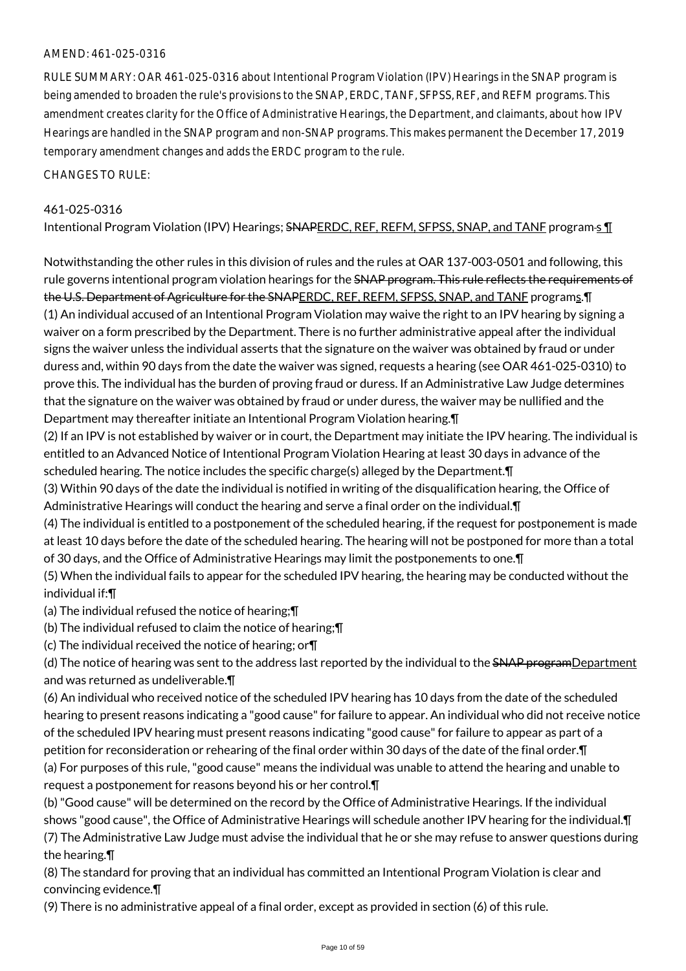### AMEND: 461-025-0316

RULE SUMMARY: OAR 461-025-0316 about Intentional Program Violation (IPV) Hearings in the SNAP program is being amended to broaden the rule's provisions to the SNAP, ERDC, TANF, SFPSS, REF, and REFM programs. This amendment creates clarity for the Office of Administrative Hearings, the Department, and claimants, about how IPV Hearings are handled in the SNAP program and non-SNAP programs. This makes permanent the December 17, 2019 temporary amendment changes and adds the ERDC program to the rule.

CHANGES TO RULE:

### 461-025-0316

Intentional Program Violation (IPV) Hearings; SNAPERDC, REF, REFM, SFPSS, SNAP, and TANF program-s 1

Notwithstanding the other rules in this division of rules and the rules at OAR 137-003-0501 and following, this rule governs intentional program violation hearings for the SNAP program. This rule reflects the requirements of the U.S. Department of Agriculture for the SNAPERDC, REF, REFM, SFPSS, SNAP, and TANF programs.¶ (1) An individual accused of an Intentional Program Violation may waive the right to an IPV hearing by signing a waiver on a form prescribed by the Department. There is no further administrative appeal after the individual signs the waiver unless the individual asserts that the signature on the waiver was obtained by fraud or under duress and, within 90 days from the date the waiver was signed, requests a hearing (see OAR 461-025-0310) to prove this. The individual has the burden of proving fraud or duress. If an Administrative Law Judge determines that the signature on the waiver was obtained by fraud or under duress, the waiver may be nullified and the Department may thereafter initiate an Intentional Program Violation hearing.¶

(2) If an IPV is not established by waiver or in court, the Department may initiate the IPV hearing. The individual is entitled to an Advanced Notice of Intentional Program Violation Hearing at least 30 days in advance of the scheduled hearing. The notice includes the specific charge(s) alleged by the Department.¶

(3) Within 90 days of the date the individual is notified in writing of the disqualification hearing, the Office of Administrative Hearings will conduct the hearing and serve a final order on the individual.¶

(4) The individual is entitled to a postponement of the scheduled hearing, if the request for postponement is made at least 10 days before the date of the scheduled hearing. The hearing will not be postponed for more than a total of 30 days, and the Office of Administrative Hearings may limit the postponements to one.¶

(5) When the individual fails to appear for the scheduled IPV hearing, the hearing may be conducted without the individual if:¶

(a) The individual refused the notice of hearing;¶

(b) The individual refused to claim the notice of hearing;¶

(c) The individual received the notice of hearing; or¶

(d) The notice of hearing was sent to the address last reported by the individual to the SNAP programDepartment and was returned as undeliverable.¶

(6) An individual who received notice of the scheduled IPV hearing has 10 days from the date of the scheduled hearing to present reasons indicating a "good cause" for failure to appear. An individual who did not receive notice of the scheduled IPV hearing must present reasons indicating "good cause" for failure to appear as part of a petition for reconsideration or rehearing of the final order within 30 days of the date of the final order.¶ (a) For purposes of this rule, "good cause" means the individual was unable to attend the hearing and unable to request a postponement for reasons beyond his or her control.¶

(b) "Good cause" will be determined on the record by the Office of Administrative Hearings. If the individual shows "good cause", the Office of Administrative Hearings will schedule another IPV hearing for the individual.¶ (7) The Administrative Law Judge must advise the individual that he or she may refuse to answer questions during the hearing.¶

(8) The standard for proving that an individual has committed an Intentional Program Violation is clear and convincing evidence.¶

(9) There is no administrative appeal of a final order, except as provided in section (6) of this rule.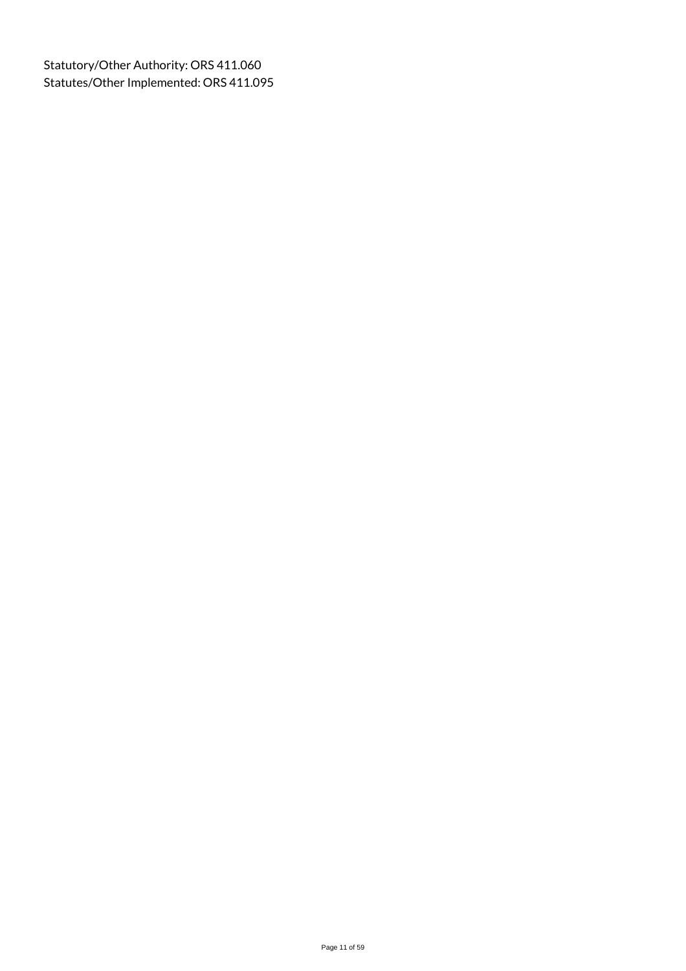Statutory/Other Authority: ORS 411.060 Statutes/Other Implemented: ORS 411.095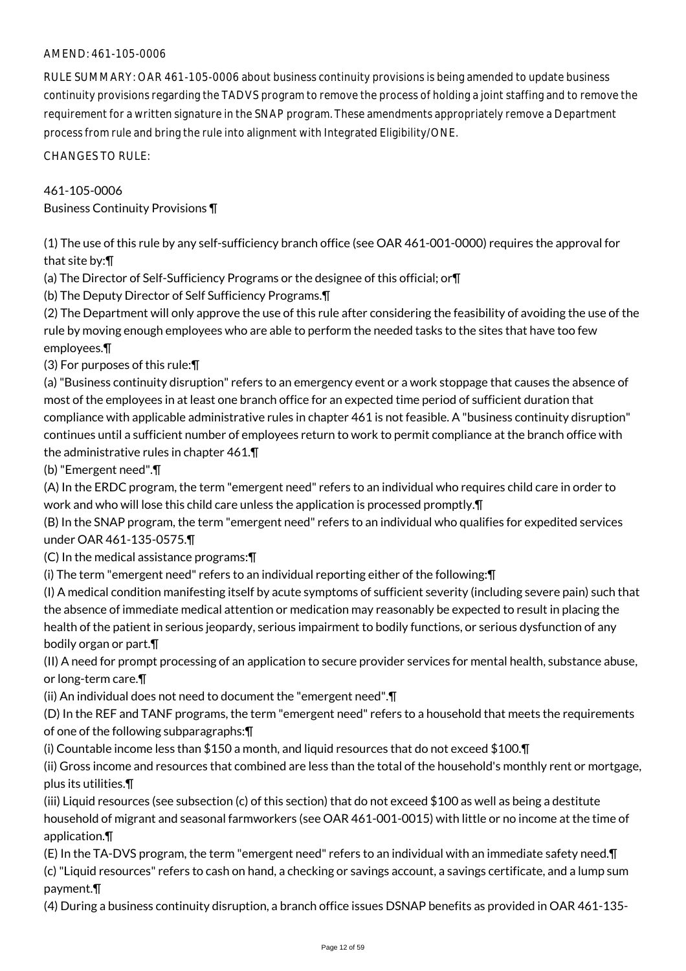## AMEND: 461-105-0006

RULE SUMMARY: OAR 461-105-0006 about business continuity provisions is being amended to update business continuity provisions regarding the TADVS program to remove the process of holding a joint staffing and to remove the requirement for a written signature in the SNAP program. These amendments appropriately remove a Department process from rule and bring the rule into alignment with Integrated Eligibility/ONE.

CHANGES TO RULE:

### 461-105-0006

Business Continuity Provisions ¶

(1) The use of this rule by any self-sufficiency branch office (see OAR 461-001-0000) requires the approval for that site by:¶

(a) The Director of Self-Sufficiency Programs or the designee of this official; or¶

(b) The Deputy Director of Self Sufficiency Programs.¶

(2) The Department will only approve the use of this rule after considering the feasibility of avoiding the use of the rule by moving enough employees who are able to perform the needed tasks to the sites that have too few employees.¶

(3) For purposes of this rule:¶

(a) "Business continuity disruption" refers to an emergency event or a work stoppage that causes the absence of most of the employees in at least one branch office for an expected time period of sufficient duration that compliance with applicable administrative rules in chapter 461 is not feasible. A "business continuity disruption" continues until a sufficient number of employees return to work to permit compliance at the branch office with the administrative rules in chapter 461.¶

(b) "Emergent need".¶

(A) In the ERDC program, the term "emergent need" refers to an individual who requires child care in order to work and who will lose this child care unless the application is processed promptly.¶

(B) In the SNAP program, the term "emergent need" refers to an individual who qualifies for expedited services under OAR 461-135-0575.¶

(C) In the medical assistance programs:¶

(i) The term "emergent need" refers to an individual reporting either of the following:¶

(I) A medical condition manifesting itself by acute symptoms of sufficient severity (including severe pain) such that the absence of immediate medical attention or medication may reasonably be expected to result in placing the health of the patient in serious jeopardy, serious impairment to bodily functions, or serious dysfunction of any bodily organ or part.¶

(II) A need for prompt processing of an application to secure provider services for mental health, substance abuse, or long-term care.¶

(ii) An individual does not need to document the "emergent need".¶

(D) In the REF and TANF programs, the term "emergent need" refers to a household that meets the requirements of one of the following subparagraphs:¶

(i) Countable income less than \$150 a month, and liquid resources that do not exceed \$100.¶

(ii) Gross income and resources that combined are less than the total of the household's monthly rent or mortgage, plus its utilities.¶

(iii) Liquid resources (see subsection (c) of this section) that do not exceed \$100 as well as being a destitute household of migrant and seasonal farmworkers (see OAR 461-001-0015) with little or no income at the time of application.¶

(E) In the TA-DVS program, the term "emergent need" refers to an individual with an immediate safety need.¶ (c) "Liquid resources" refers to cash on hand, a checking or savings account, a savings certificate, and a lump sum payment.¶

(4) During a business continuity disruption, a branch office issues DSNAP benefits as provided in OAR 461-135-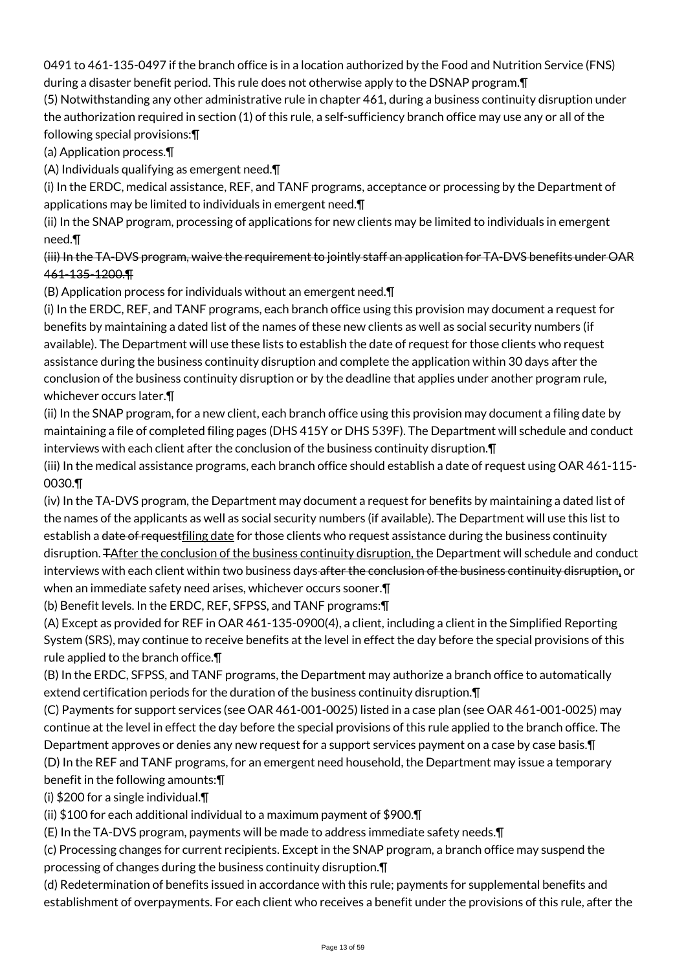0491 to 461-135-0497 if the branch office is in a location authorized by the Food and Nutrition Service (FNS) during a disaster benefit period. This rule does not otherwise apply to the DSNAP program.¶

(5) Notwithstanding any other administrative rule in chapter 461, during a business continuity disruption under the authorization required in section (1) of this rule, a self-sufficiency branch office may use any or all of the following special provisions:¶

(a) Application process.¶

(A) Individuals qualifying as emergent need.¶

(i) In the ERDC, medical assistance, REF, and TANF programs, acceptance or processing by the Department of applications may be limited to individuals in emergent need.¶

(ii) In the SNAP program, processing of applications for new clients may be limited to individuals in emergent need.¶

(iii) In the TA-DVS program, waive the requirement to jointly staff an application for TA-DVS benefits under OAR 461-135-1200.¶

(B) Application process for individuals without an emergent need.¶

(i) In the ERDC, REF, and TANF programs, each branch office using this provision may document a request for benefits by maintaining a dated list of the names of these new clients as well as social security numbers (if available). The Department will use these lists to establish the date of request for those clients who request assistance during the business continuity disruption and complete the application within 30 days after the conclusion of the business continuity disruption or by the deadline that applies under another program rule, whichever occurs later.¶

(ii) In the SNAP program, for a new client, each branch office using this provision may document a filing date by maintaining a file of completed filing pages (DHS 415Y or DHS 539F). The Department will schedule and conduct interviews with each client after the conclusion of the business continuity disruption.¶

(iii) In the medical assistance programs, each branch office should establish a date of request using OAR 461-115- 0030.¶

(iv) In the TA-DVS program, the Department may document a request for benefits by maintaining a dated list of the names of the applicants as well as social security numbers (if available). The Department will use this list to establish a date of requestfiling date for those clients who request assistance during the business continuity disruption. TAfter the conclusion of the business continuity disruption, the Department will schedule and conduct interviews with each client within two business days after the conclusion of the business continuity disruption, or when an immediate safety need arises, whichever occurs sooner.¶

(b) Benefit levels. In the ERDC, REF, SFPSS, and TANF programs:¶

(A) Except as provided for REF in OAR 461-135-0900(4), a client, including a client in the Simplified Reporting System (SRS), may continue to receive benefits at the level in effect the day before the special provisions of this rule applied to the branch office.¶

(B) In the ERDC, SFPSS, and TANF programs, the Department may authorize a branch office to automatically extend certification periods for the duration of the business continuity disruption.¶

(C) Payments for support services (see OAR 461-001-0025) listed in a case plan (see OAR 461-001-0025) may continue at the level in effect the day before the special provisions of this rule applied to the branch office. The Department approves or denies any new request for a support services payment on a case by case basis.¶ (D) In the REF and TANF programs, for an emergent need household, the Department may issue a temporary benefit in the following amounts:¶

(i) \$200 for a single individual.¶

(ii) \$100 for each additional individual to a maximum payment of \$900.¶

(E) In the TA-DVS program, payments will be made to address immediate safety needs.¶

(c) Processing changes for current recipients. Except in the SNAP program, a branch office may suspend the processing of changes during the business continuity disruption.¶

(d) Redetermination of benefits issued in accordance with this rule; payments for supplemental benefits and establishment of overpayments. For each client who receives a benefit under the provisions of this rule, after the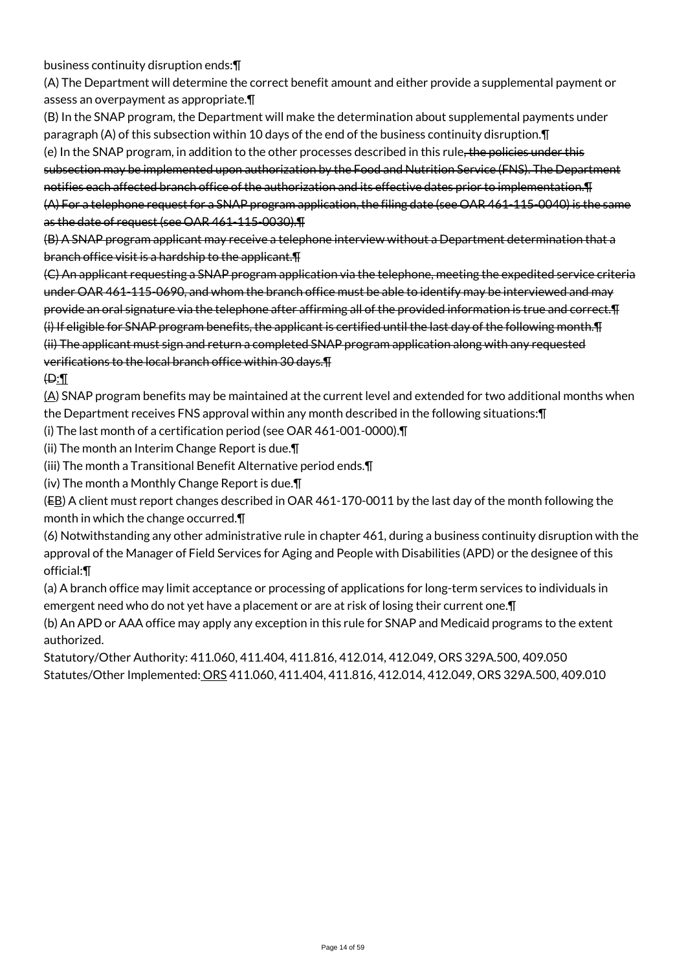business continuity disruption ends:¶

(A) The Department will determine the correct benefit amount and either provide a supplemental payment or assess an overpayment as appropriate.¶

(B) In the SNAP program, the Department will make the determination about supplemental payments under paragraph (A) of this subsection within 10 days of the end of the business continuity disruption.¶ (e) In the SNAP program, in addition to the other processes described in this rule, the policies under this subsection may be implemented upon authorization by the Food and Nutrition Service (FNS). The Department notifies each affected branch office of the authorization and its effective dates prior to implementation.¶ (A) For a telephone request for a SNAP program application, the filing date (see OAR 461-115-0040) is the same as the date of request (see OAR 461-115-0030).¶

(B) A SNAP program applicant may receive a telephone interview without a Department determination that a branch office visit is a hardship to the applicant.¶

(C) An applicant requesting a SNAP program application via the telephone, meeting the expedited service criteria under OAR 461-115-0690, and whom the branch office must be able to identify may be interviewed and may provide an oral signature via the telephone after affirming all of the provided information is true and correct.¶ (i) If eligible for SNAP program benefits, the applicant is certified until the last day of the following month.¶ (ii) The applicant must sign and return a completed SNAP program application along with any requested verifications to the local branch office within 30 days.¶

### $\oplus$ :

(A) SNAP program benefits may be maintained at the current level and extended for two additional months when the Department receives FNS approval within any month described in the following situations:¶

(i) The last month of a certification period (see OAR 461-001-0000).¶

(ii) The month an Interim Change Report is due.¶

(iii) The month a Transitional Benefit Alternative period ends.¶

(iv) The month a Monthly Change Report is due.¶

(EB) A client must report changes described in OAR 461-170-0011 by the last day of the month following the month in which the change occurred.¶

(6) Notwithstanding any other administrative rule in chapter 461, during a business continuity disruption with the approval of the Manager of Field Services for Aging and People with Disabilities (APD) or the designee of this official:¶

(a) A branch office may limit acceptance or processing of applications for long-term services to individuals in emergent need who do not yet have a placement or are at risk of losing their current one.¶

(b) An APD or AAA office may apply any exception in this rule for SNAP and Medicaid programs to the extent authorized.

Statutory/Other Authority: 411.060, 411.404, 411.816, 412.014, 412.049, ORS 329A.500, 409.050 Statutes/Other Implemented: ORS 411.060, 411.404, 411.816, 412.014, 412.049, ORS 329A.500, 409.010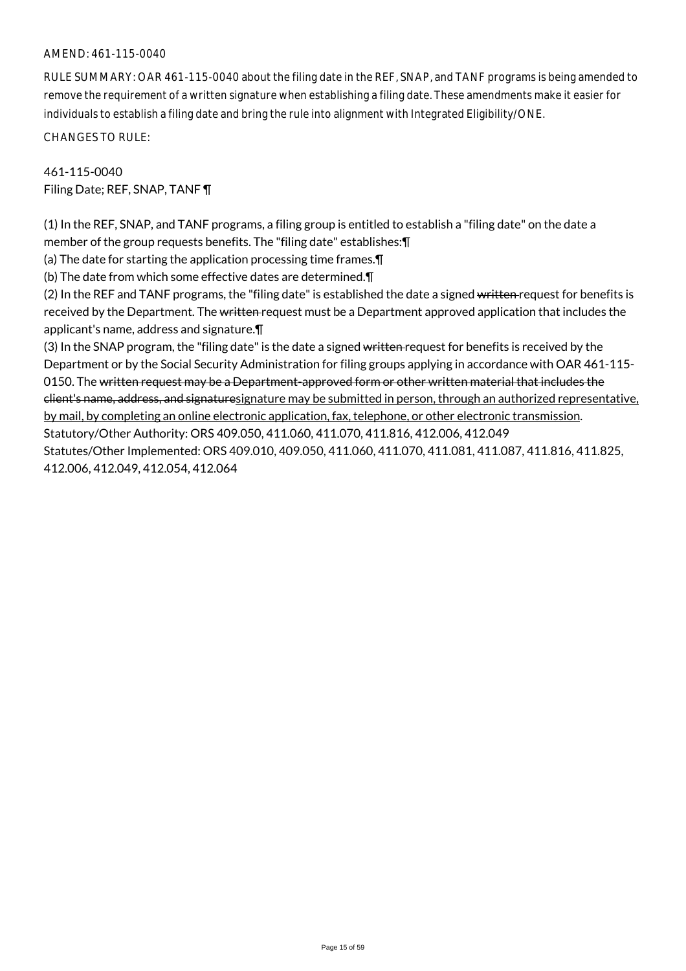#### AMEND: 461-115-0040

RULE SUMMARY: OAR 461-115-0040 about the filing date in the REF, SNAP, and TANF programs is being amended to remove the requirement of a written signature when establishing a filing date. These amendments make it easier for individuals to establish a filing date and bring the rule into alignment with Integrated Eligibility/ONE.

CHANGES TO RULE:

461-115-0040 Filing Date; REF, SNAP, TANF ¶

(1) In the REF, SNAP, and TANF programs, a filing group is entitled to establish a "filing date" on the date a member of the group requests benefits. The "filing date" establishes:¶

(a) The date for starting the application processing time frames.¶

(b) The date from which some effective dates are determined.¶

(2) In the REF and TANF programs, the "filing date" is established the date a signed written request for benefits is received by the Department. The written request must be a Department approved application that includes the applicant's name, address and signature.¶

(3) In the SNAP program, the "filing date" is the date a signed written request for benefits is received by the Department or by the Social Security Administration for filing groups applying in accordance with OAR 461-115- 0150. The written request may be a Department-approved form or other written material that includes the client's name, address, and signaturesignature may be submitted in person, through an authorized representative, by mail, by completing an online electronic application, fax, telephone, or other electronic transmission. Statutory/Other Authority: ORS 409.050, 411.060, 411.070, 411.816, 412.006, 412.049 Statutes/Other Implemented: ORS 409.010, 409.050, 411.060, 411.070, 411.081, 411.087, 411.816, 411.825, 412.006, 412.049, 412.054, 412.064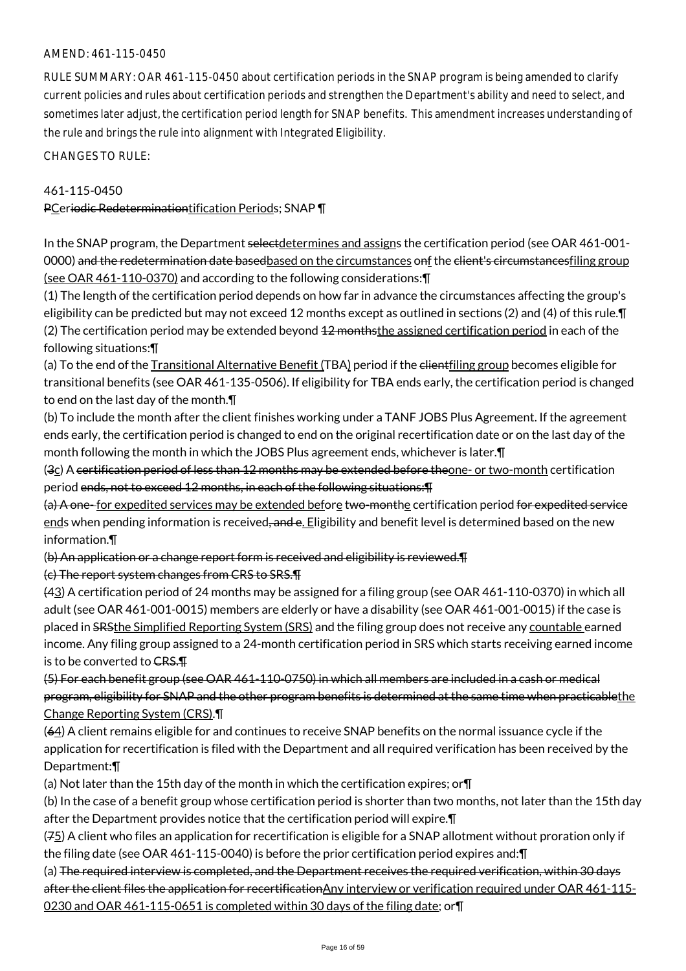### AMEND: 461-115-0450

RULE SUMMARY: OAR 461-115-0450 about certification periods in the SNAP program is being amended to clarify current policies and rules about certification periods and strengthen the Department's ability and need to select, and sometimes later adjust, the certification period length for SNAP benefits. This amendment increases understanding of the rule and brings the rule into alignment with Integrated Eligibility.

CHANGES TO RULE:

#### 461-115-0450

PCeriodic Redeterminationtification Periods; SNAP ¶

In the SNAP program, the Department selectdetermines and assigns the certification period (see OAR 461-001-0000) and the redetermination date basedbased on the circumstances onf the elient's circumstancesfiling group (see OAR 461-110-0370) and according to the following considerations:¶

(1) The length of the certification period depends on how far in advance the circumstances affecting the group's eligibility can be predicted but may not exceed 12 months except as outlined in sections (2) and (4) of this rule.¶ (2) The certification period may be extended beyond 42 monthsthe assigned certification period in each of the following situations:¶

(a) To the end of the Transitional Alternative Benefit (TBA) period if the clientfiling group becomes eligible for transitional benefits (see OAR 461-135-0506). If eligibility for TBA ends early, the certification period is changed to end on the last day of the month.¶

(b) To include the month after the client finishes working under a TANF JOBS Plus Agreement. If the agreement ends early, the certification period is changed to end on the original recertification date or on the last day of the month following the month in which the JOBS Plus agreement ends, whichever is later.¶

(3c) A certification period of less than 12 months may be extended before theone- or two-month certification period ends, not to exceed 12 months, in each of the following situations:¶

(a) A one-for expedited services may be extended before two-monthe certification period for expedited service ends when pending information is received, and e. Eligibility and benefit level is determined based on the new information.¶

(b) An application or a change report form is received and eligibility is reviewed.¶

(c) The report system changes from CRS to SRS.¶

(43) A certification period of 24 months may be assigned for a filing group (see OAR 461-110-0370) in which all adult (see OAR 461-001-0015) members are elderly or have a disability (see OAR 461-001-0015) if the case is placed in SRSthe Simplified Reporting System (SRS) and the filing group does not receive any countable earned income. Any filing group assigned to a 24-month certification period in SRS which starts receiving earned income is to be converted to CRS.

(5) For each benefit group (see OAR 461-110-0750) in which all members are included in a cash or medical program, eligibility for SNAP and the other program benefits is determined at the same time when practicablethe Change Reporting System (CRS).¶

(64) A client remains eligible for and continues to receive SNAP benefits on the normal issuance cycle if the application for recertification is filed with the Department and all required verification has been received by the Department:¶

(a) Not later than the 15th day of the month in which the certification expires; or¶

(b) In the case of a benefit group whose certification period is shorter than two months, not later than the 15th day after the Department provides notice that the certification period will expire.¶

(75) A client who files an application for recertification is eligible for a SNAP allotment without proration only if the filing date (see OAR 461-115-0040) is before the prior certification period expires and:¶

(a) The required interview is completed, and the Department receives the required verification, within 30 days after the client files the application for recertificationAny interview or verification required under OAR 461-115-0230 and OAR 461-115-0651 is completed within 30 days of the filing date; or¶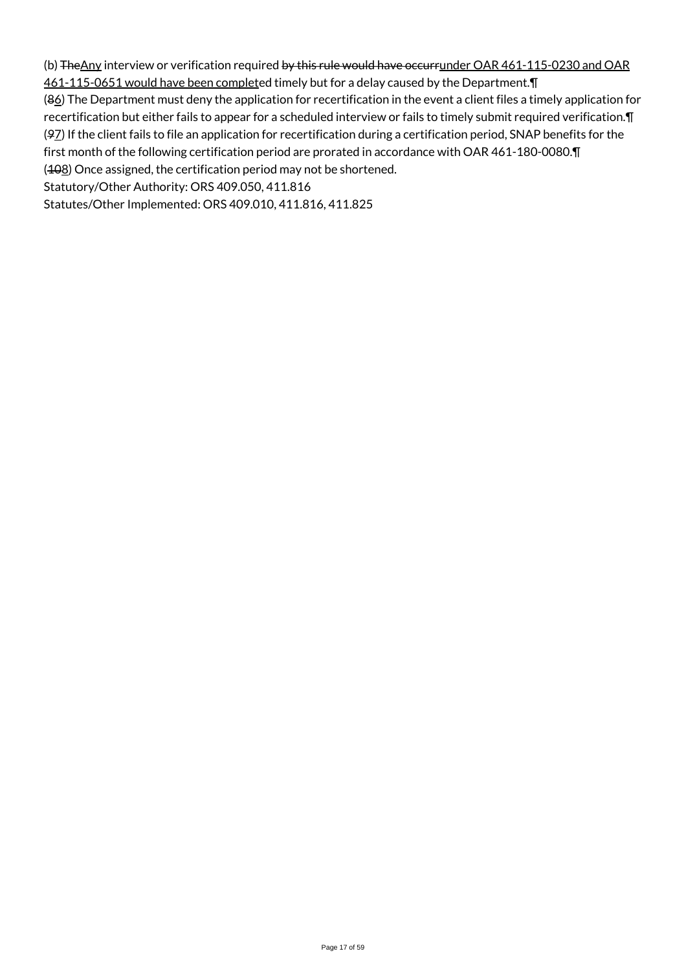(b) The Any interview or verification required by this rule would have occurrunder OAR 461-115-0230 and OAR 461-115-0651 would have been completed timely but for a delay caused by the Department.¶ (86) The Department must deny the application for recertification in the event a client files a timely application for recertification but either fails to appear for a scheduled interview or fails to timely submit required verification.¶ (97) If the client fails to file an application for recertification during a certification period, SNAP benefits for the first month of the following certification period are prorated in accordance with OAR 461-180-0080.¶ (408) Once assigned, the certification period may not be shortened. Statutory/Other Authority: ORS 409.050, 411.816 Statutes/Other Implemented: ORS 409.010, 411.816, 411.825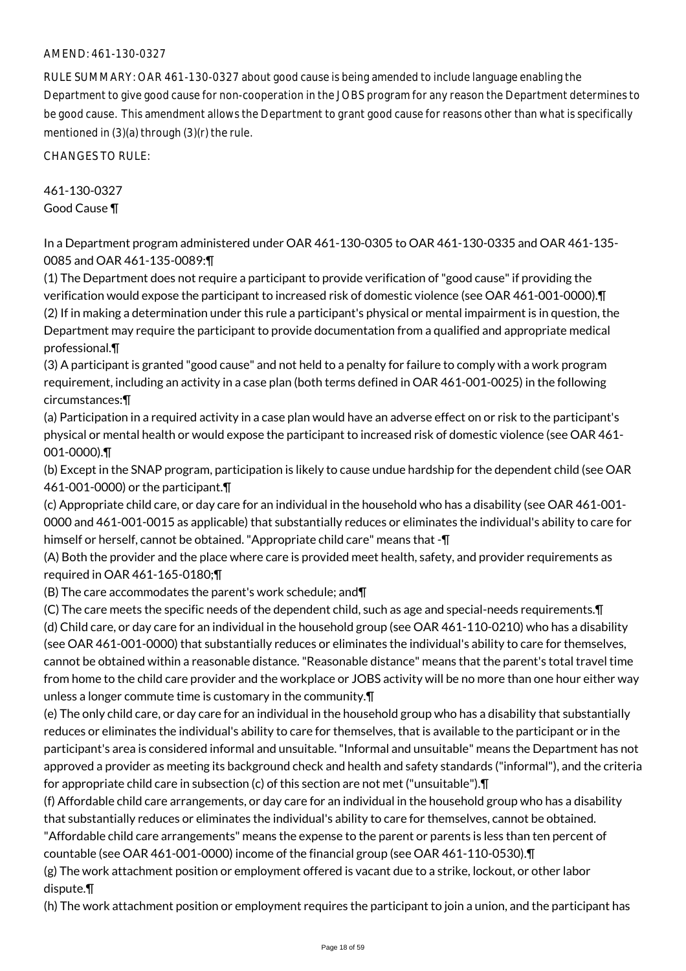#### AMEND: 461-130-0327

RULE SUMMARY: OAR 461-130-0327 about good cause is being amended to include language enabling the Department to give good cause for non-cooperation in the JOBS program for any reason the Department determines to be good cause. This amendment allows the Department to grant good cause for reasons other than what is specifically mentioned in (3)(a) through (3)(r) the rule.

CHANGES TO RULE:

461-130-0327 Good Cause ¶

In a Department program administered under OAR 461-130-0305 to OAR 461-130-0335 and OAR 461-135- 0085 and OAR 461-135-0089:¶

(1) The Department does not require a participant to provide verification of "good cause" if providing the verification would expose the participant to increased risk of domestic violence (see OAR 461-001-0000).¶ (2) If in making a determination under this rule a participant's physical or mental impairment is in question, the Department may require the participant to provide documentation from a qualified and appropriate medical professional.¶

(3) A participant is granted "good cause" and not held to a penalty for failure to comply with a work program requirement, including an activity in a case plan (both terms defined in OAR 461-001-0025) in the following circumstances:¶

(a) Participation in a required activity in a case plan would have an adverse effect on or risk to the participant's physical or mental health or would expose the participant to increased risk of domestic violence (see OAR 461- 001-0000).¶

(b) Except in the SNAP program, participation is likely to cause undue hardship for the dependent child (see OAR 461-001-0000) or the participant.¶

(c) Appropriate child care, or day care for an individual in the household who has a disability (see OAR 461-001- 0000 and 461-001-0015 as applicable) that substantially reduces or eliminates the individual's ability to care for himself or herself, cannot be obtained. "Appropriate child care" means that -¶

(A) Both the provider and the place where care is provided meet health, safety, and provider requirements as required in OAR 461-165-0180;¶

(B) The care accommodates the parent's work schedule; and¶

(C) The care meets the specific needs of the dependent child, such as age and special-needs requirements.¶ (d) Child care, or day care for an individual in the household group (see OAR 461-110-0210) who has a disability (see OAR 461-001-0000) that substantially reduces or eliminates the individual's ability to care for themselves, cannot be obtained within a reasonable distance. "Reasonable distance" means that the parent's total travel time from home to the child care provider and the workplace or JOBS activity will be no more than one hour either way unless a longer commute time is customary in the community.¶

(e) The only child care, or day care for an individual in the household group who has a disability that substantially reduces or eliminates the individual's ability to care for themselves, that is available to the participant or in the participant's area is considered informal and unsuitable. "Informal and unsuitable" means the Department has not approved a provider as meeting its background check and health and safety standards ("informal"), and the criteria for appropriate child care in subsection (c) of this section are not met ("unsuitable").¶

(f) Affordable child care arrangements, or day care for an individual in the household group who has a disability that substantially reduces or eliminates the individual's ability to care for themselves, cannot be obtained.

"Affordable child care arrangements" means the expense to the parent or parents is less than ten percent of countable (see OAR 461-001-0000) income of the financial group (see OAR 461-110-0530).¶

(g) The work attachment position or employment offered is vacant due to a strike, lockout, or other labor dispute.¶

(h) The work attachment position or employment requires the participant to join a union, and the participant has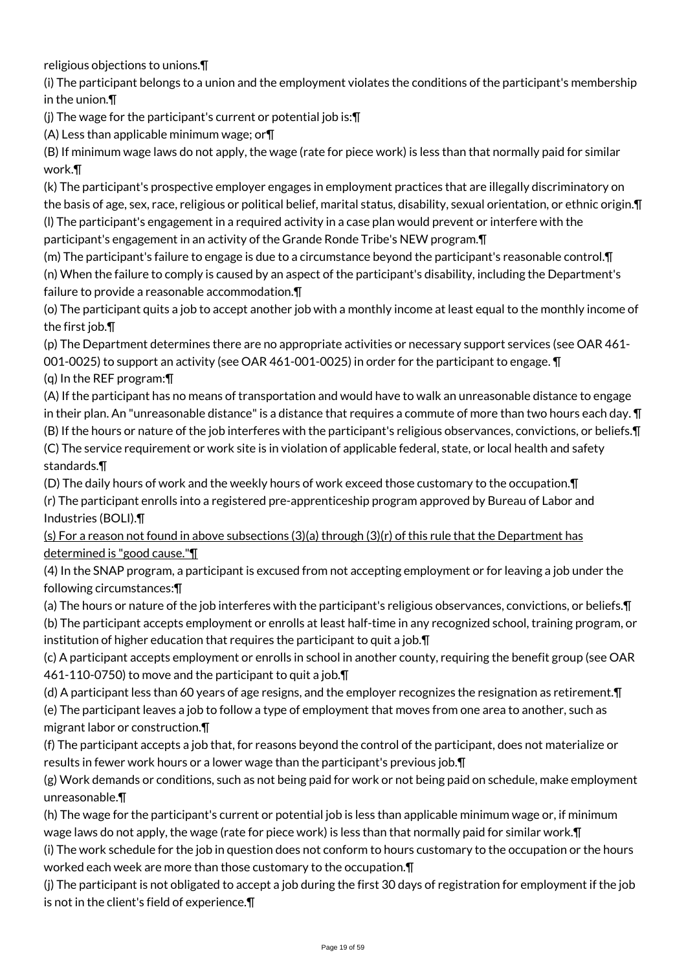religious objections to unions.¶

(i) The participant belongs to a union and the employment violates the conditions of the participant's membership in the union.¶

(j) The wage for the participant's current or potential job is:¶

(A) Less than applicable minimum wage; or¶

(B) If minimum wage laws do not apply, the wage (rate for piece work) is less than that normally paid for similar work.¶

(k) The participant's prospective employer engages in employment practices that are illegally discriminatory on the basis of age, sex, race, religious or political belief, marital status, disability, sexual orientation, or ethnic origin.¶ (l) The participant's engagement in a required activity in a case plan would prevent or interfere with the

participant's engagement in an activity of the Grande Ronde Tribe's NEW program.¶

(m) The participant's failure to engage is due to a circumstance beyond the participant's reasonable control.¶ (n) When the failure to comply is caused by an aspect of the participant's disability, including the Department's failure to provide a reasonable accommodation.¶

(o) The participant quits a job to accept another job with a monthly income at least equal to the monthly income of the first job.¶

(p) The Department determines there are no appropriate activities or necessary support services (see OAR 461- 001-0025) to support an activity (see OAR 461-001-0025) in order for the participant to engage. ¶

(q) In the REF program:¶

(A) If the participant has no means of transportation and would have to walk an unreasonable distance to engage in their plan. An "unreasonable distance" is a distance that requires a commute of more than two hours each day.  $\P$ (B) If the hours or nature of the job interferes with the participant's religious observances, convictions, or beliefs.¶ (C) The service requirement or work site is in violation of applicable federal, state, or local health and safety standards.¶

(D) The daily hours of work and the weekly hours of work exceed those customary to the occupation.¶

(r) The participant enrolls into a registered pre-apprenticeship program approved by Bureau of Labor and Industries (BOLI).¶

(s) For a reason not found in above subsections  $(3)(a)$  through  $(3)(r)$  of this rule that the Department has determined is "good cause."¶

(4) In the SNAP program, a participant is excused from not accepting employment or for leaving a job under the following circumstances:¶

(a) The hours or nature of the job interferes with the participant's religious observances, convictions, or beliefs.¶ (b) The participant accepts employment or enrolls at least half-time in any recognized school, training program, or institution of higher education that requires the participant to quit a job.¶

(c) A participant accepts employment or enrolls in school in another county, requiring the benefit group (see OAR 461-110-0750) to move and the participant to quit a job.¶

(d) A participant less than 60 years of age resigns, and the employer recognizes the resignation as retirement.¶ (e) The participant leaves a job to follow a type of employment that moves from one area to another, such as migrant labor or construction.¶

(f) The participant accepts a job that, for reasons beyond the control of the participant, does not materialize or results in fewer work hours or a lower wage than the participant's previous job.¶

(g) Work demands or conditions, such as not being paid for work or not being paid on schedule, make employment unreasonable.¶

(h) The wage for the participant's current or potential job is less than applicable minimum wage or, if minimum wage laws do not apply, the wage (rate for piece work) is less than that normally paid for similar work.¶

(i) The work schedule for the job in question does not conform to hours customary to the occupation or the hours worked each week are more than those customary to the occupation.¶

(j) The participant is not obligated to accept a job during the first 30 days of registration for employment if the job is not in the client's field of experience.¶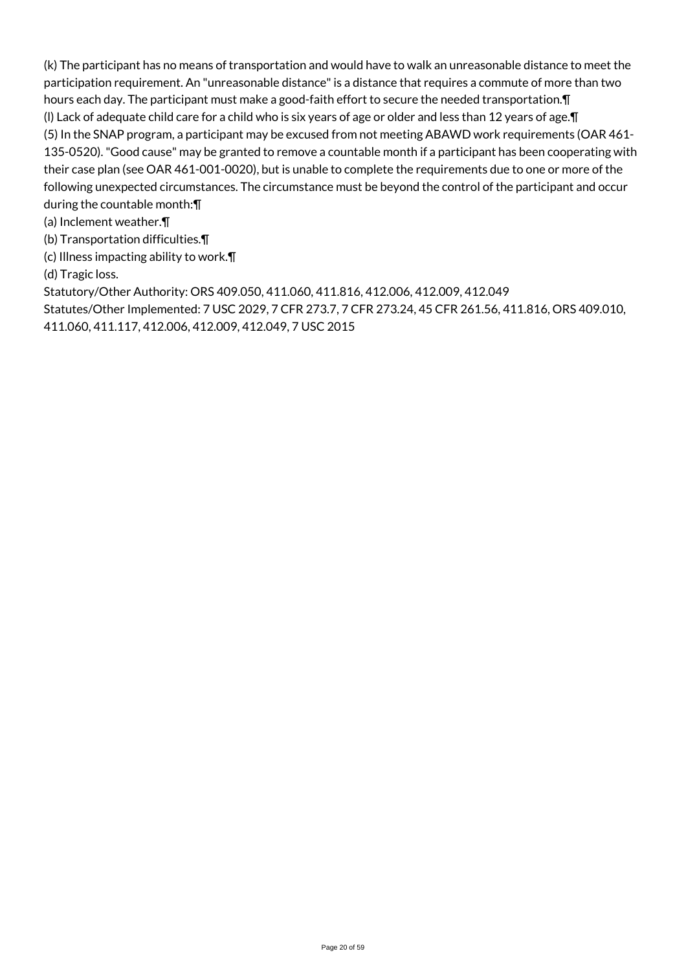(k) The participant has no means of transportation and would have to walk an unreasonable distance to meet the participation requirement. An "unreasonable distance" is a distance that requires a commute of more than two hours each day. The participant must make a good-faith effort to secure the needed transportation.¶ (l) Lack of adequate child care for a child who is six years of age or older and less than 12 years of age.¶ (5) In the SNAP program, a participant may be excused from not meeting ABAWD work requirements (OAR 461- 135-0520). "Good cause" may be granted to remove a countable month if a participant has been cooperating with their case plan (see OAR 461-001-0020), but is unable to complete the requirements due to one or more of the following unexpected circumstances. The circumstance must be beyond the control of the participant and occur during the countable month:¶

(a) Inclement weather.¶

(b) Transportation difficulties.¶

(c) Illness impacting ability to work.¶

(d) Tragic loss.

Statutory/Other Authority: ORS 409.050, 411.060, 411.816, 412.006, 412.009, 412.049

Statutes/Other Implemented: 7 USC 2029, 7 CFR 273.7, 7 CFR 273.24, 45 CFR 261.56, 411.816, ORS 409.010, 411.060, 411.117, 412.006, 412.009, 412.049, 7 USC 2015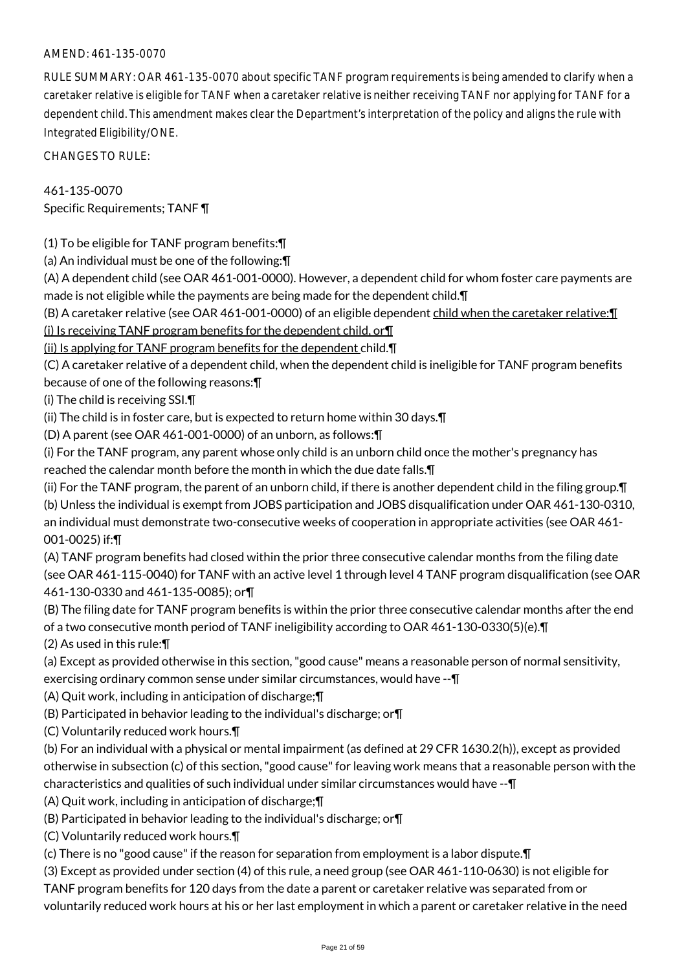### AMEND: 461-135-0070

RULE SUMMARY: OAR 461-135-0070 about specific TANF program requirements is being amended to clarify when a caretaker relative is eligible for TANF when a caretaker relative is neither receiving TANF nor applying for TANF for a dependent child. This amendment makes clear the Department's interpretation of the policy and aligns the rule with Integrated Eligibility/ONE.

CHANGES TO RULE:

461-135-0070 Specific Requirements; TANF ¶

(1) To be eligible for TANF program benefits:¶

(a) An individual must be one of the following:¶

(A) A dependent child (see OAR 461-001-0000). However, a dependent child for whom foster care payments are made is not eligible while the payments are being made for the dependent child.¶

(B) A caretaker relative (see OAR 461-001-0000) of an eligible dependent child when the caretaker relative:¶

(i) Is receiving TANF program benefits for the dependent child, or¶

(ii) Is applying for TANF program benefits for the dependent child.¶

(C) A caretaker relative of a dependent child, when the dependent child is ineligible for TANF program benefits

because of one of the following reasons:¶

(i) The child is receiving SSI.¶

(ii) The child is in foster care, but is expected to return home within 30 days.¶

(D) A parent (see OAR 461-001-0000) of an unborn, as follows:¶

(i) For the TANF program, any parent whose only child is an unborn child once the mother's pregnancy has reached the calendar month before the month in which the due date falls.¶

(ii) For the TANF program, the parent of an unborn child, if there is another dependent child in the filing group.¶ (b) Unless the individual is exempt from JOBS participation and JOBS disqualification under OAR 461-130-0310, an individual must demonstrate two-consecutive weeks of cooperation in appropriate activities (see OAR 461- 001-0025) if:¶

(A) TANF program benefits had closed within the prior three consecutive calendar months from the filing date (see OAR 461-115-0040) for TANF with an active level 1 through level 4 TANF program disqualification (see OAR 461-130-0330 and 461-135-0085); or¶

(B) The filing date for TANF program benefits is within the prior three consecutive calendar months after the end of a two consecutive month period of TANF ineligibility according to OAR 461-130-0330(5)(e).¶

(2) As used in this rule:¶

(a) Except as provided otherwise in this section, "good cause" means a reasonable person of normal sensitivity, exercising ordinary common sense under similar circumstances, would have --¶

(A) Quit work, including in anticipation of discharge;¶

(B) Participated in behavior leading to the individual's discharge; or¶

(C) Voluntarily reduced work hours.¶

(b) For an individual with a physical or mental impairment (as defined at 29 CFR 1630.2(h)), except as provided otherwise in subsection (c) of this section, "good cause" for leaving work means that a reasonable person with the characteristics and qualities of such individual under similar circumstances would have --¶

(A) Quit work, including in anticipation of discharge;¶

- (B) Participated in behavior leading to the individual's discharge; or¶
- (C) Voluntarily reduced work hours.¶

(c) There is no "good cause" if the reason for separation from employment is a labor dispute.¶

(3) Except as provided under section (4) of this rule, a need group (see OAR 461-110-0630) is not eligible for

TANF program benefits for 120 days from the date a parent or caretaker relative was separated from or voluntarily reduced work hours at his or her last employment in which a parent or caretaker relative in the need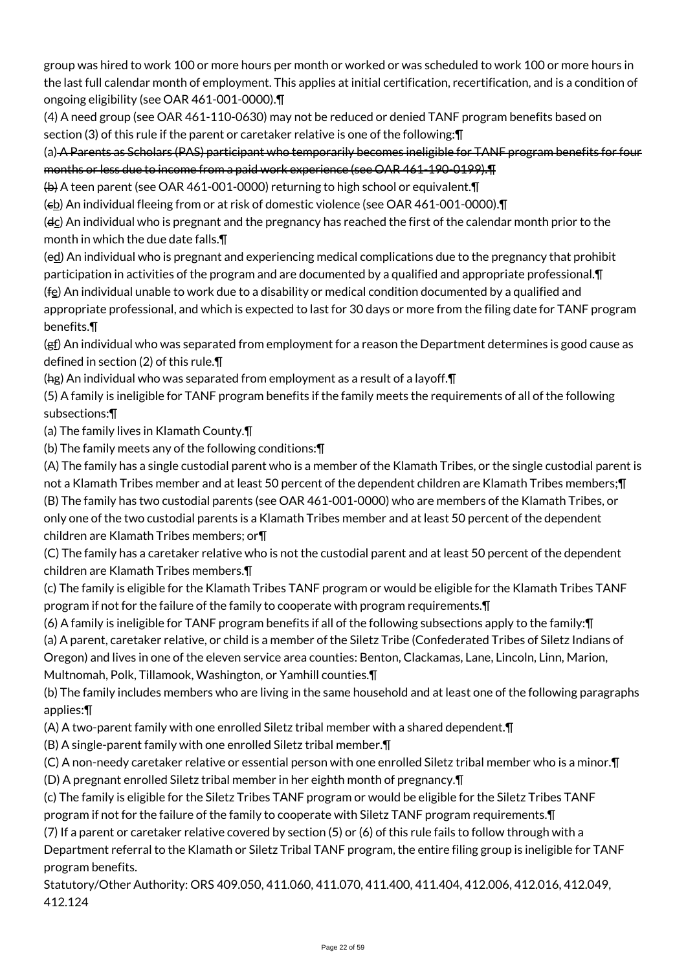group was hired to work 100 or more hours per month or worked or was scheduled to work 100 or more hours in the last full calendar month of employment. This applies at initial certification, recertification, and is a condition of ongoing eligibility (see OAR 461-001-0000).¶

(4) A need group (see OAR 461-110-0630) may not be reduced or denied TANF program benefits based on section (3) of this rule if the parent or caretaker relative is one of the following:¶

(a) A Parents as Scholars (PAS) participant who temporarily becomes ineligible for TANF program benefits for four months or less due to income from a paid work experience (see OAR 461-190-0199).¶

(b) A teen parent (see OAR 461-001-0000) returning to high school or equivalent.¶

( $\epsilon$ <u>b</u>) An individual fleeing from or at risk of domestic violence (see OAR 461-001-0000). $\P$ 

(dc) An individual who is pregnant and the pregnancy has reached the first of the calendar month prior to the month in which the due date falls.¶

(ed) An individual who is pregnant and experiencing medical complications due to the pregnancy that prohibit participation in activities of the program and are documented by a qualified and appropriate professional.¶

 $(f<sub>E</sub>)$  An individual unable to work due to a disability or medical condition documented by a qualified and

appropriate professional, and which is expected to last for 30 days or more from the filing date for TANF program benefits.¶

(gf) An individual who was separated from employment for a reason the Department determines is good cause as defined in section (2) of this rule.¶

(hg) An individual who was separated from employment as a result of a layoff.¶

(5) A family is ineligible for TANF program benefits if the family meets the requirements of all of the following subsections:¶

(a) The family lives in Klamath County.¶

(b) The family meets any of the following conditions:¶

(A) The family has a single custodial parent who is a member of the Klamath Tribes, or the single custodial parent is

not a Klamath Tribes member and at least 50 percent of the dependent children are Klamath Tribes members;¶ (B) The family has two custodial parents (see OAR 461-001-0000) who are members of the Klamath Tribes, or only one of the two custodial parents is a Klamath Tribes member and at least 50 percent of the dependent children are Klamath Tribes members; or¶

(C) The family has a caretaker relative who is not the custodial parent and at least 50 percent of the dependent children are Klamath Tribes members.¶

(c) The family is eligible for the Klamath Tribes TANF program or would be eligible for the Klamath Tribes TANF program if not for the failure of the family to cooperate with program requirements.¶

(6) A family is ineligible for TANF program benefits if all of the following subsections apply to the family:¶ (a) A parent, caretaker relative, or child is a member of the Siletz Tribe (Confederated Tribes of Siletz Indians of Oregon) and lives in one of the eleven service area counties: Benton, Clackamas, Lane, Lincoln, Linn, Marion,

Multnomah, Polk, Tillamook, Washington, or Yamhill counties.¶

(b) The family includes members who are living in the same household and at least one of the following paragraphs applies:¶

(A) A two-parent family with one enrolled Siletz tribal member with a shared dependent.¶

(B) A single-parent family with one enrolled Siletz tribal member.¶

(C) A non-needy caretaker relative or essential person with one enrolled Siletz tribal member who is a minor.¶

(D) A pregnant enrolled Siletz tribal member in her eighth month of pregnancy.¶

(c) The family is eligible for the Siletz Tribes TANF program or would be eligible for the Siletz Tribes TANF program if not for the failure of the family to cooperate with Siletz TANF program requirements.¶

(7) If a parent or caretaker relative covered by section (5) or (6) of this rule fails to follow through with a

Department referral to the Klamath or Siletz Tribal TANF program, the entire filing group is ineligible for TANF program benefits.

Statutory/Other Authority: ORS 409.050, 411.060, 411.070, 411.400, 411.404, 412.006, 412.016, 412.049, 412.124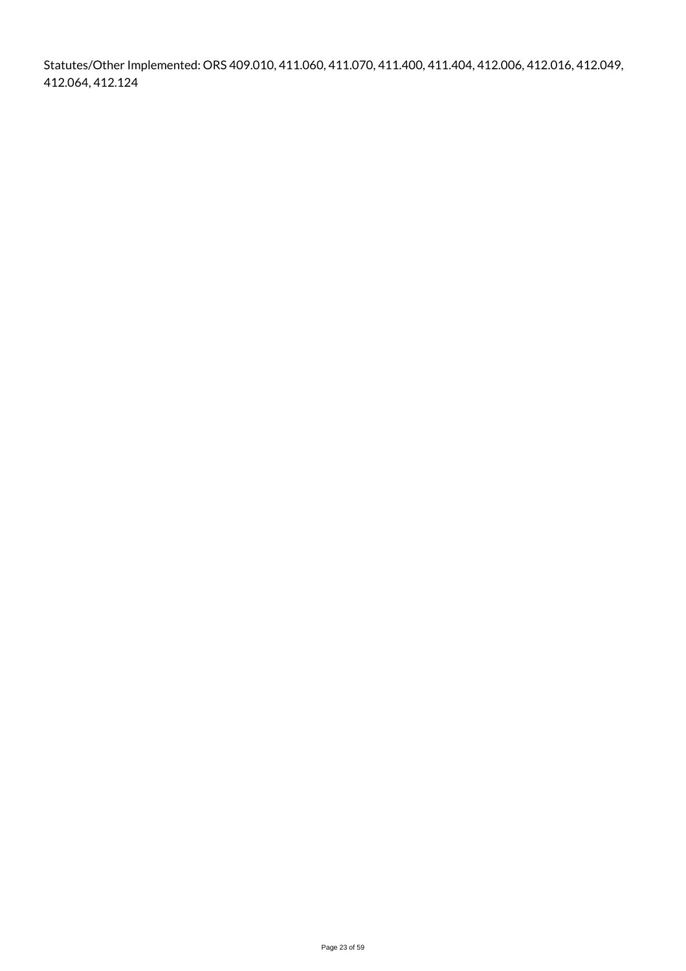Statutes/Other Implemented: ORS 409.010, 411.060, 411.070, 411.400, 411.404, 412.006, 412.016, 412.049, 412.064, 412.124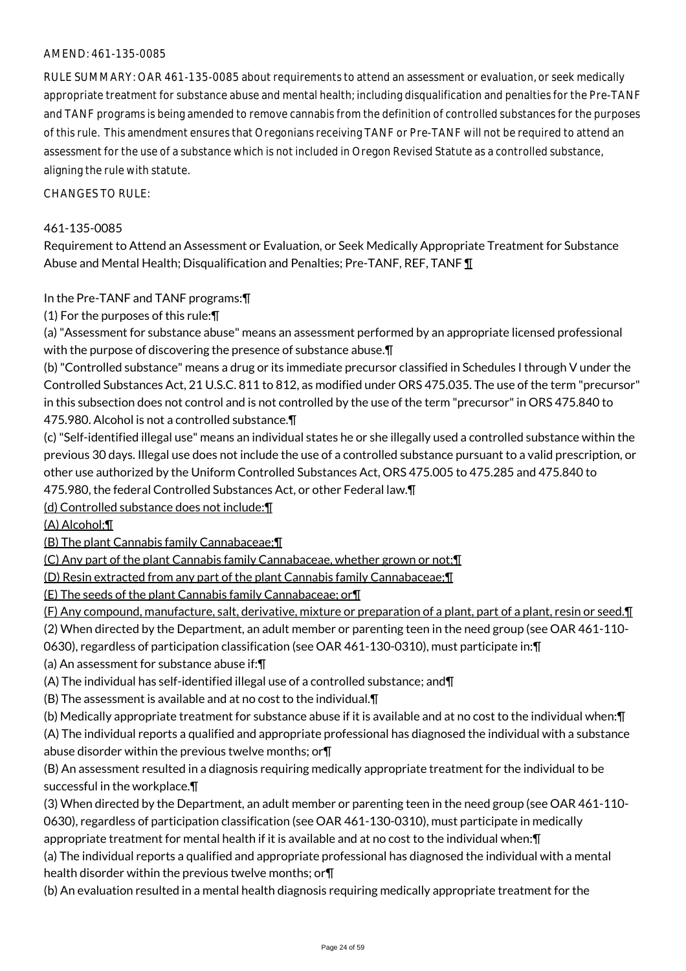### AMEND: 461-135-0085

RULE SUMMARY: OAR 461-135-0085 about requirements to attend an assessment or evaluation, or seek medically appropriate treatment for substance abuse and mental health; including disqualification and penalties for the Pre-TANF and TANF programs is being amended to remove cannabis from the definition of controlled substances for the purposes of this rule. This amendment ensures that Oregonians receiving TANF or Pre-TANF will not be required to attend an assessment for the use of a substance which is not included in Oregon Revised Statute as a controlled substance, aligning the rule with statute.

CHANGES TO RULE:

#### 461-135-0085

Requirement to Attend an Assessment or Evaluation, or Seek Medically Appropriate Treatment for Substance Abuse and Mental Health; Disqualification and Penalties; Pre-TANF, REF, TANF 1

In the Pre-TANF and TANF programs:¶

(1) For the purposes of this rule:¶

(a) "Assessment for substance abuse" means an assessment performed by an appropriate licensed professional with the purpose of discovering the presence of substance abuse.¶

(b) "Controlled substance" means a drug or its immediate precursor classified in Schedules I through V under the Controlled Substances Act, 21 U.S.C. 811 to 812, as modified under ORS 475.035. The use of the term "precursor" in this subsection does not control and is not controlled by the use of the term "precursor" in ORS 475.840 to 475.980. Alcohol is not a controlled substance.¶

(c) "Self-identified illegal use" means an individual states he or she illegally used a controlled substance within the previous 30 days. Illegal use does not include the use of a controlled substance pursuant to a valid prescription, or other use authorized by the Uniform Controlled Substances Act, ORS 475.005 to 475.285 and 475.840 to

475.980, the federal Controlled Substances Act, or other Federal law.¶

(d) Controlled substance does not include:¶

(A) Alcohol;¶

(B) The plant Cannabis family Cannabaceae;¶

(C) Any part of the plant Cannabis family Cannabaceae, whether grown or not;¶

(D) Resin extracted from any part of the plant Cannabis family Cannabaceae;¶

(E) The seeds of the plant Cannabis family Cannabaceae; or¶

(F) Any compound, manufacture, salt, derivative, mixture or preparation of a plant, part of a plant, resin or seed.¶

(2) When directed by the Department, an adult member or parenting teen in the need group (see OAR 461-110-

0630), regardless of participation classification (see OAR 461-130-0310), must participate in:¶

(a) An assessment for substance abuse if:¶

(A) The individual has self-identified illegal use of a controlled substance; and¶

(B) The assessment is available and at no cost to the individual.¶

(b) Medically appropriate treatment for substance abuse if it is available and at no cost to the individual when:¶

(A) The individual reports a qualified and appropriate professional has diagnosed the individual with a substance abuse disorder within the previous twelve months; or¶

(B) An assessment resulted in a diagnosis requiring medically appropriate treatment for the individual to be successful in the workplace.¶

(3) When directed by the Department, an adult member or parenting teen in the need group (see OAR 461-110- 0630), regardless of participation classification (see OAR 461-130-0310), must participate in medically appropriate treatment for mental health if it is available and at no cost to the individual when:¶

(a) The individual reports a qualified and appropriate professional has diagnosed the individual with a mental health disorder within the previous twelve months; or¶

(b) An evaluation resulted in a mental health diagnosis requiring medically appropriate treatment for the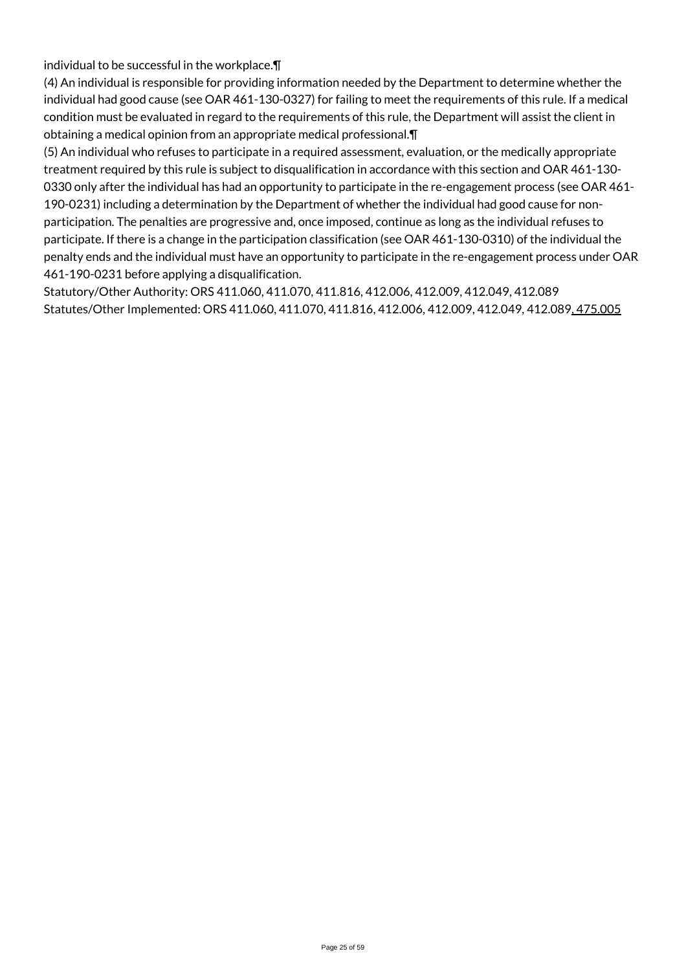individual to be successful in the workplace.¶

(4) An individual is responsible for providing information needed by the Department to determine whether the individual had good cause (see OAR 461-130-0327) for failing to meet the requirements of this rule. If a medical condition must be evaluated in regard to the requirements of this rule, the Department will assist the client in obtaining a medical opinion from an appropriate medical professional.¶

(5) An individual who refuses to participate in a required assessment, evaluation, or the medically appropriate treatment required by this rule is subject to disqualification in accordance with this section and OAR 461-130- 0330 only after the individual has had an opportunity to participate in the re-engagement process (see OAR 461- 190-0231) including a determination by the Department of whether the individual had good cause for nonparticipation. The penalties are progressive and, once imposed, continue as long as the individual refuses to participate. If there is a change in the participation classification (see OAR 461-130-0310) of the individual the penalty ends and the individual must have an opportunity to participate in the re-engagement process under OAR 461-190-0231 before applying a disqualification.

Statutory/Other Authority: ORS 411.060, 411.070, 411.816, 412.006, 412.009, 412.049, 412.089 Statutes/Other Implemented: ORS 411.060, 411.070, 411.816, 412.006, 412.009, 412.049, 412.089, 475.005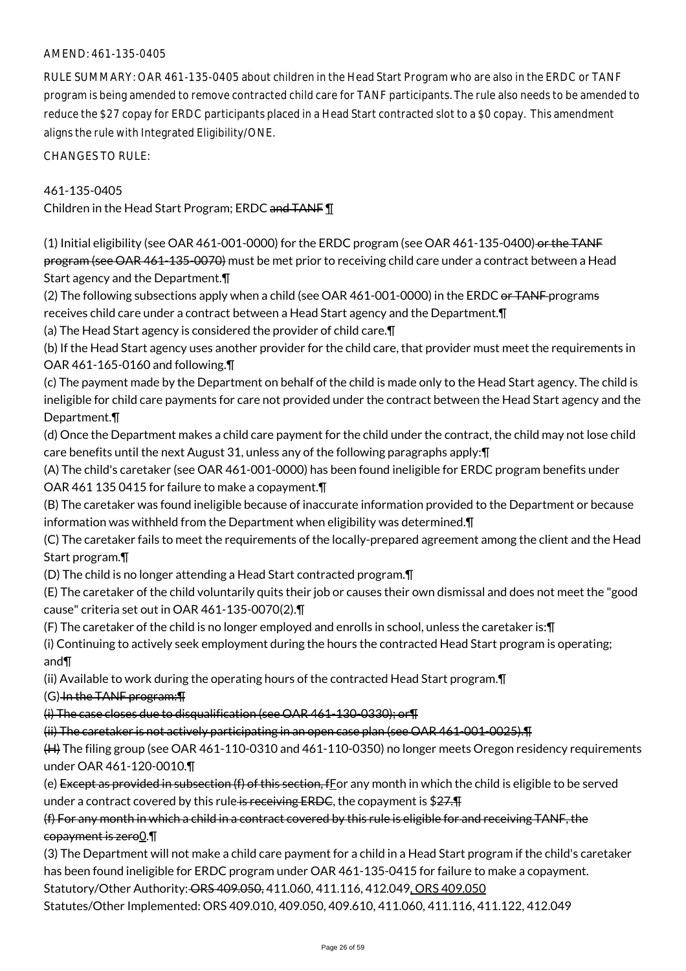### AMEND: 461-135-0405

RULE SUMMARY: OAR 461-135-0405 about children in the Head Start Program who are also in the ERDC or TANF program is being amended to remove contracted child care for TANF participants. The rule also needs to be amended to reduce the \$27 copay for ERDC participants placed in a Head Start contracted slot to a \$0 copay. This amendment aligns the rule with Integrated Eligibility/ONE.

CHANGES TO RULE:

### 461-135-0405

Children in the Head Start Program; ERDC and TANF ¶

(1) Initial eligibility (see OAR 461-001-0000) for the ERDC program (see OAR 461-135-0400) or the TANF program (see OAR 461-135-0070) must be met prior to receiving child care under a contract between a Head Start agency and the Department.¶

(2) The following subsections apply when a child (see OAR 461-001-0000) in the ERDC or TANF programs receives child care under a contract between a Head Start agency and the Department.¶

(a) The Head Start agency is considered the provider of child care.¶

(b) If the Head Start agency uses another provider for the child care, that provider must meet the requirements in OAR 461-165-0160 and following.¶

(c) The payment made by the Department on behalf of the child is made only to the Head Start agency. The child is ineligible for child care payments for care not provided under the contract between the Head Start agency and the Department.¶

(d) Once the Department makes a child care payment for the child under the contract, the child may not lose child care benefits until the next August 31, unless any of the following paragraphs apply:¶

(A) The child's caretaker (see OAR 461-001-0000) has been found ineligible for ERDC program benefits under OAR 461 135 0415 for failure to make a copayment.¶

(B) The caretaker was found ineligible because of inaccurate information provided to the Department or because information was withheld from the Department when eligibility was determined.¶

(C) The caretaker fails to meet the requirements of the locally-prepared agreement among the client and the Head Start program.¶

(D) The child is no longer attending a Head Start contracted program.¶

(E) The caretaker of the child voluntarily quits their job or causes their own dismissal and does not meet the "good cause" criteria set out in OAR 461-135-0070(2).¶

(F) The caretaker of the child is no longer employed and enrolls in school, unless the caretaker is:¶

(i) Continuing to actively seek employment during the hours the contracted Head Start program is operating; and¶

(ii) Available to work during the operating hours of the contracted Head Start program.¶

(G) In the TANF program:¶

(i) The case closes due to disqualification (see OAR 461-130-0330); or¶

(ii) The caretaker is not actively participating in an open case plan (see OAR 461-001-0025).¶

(H) The filing group (see OAR 461-110-0310 and 461-110-0350) no longer meets Oregon residency requirements under OAR 461-120-0010.¶

(e) Except as provided in subsection  $(f)$  of this section, fFor any month in which the child is eligible to be served under a contract covered by this rule is receiving ERDC, the copayment is  $$27.$ 

## (f) For any month in which a child in a contract covered by this rule is eligible for and receiving TANF, the copayment is zero<sup>0.</sup>

(3) The Department will not make a child care payment for a child in a Head Start program if the child's caretaker has been found ineligible for ERDC program under OAR 461-135-0415 for failure to make a copayment.

Statutory/Other Authority: ORS 409.050, 411.060, 411.116, 412.049, ORS 409.050

Statutes/Other Implemented: ORS 409.010, 409.050, 409.610, 411.060, 411.116, 411.122, 412.049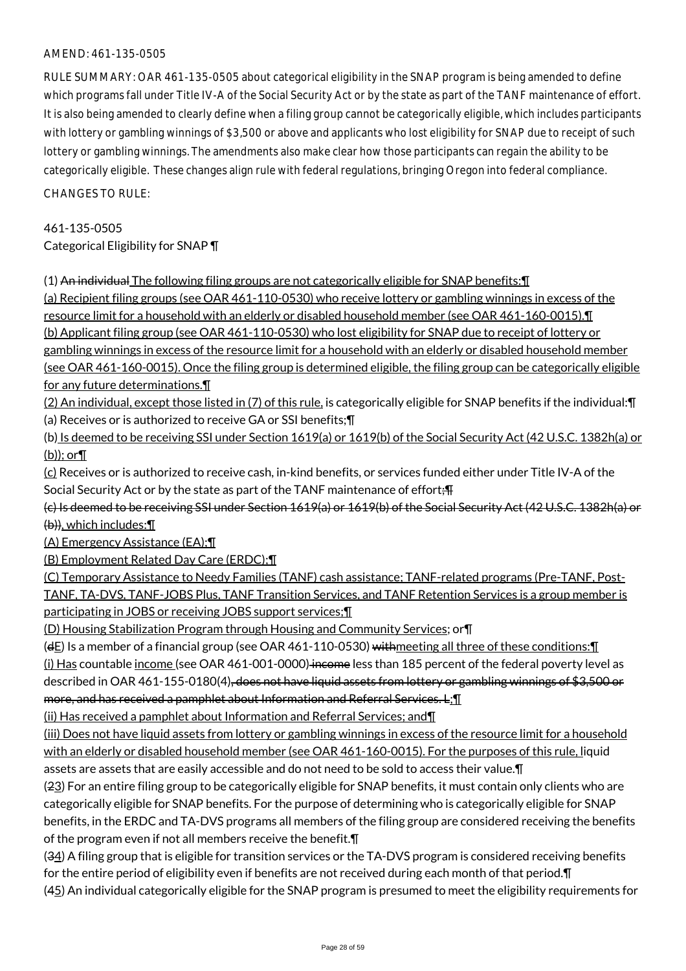#### AMEND: 461-135-0505

RULE SUMMARY: OAR 461-135-0505 about categorical eligibility in the SNAP program is being amended to define which programs fall under Title IV-A of the Social Security Act or by the state as part of the TANF maintenance of effort. It is also being amended to clearly define when a filing group cannot be categorically eligible, which includes participants with lottery or gambling winnings of \$3,500 or above and applicants who lost eligibility for SNAP due to receipt of such lottery or gambling winnings. The amendments also make clear how those participants can regain the ability to be categorically eligible. These changes align rule with federal regulations, bringing Oregon into federal compliance.

CHANGES TO RULE:

### 461-135-0505

Categorical Eligibility for SNAP ¶

(1) An individual The following filing groups are not categorically eligible for SNAP benefits:¶

(a) Recipient filing groups (see OAR 461-110-0530) who receive lottery or gambling winnings in excess of the resource limit for a household with an elderly or disabled household member (see OAR 461-160-0015).¶ (b) Applicant filing group (see OAR 461-110-0530) who lost eligibility for SNAP due to receipt of lottery or

gambling winnings in excess of the resource limit for a household with an elderly or disabled household member (see OAR 461-160-0015). Once the filing group is determined eligible, the filing group can be categorically eligible for any future determinations.¶

(2) An individual, except those listed in (7) of this rule, is categorically eligible for SNAP benefits if the individual:¶ (a) Receives or is authorized to receive GA or SSI benefits;¶

(b) Is deemed to be receiving SSI under Section 1619(a) or 1619(b) of the Social Security Act (42 U.S.C. 1382h(a) or (b)); or¶

(c) Receives or is authorized to receive cash, in-kind benefits, or services funded either under Title IV-A of the Social Security Act or by the state as part of the TANF maintenance of effort; F

(c) Is deemed to be receiving SSI under Section 1619(a) or 1619(b) of the Social Security Act (42 U.S.C. 1382h(a) or (b)), which includes:¶

(A) Emergency Assistance (EA);¶

(B) Employment Related Day Care (ERDC);¶

(C) Temporary Assistance to Needy Families (TANF) cash assistance; TANF-related programs (Pre-TANF, Post-TANF, TA-DVS, TANF-JOBS Plus, TANF Transition Services, and TANF Retention Services is a group member is participating in JOBS or receiving JOBS support services;¶

(D) Housing Stabilization Program through Housing and Community Services; or¶

( $dE$ ) Is a member of a financial group (see OAR 461-110-0530) with meeting all three of these conditions:  $\P$ 

(i) Has countable income (see OAR 461-001-0000) income less than 185 percent of the federal poverty level as described in OAR 461-155-0180(4), does not have liquid assets from lottery or gambling winnings of \$3,500 or more, and has received a pamphlet about Information and Referral Services. L: 1

(ii) Has received a pamphlet about Information and Referral Services; and¶

(iii) Does not have liquid assets from lottery or gambling winnings in excess of the resource limit for a household with an elderly or disabled household member (see OAR 461-160-0015). For the purposes of this rule, liquid assets are assets that are easily accessible and do not need to be sold to access their value.¶

(23) For an entire filing group to be categorically eligible for SNAP benefits, it must contain only clients who are categorically eligible for SNAP benefits. For the purpose of determining who is categorically eligible for SNAP benefits, in the ERDC and TA-DVS programs all members of the filing group are considered receiving the benefits of the program even if not all members receive the benefit.¶

(34) A filing group that is eligible for transition services or the TA-DVS program is considered receiving benefits for the entire period of eligibility even if benefits are not received during each month of that period.¶

(45) An individual categorically eligible for the SNAP program is presumed to meet the eligibility requirements for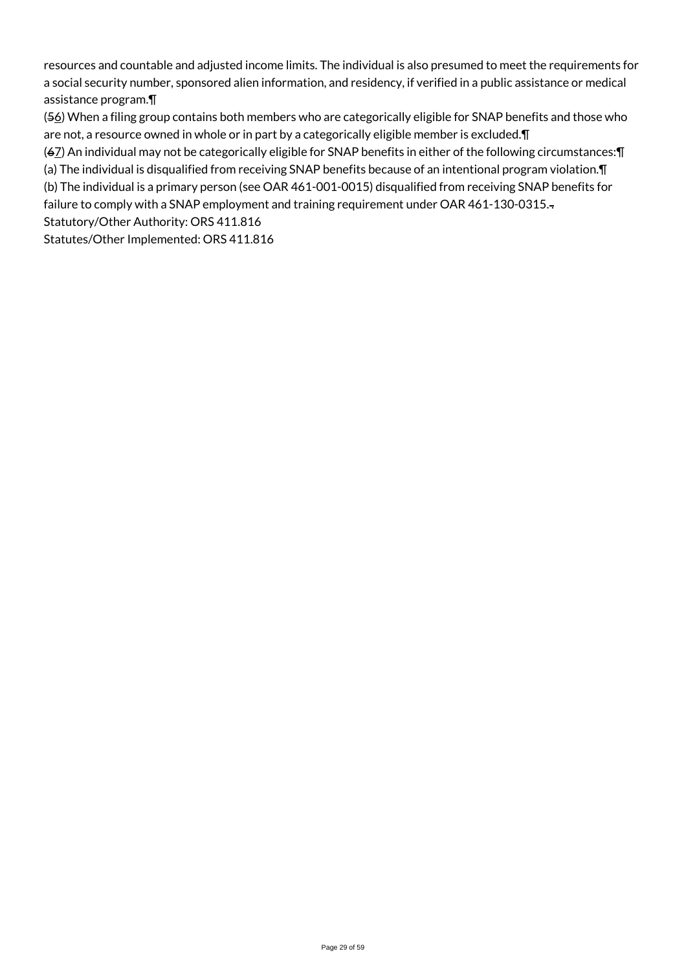resources and countable and adjusted income limits. The individual is also presumed to meet the requirements for a social security number, sponsored alien information, and residency, if verified in a public assistance or medical assistance program.¶

(56) When a filing group contains both members who are categorically eligible for SNAP benefits and those who are not, a resource owned in whole or in part by a categorically eligible member is excluded.¶

(67) An individual may not be categorically eligible for SNAP benefits in either of the following circumstances:¶

(a) The individual is disqualified from receiving SNAP benefits because of an intentional program violation.¶

(b) The individual is a primary person (see OAR 461-001-0015) disqualified from receiving SNAP benefits for

failure to comply with a SNAP employment and training requirement under OAR 461-130-0315. Statutory/Other Authority: ORS 411.816

Statutes/Other Implemented: ORS 411.816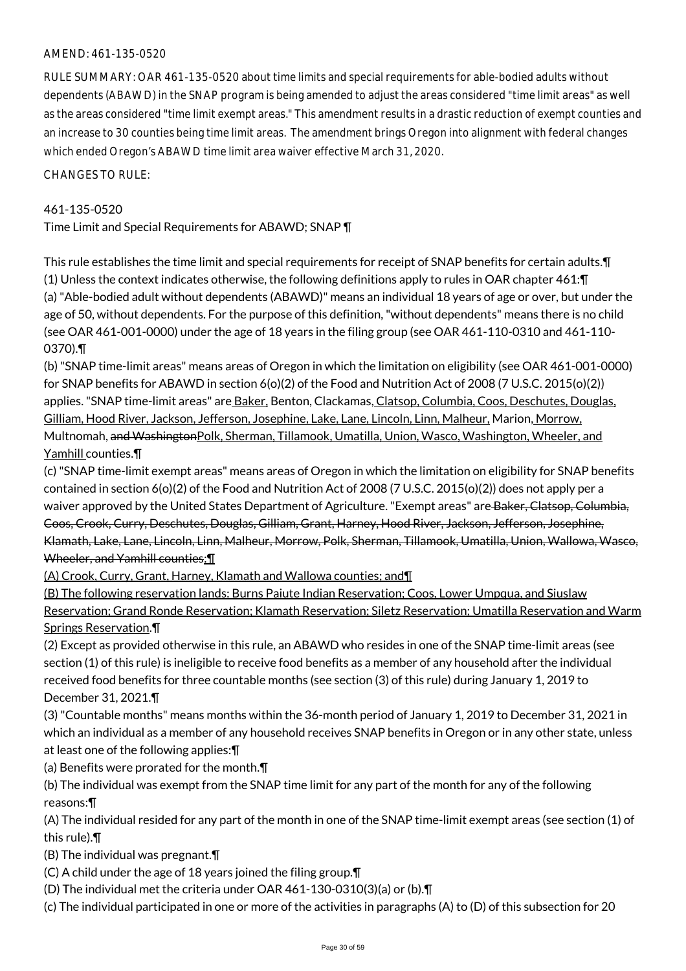### AMEND: 461-135-0520

RULE SUMMARY: OAR 461-135-0520 about time limits and special requirements for able-bodied adults without dependents (ABAWD) in the SNAP program is being amended to adjust the areas considered "time limit areas" as well as the areas considered "time limit exempt areas." This amendment results in a drastic reduction of exempt counties and an increase to 30 counties being time limit areas. The amendment brings Oregon into alignment with federal changes which ended Oregon's ABAWD time limit area waiver effective March 31, 2020.

CHANGES TO RULE:

## 461-135-0520

Time Limit and Special Requirements for ABAWD; SNAP ¶

This rule establishes the time limit and special requirements for receipt of SNAP benefits for certain adults.¶ (1) Unless the context indicates otherwise, the following definitions apply to rules in OAR chapter 461:¶ (a) "Able-bodied adult without dependents (ABAWD)" means an individual 18 years of age or over, but under the age of 50, without dependents. For the purpose of this definition, "without dependents" means there is no child (see OAR 461-001-0000) under the age of 18 years in the filing group (see OAR 461-110-0310 and 461-110- 0370).¶

(b) "SNAP time-limit areas" means areas of Oregon in which the limitation on eligibility (see OAR 461-001-0000) for SNAP benefits for ABAWD in section 6(o)(2) of the Food and Nutrition Act of 2008 (7 U.S.C. 2015(o)(2)) applies. "SNAP time-limit areas" are Baker, Benton, Clackamas, Clatsop, Columbia, Coos, Deschutes, Douglas, Gilliam, Hood River, Jackson, Jefferson, Josephine, Lake, Lane, Lincoln, Linn, Malheur, Marion, Morrow, Multnomah, and WashingtonPolk, Sherman, Tillamook, Umatilla, Union, Wasco, Washington, Wheeler, and Yamhill counties.¶

(c) "SNAP time-limit exempt areas" means areas of Oregon in which the limitation on eligibility for SNAP benefits contained in section 6(o)(2) of the Food and Nutrition Act of 2008 (7 U.S.C. 2015(o)(2)) does not apply per a waiver approved by the United States Department of Agriculture. "Exempt areas" are Baker, Clatsop, Columbia, Coos, Crook, Curry, Deschutes, Douglas, Gilliam, Grant, Harney, Hood River, Jackson, Jefferson, Josephine, Klamath, Lake, Lane, Lincoln, Linn, Malheur, Morrow, Polk, Sherman, Tillamook, Umatilla, Union, Wallowa, Wasco, Wheeler, and Yamhill counties: 1

(A) Crook, Curry, Grant, Harney, Klamath and Wallowa counties; and¶

(B) The following reservation lands: Burns Paiute Indian Reservation; Coos, Lower Umpqua, and Siuslaw Reservation; Grand Ronde Reservation; Klamath Reservation; Siletz Reservation; Umatilla Reservation and Warm Springs Reservation.¶

(2) Except as provided otherwise in this rule, an ABAWD who resides in one of the SNAP time-limit areas (see section (1) of this rule) is ineligible to receive food benefits as a member of any household after the individual received food benefits for three countable months (see section (3) of this rule) during January 1, 2019 to December 31, 2021.¶

(3) "Countable months" means months within the 36-month period of January 1, 2019 to December 31, 2021 in which an individual as a member of any household receives SNAP benefits in Oregon or in any other state, unless at least one of the following applies:¶

(a) Benefits were prorated for the month.¶

(b) The individual was exempt from the SNAP time limit for any part of the month for any of the following reasons:¶

(A) The individual resided for any part of the month in one of the SNAP time-limit exempt areas (see section (1) of this rule).¶

(B) The individual was pregnant.¶

(C) A child under the age of 18 years joined the filing group.¶

(D) The individual met the criteria under OAR 461-130-0310(3)(a) or (b).¶

(c) The individual participated in one or more of the activities in paragraphs (A) to (D) of this subsection for 20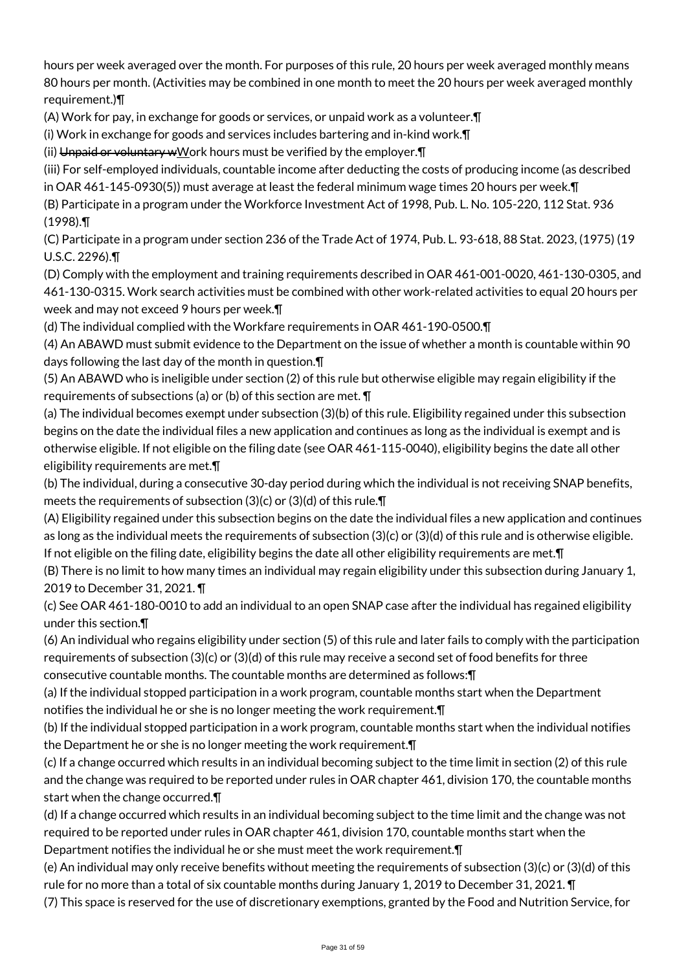hours per week averaged over the month. For purposes of this rule, 20 hours per week averaged monthly means 80 hours per month. (Activities may be combined in one month to meet the 20 hours per week averaged monthly requirement.)¶

(A) Work for pay, in exchange for goods or services, or unpaid work as a volunteer.¶

(i) Work in exchange for goods and services includes bartering and in-kind work.¶

(ii) Unpaid or voluntary wWork hours must be verified by the employer. [1]

(iii) For self-employed individuals, countable income after deducting the costs of producing income (as described in OAR 461-145-0930(5)) must average at least the federal minimum wage times 20 hours per week.¶

(B) Participate in a program under the Workforce Investment Act of 1998, Pub. L. No. 105-220, 112 Stat. 936 (1998).¶

(C) Participate in a program under section 236 of the Trade Act of 1974, Pub. L. 93-618, 88 Stat. 2023, (1975) (19 U.S.C. 2296).¶

(D) Comply with the employment and training requirements described in OAR 461-001-0020, 461-130-0305, and 461-130-0315. Work search activities must be combined with other work-related activities to equal 20 hours per week and may not exceed 9 hours per week.¶

(d) The individual complied with the Workfare requirements in OAR 461-190-0500.¶

(4) An ABAWD must submit evidence to the Department on the issue of whether a month is countable within 90 days following the last day of the month in question.¶

(5) An ABAWD who is ineligible under section (2) of this rule but otherwise eligible may regain eligibility if the requirements of subsections (a) or (b) of this section are met. ¶

(a) The individual becomes exempt under subsection (3)(b) of this rule. Eligibility regained under this subsection begins on the date the individual files a new application and continues as long as the individual is exempt and is otherwise eligible. If not eligible on the filing date (see OAR 461-115-0040), eligibility begins the date all other eligibility requirements are met.¶

(b) The individual, during a consecutive 30-day period during which the individual is not receiving SNAP benefits, meets the requirements of subsection (3)(c) or (3)(d) of this rule.¶

(A) Eligibility regained under this subsection begins on the date the individual files a new application and continues as long as the individual meets the requirements of subsection (3)(c) or (3)(d) of this rule and is otherwise eligible. If not eligible on the filing date, eligibility begins the date all other eligibility requirements are met.¶

(B) There is no limit to how many times an individual may regain eligibility under this subsection during January 1, 2019 to December 31, 2021. ¶

(c) See OAR 461-180-0010 to add an individual to an open SNAP case after the individual has regained eligibility under this section.¶

(6) An individual who regains eligibility under section (5) of this rule and later fails to comply with the participation requirements of subsection (3)(c) or (3)(d) of this rule may receive a second set of food benefits for three consecutive countable months. The countable months are determined as follows:¶

(a) If the individual stopped participation in a work program, countable months start when the Department notifies the individual he or she is no longer meeting the work requirement.¶

(b) If the individual stopped participation in a work program, countable months start when the individual notifies the Department he or she is no longer meeting the work requirement.¶

(c) If a change occurred which results in an individual becoming subject to the time limit in section (2) of this rule and the change was required to be reported under rules in OAR chapter 461, division 170, the countable months start when the change occurred.¶

(d) If a change occurred which results in an individual becoming subject to the time limit and the change was not required to be reported under rules in OAR chapter 461, division 170, countable months start when the Department notifies the individual he or she must meet the work requirement.¶

(e) An individual may only receive benefits without meeting the requirements of subsection (3)(c) or (3)(d) of this rule for no more than a total of six countable months during January 1, 2019 to December 31, 2021. ¶

(7) This space is reserved for the use of discretionary exemptions, granted by the Food and Nutrition Service, for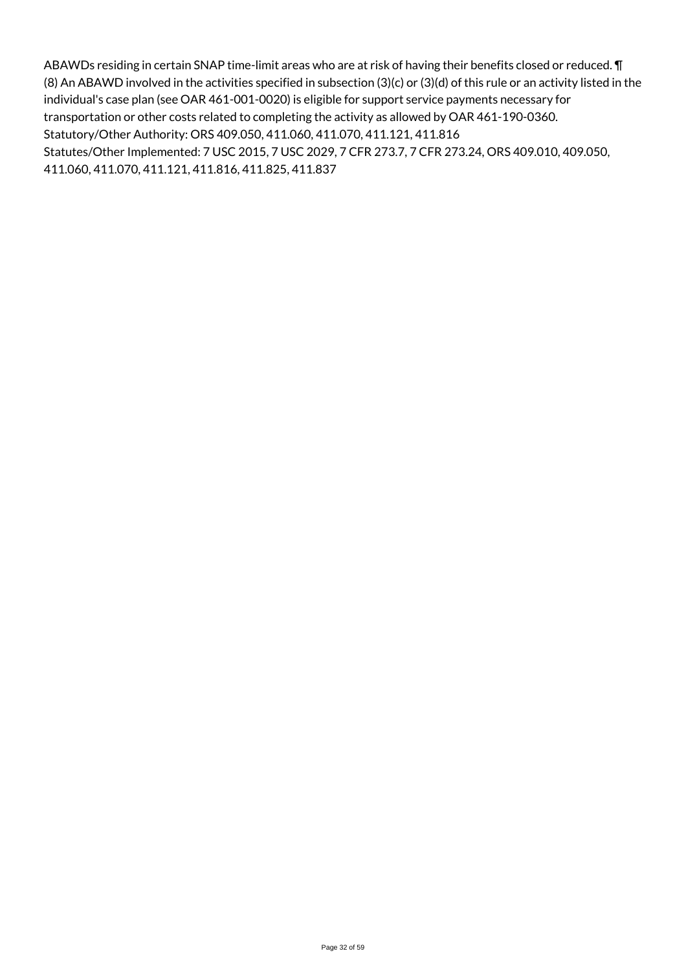ABAWDs residing in certain SNAP time-limit areas who are at risk of having their benefits closed or reduced. ¶ (8) An ABAWD involved in the activities specified in subsection (3)(c) or (3)(d) of this rule or an activity listed in the individual's case plan (see OAR 461-001-0020) is eligible for support service payments necessary for transportation or other costs related to completing the activity as allowed by OAR 461-190-0360. Statutory/Other Authority: ORS 409.050, 411.060, 411.070, 411.121, 411.816 Statutes/Other Implemented: 7 USC 2015, 7 USC 2029, 7 CFR 273.7, 7 CFR 273.24, ORS 409.010, 409.050, 411.060, 411.070, 411.121, 411.816, 411.825, 411.837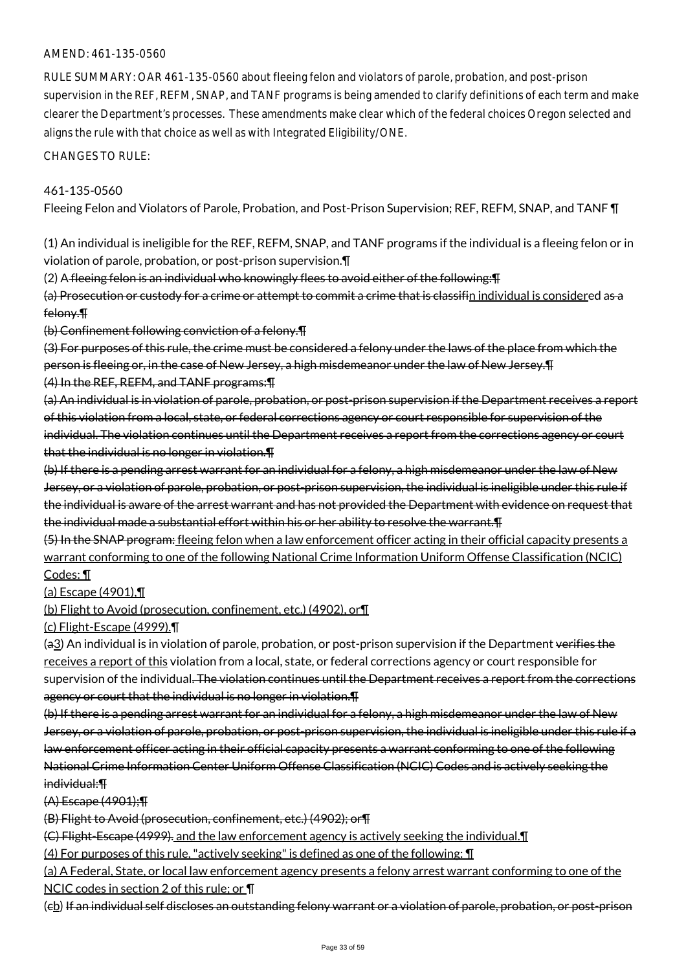#### AMEND: 461-135-0560

RULE SUMMARY: OAR 461-135-0560 about fleeing felon and violators of parole, probation, and post-prison supervision in the REF, REFM, SNAP, and TANF programs is being amended to clarify definitions of each term and make clearer the Department's processes. These amendments make clear which of the federal choices Oregon selected and aligns the rule with that choice as well as with Integrated Eligibility/ONE.

CHANGES TO RULE:

#### 461-135-0560

Fleeing Felon and Violators of Parole, Probation, and Post-Prison Supervision; REF, REFM, SNAP, and TANF ¶

(1) An individual is ineligible for the REF, REFM, SNAP, and TANF programs if the individual is a fleeing felon or in violation of parole, probation, or post-prison supervision.¶

(2) A fleeing felon is an individual who knowingly flees to avoid either of the following:¶

(a) Prosecution or custody for a crime or attempt to commit a crime that is classifin individual is considered as a felony.¶

(b) Confinement following conviction of a felony.¶

(3) For purposes of this rule, the crime must be considered a felony under the laws of the place from which the person is fleeing or, in the case of New Jersey, a high misdemeanor under the law of New Jersey.¶ (4) In the REF, REFM, and TANF programs:¶

(a) An individual is in violation of parole, probation, or post-prison supervision if the Department receives a report of this violation from a local, state, or federal corrections agency or court responsible for supervision of the individual. The violation continues until the Department receives a report from the corrections agency or court that the individual is no longer in violation.¶

(b) If there is a pending arrest warrant for an individual for a felony, a high misdemeanor under the law of New Jersey, or a violation of parole, probation, or post-prison supervision, the individual is ineligible under this rule if the individual is aware of the arrest warrant and has not provided the Department with evidence on request that the individual made a substantial effort within his or her ability to resolve the warrant. The

(5) In the SNAP program: fleeing felon when a law enforcement officer acting in their official capacity presents a warrant conforming to one of the following National Crime Information Uniform Offense Classification (NCIC) Codes: ¶

(a) Escape (4901),¶

(b) Flight to Avoid (prosecution, confinement, etc.) (4902), or¶

(c) Flight-Escape (4999).¶

(a3) An individual is in violation of parole, probation, or post-prison supervision if the Department verifies the receives a report of this violation from a local, state, or federal corrections agency or court responsible for supervision of the individual. The violation continues until the Department receives a report from the corrections agency or court that the individual is no longer in violation.¶

(b) If there is a pending arrest warrant for an individual for a felony, a high misdemeanor under the law of New Jersey, or a violation of parole, probation, or post-prison supervision, the individual is ineligible under this rule if a law enforcement officer acting in their official capacity presents a warrant conforming to one of the following National Crime Information Center Uniform Offense Classification (NCIC) Codes and is actively seeking the individual:¶

(A) Escape (4901);¶

(B) Flight to Avoid (prosecution, confinement, etc.) (4902); or¶

(C) Flight-Escape (4999). and the law enforcement agency is actively seeking the individual.¶

(4) For purposes of this rule, "actively seeking" is defined as one of the following: ¶

(a) A Federal, State, or local law enforcement agency presents a felony arrest warrant conforming to one of the

NCIC codes in section 2 of this rule; or ¶

(cb) If an individual self discloses an outstanding felony warrant or a violation of parole, probation, or post-prison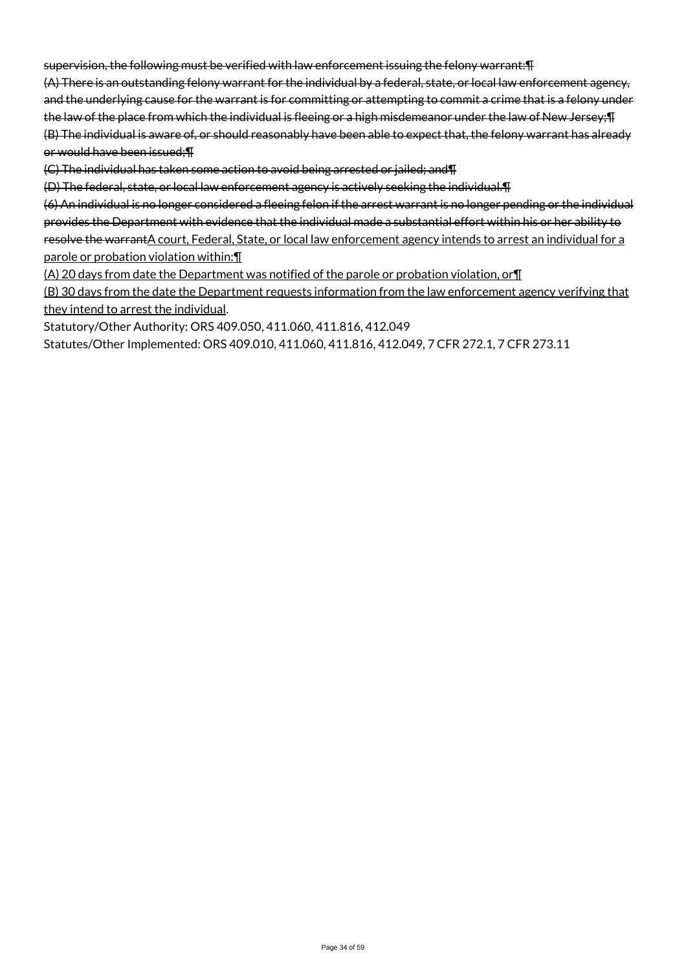supervision, the following must be verified with law enforcement issuing the felony warrant:¶

(A) There is an outstanding felony warrant for the individual by a federal, state, or local law enforcement agency, and the underlying cause for the warrant is for committing or attempting to commit a crime that is a felony under the law of the place from which the individual is fleeing or a high misdemeanor under the law of New Jersey;¶ (B) The individual is aware of, or should reasonably have been able to expect that, the felony warrant has already or would have been issued;¶

(C) The individual has taken some action to avoid being arrested or jailed; and¶

(D) The federal, state, or local law enforcement agency is actively seeking the individual.¶

(6) An individual is no longer considered a fleeing felon if the arrest warrant is no longer pending or the individual provides the Department with evidence that the individual made a substantial effort within his or her ability to resolve the warrantA court, Federal, State, or local law enforcement agency intends to arrest an individual for a parole or probation violation within:

(A) 20 days from date the Department was notified of the parole or probation violation, or¶

(B) 30 days from the date the Department requests information from the law enforcement agency verifying that they intend to arrest the individual.

Statutory/Other Authority: ORS 409.050, 411.060, 411.816, 412.049

Statutes/Other Implemented: ORS 409.010, 411.060, 411.816, 412.049, 7 CFR 272.1, 7 CFR 273.11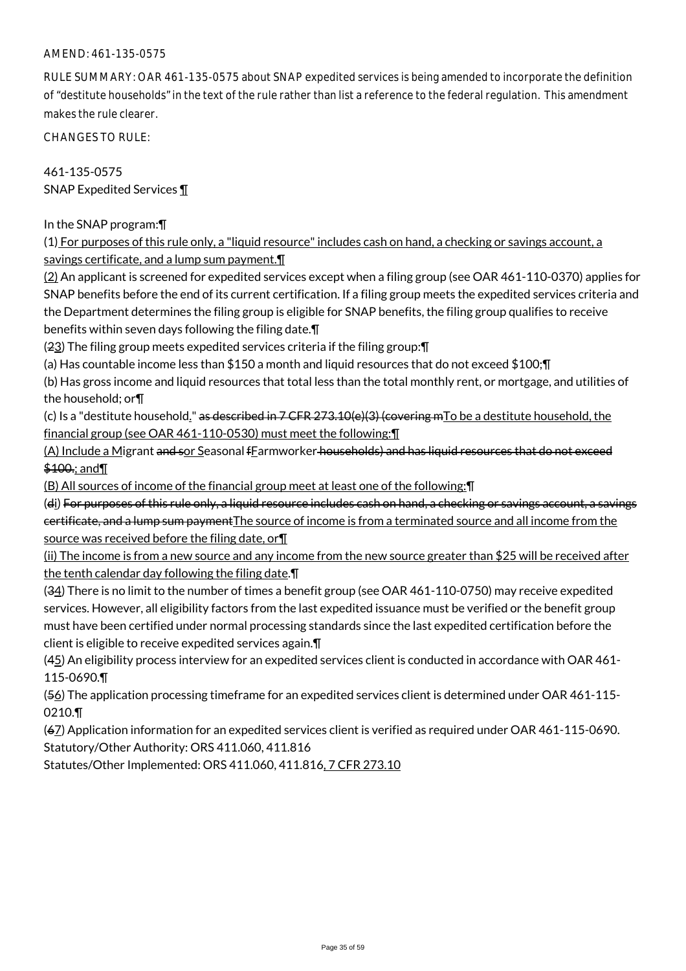#### AMEND: 461-135-0575

RULE SUMMARY: OAR 461-135-0575 about SNAP expedited services is being amended to incorporate the definition of "destitute households" in the text of the rule rather than list a reference to the federal regulation. This amendment makes the rule clearer.

CHANGES TO RULE:

461-135-0575 SNAP Expedited Services ¶

In the SNAP program:¶

(1) For purposes of this rule only, a "liquid resource" includes cash on hand, a checking or savings account, a savings certificate, and a lump sum payment.¶

(2) An applicant is screened for expedited services except when a filing group (see OAR 461-110-0370) applies for SNAP benefits before the end of its current certification. If a filing group meets the expedited services criteria and the Department determines the filing group is eligible for SNAP benefits, the filing group qualifies to receive benefits within seven days following the filing date.¶

(23) The filing group meets expedited services criteria if the filing group:¶

(a) Has countable income less than \$150 a month and liquid resources that do not exceed \$100;¶

(b) Has gross income and liquid resources that total less than the total monthly rent, or mortgage, and utilities of the household; or¶

(c) Is a "destitute household." as described in  $7$  CFR  $273.10(e)(3)$  (covering mTo be a destitute household, the financial group (see OAR 461-110-0530) must meet the following:¶

(A) Include a Migrant and sor Seasonal fEarmworker households) and has liquid resources that do not exceed \$100.; and T

(B) All sources of income of the financial group meet at least one of the following:¶

(di) For purposes of this rule only, a liquid resource includes cash on hand, a checking or savings account, a savings certificate, and a lump sum paymentThe source of income is from a terminated source and all income from the source was received before the filing date, or¶

(ii) The income is from a new source and any income from the new source greater than \$25 will be received after the tenth calendar day following the filing date.¶

(34) There is no limit to the number of times a benefit group (see OAR 461-110-0750) may receive expedited services. However, all eligibility factors from the last expedited issuance must be verified or the benefit group must have been certified under normal processing standards since the last expedited certification before the client is eligible to receive expedited services again.¶

(45) An eligibility process interview for an expedited services client is conducted in accordance with OAR 461-115-0690.¶

(56) The application processing timeframe for an expedited services client is determined under OAR 461-115- 0210.¶

(67) Application information for an expedited services client is verified as required under OAR 461-115-0690. Statutory/Other Authority: ORS 411.060, 411.816

Statutes/Other Implemented: ORS 411.060, 411.816, 7 CFR 273.10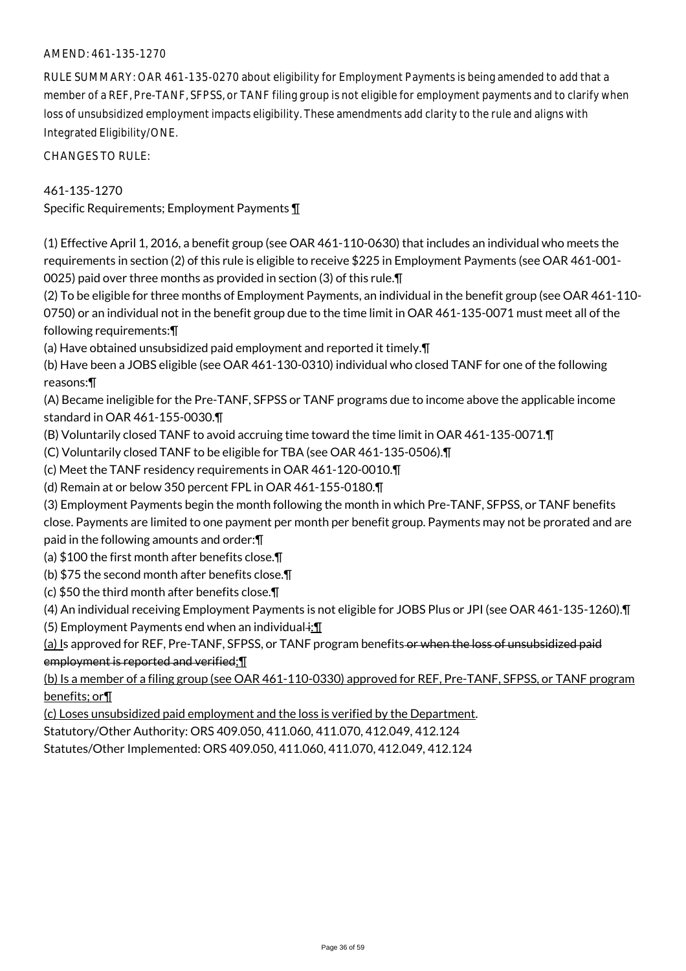### AMEND: 461-135-1270

RULE SUMMARY: OAR 461-135-0270 about eligibility for Employment Payments is being amended to add that a member of a REF, Pre-TANF, SFPSS, or TANF filing group is not eligible for employment payments and to clarify when loss of unsubsidized employment impacts eligibility. These amendments add clarity to the rule and aligns with Integrated Eligibility/ONE.

CHANGES TO RULE:

#### 461-135-1270

Specific Requirements; Employment Payments ¶

(1) Effective April 1, 2016, a benefit group (see OAR 461-110-0630) that includes an individual who meets the requirements in section (2) of this rule is eligible to receive \$225 in Employment Payments (see OAR 461-001- 0025) paid over three months as provided in section (3) of this rule.¶

(2) To be eligible for three months of Employment Payments, an individual in the benefit group (see OAR 461-110- 0750) or an individual not in the benefit group due to the time limit in OAR 461-135-0071 must meet all of the following requirements:¶

(a) Have obtained unsubsidized paid employment and reported it timely.¶

(b) Have been a JOBS eligible (see OAR 461-130-0310) individual who closed TANF for one of the following reasons:¶

(A) Became ineligible for the Pre-TANF, SFPSS or TANF programs due to income above the applicable income standard in OAR 461-155-0030.¶

(B) Voluntarily closed TANF to avoid accruing time toward the time limit in OAR 461-135-0071.¶

(C) Voluntarily closed TANF to be eligible for TBA (see OAR 461-135-0506).¶

(c) Meet the TANF residency requirements in OAR 461-120-0010.¶

(d) Remain at or below 350 percent FPL in OAR 461-155-0180.¶

(3) Employment Payments begin the month following the month in which Pre-TANF, SFPSS, or TANF benefits close. Payments are limited to one payment per month per benefit group. Payments may not be prorated and are paid in the following amounts and order:¶

(a) \$100 the first month after benefits close.¶

(b) \$75 the second month after benefits close.¶

(c) \$50 the third month after benefits close.¶

(4) An individual receiving Employment Payments is not eligible for JOBS Plus or JPI (see OAR 461-135-1260).¶

(5) Employment Payments end when an individual $\div$ .

(a) Is approved for REF, Pre-TANF, SFPSS, or TANF program benefits or when the loss of unsubsidized paid employment is reported and verified;¶

(b) Is a member of a filing group (see OAR 461-110-0330) approved for REF, Pre-TANF, SFPSS, or TANF program benefits; or¶

(c) Loses unsubsidized paid employment and the loss is verified by the Department.

Statutory/Other Authority: ORS 409.050, 411.060, 411.070, 412.049, 412.124

Statutes/Other Implemented: ORS 409.050, 411.060, 411.070, 412.049, 412.124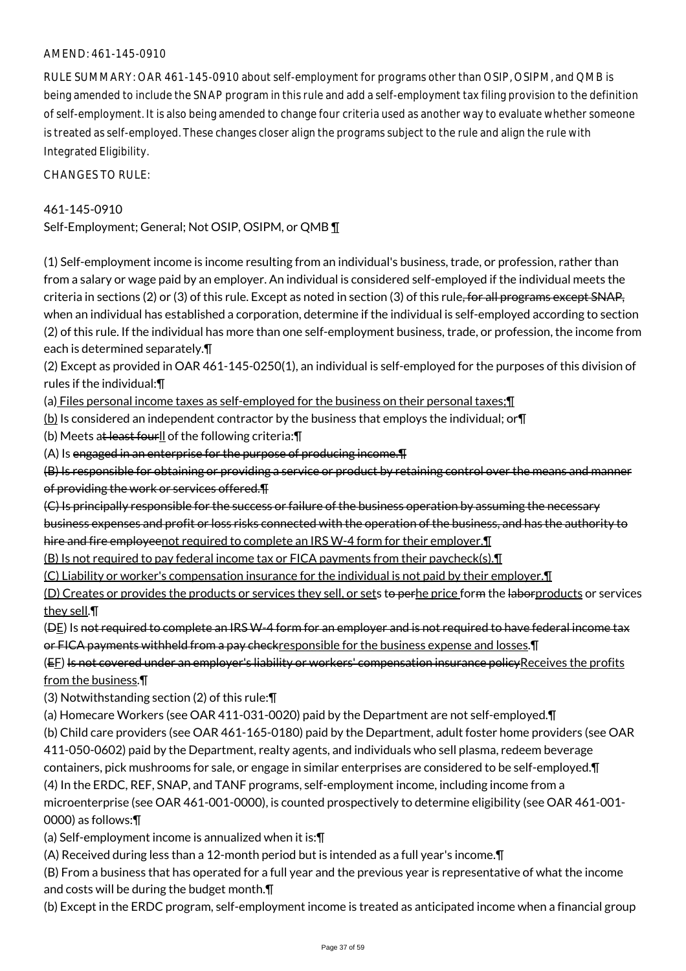### AMEND: 461-145-0910

RULE SUMMARY: OAR 461-145-0910 about self-employment for programs other than OSIP, OSIPM, and QMB is being amended to include the SNAP program in this rule and add a self-employment tax filing provision to the definition of self-employment. It is also being amended to change four criteria used as another way to evaluate whether someone is treated as self-employed. These changes closer align the programs subject to the rule and align the rule with Integrated Eligibility.

CHANGES TO RULE:

### 461-145-0910

Self-Employment; General; Not OSIP, OSIPM, or QMB 1

(1) Self-employment income is income resulting from an individual's business, trade, or profession, rather than from a salary or wage paid by an employer. An individual is considered self-employed if the individual meets the criteria in sections  $(2)$  or  $(3)$  of this rule. Except as noted in section  $(3)$  of this rule, for all programs except SNAP. when an individual has established a corporation, determine if the individual is self-employed according to section (2) of this rule. If the individual has more than one self-employment business, trade, or profession, the income from each is determined separately.¶

(2) Except as provided in OAR 461-145-0250(1), an individual is self-employed for the purposes of this division of rules if the individual:¶

(a) Files personal income taxes as self-employed for the business on their personal taxes;¶

(b) Is considered an independent contractor by the business that employs the individual; or¶

(b) Meets at least fourll of the following criteria: [1]

(A) Is engaged in an enterprise for the purpose of producing income.¶

(B) Is responsible for obtaining or providing a service or product by retaining control over the means and manner of providing the work or services offered.¶

(C) Is principally responsible for the success or failure of the business operation by assuming the necessary

business expenses and profit or loss risks connected with the operation of the business, and has the authority to

hire and fire employeenot required to complete an IRS W-4 form for their employer.

(B) Is not required to pay federal income tax or FICA payments from their paycheck(s).¶

(C) Liability or worker's compensation insurance for the individual is not paid by their employer.¶

(D) Creates or provides the products or services they sell, or sets to perhe price form the laborproducts or services they sell.¶

(DE) Is not required to complete an IRS W-4 form for an employer and is not required to have federal income tax

or FICA payments withheld from a pay checkresponsible for the business expense and losses.¶

(EF) Is not covered under an employer's liability or workers' compensation insurance policyReceives the profits from the business.

(3) Notwithstanding section (2) of this rule:¶

(a) Homecare Workers (see OAR 411-031-0020) paid by the Department are not self-employed.¶

(b) Child care providers (see OAR 461-165-0180) paid by the Department, adult foster home providers (see OAR

411-050-0602) paid by the Department, realty agents, and individuals who sell plasma, redeem beverage

containers, pick mushrooms for sale, or engage in similar enterprises are considered to be self-employed.¶

(4) In the ERDC, REF, SNAP, and TANF programs, self-employment income, including income from a microenterprise (see OAR 461-001-0000), is counted prospectively to determine eligibility (see OAR 461-001-

0000) as follows:¶

(a) Self-employment income is annualized when it is:¶

(A) Received during less than a 12-month period but is intended as a full year's income.¶

(B) From a business that has operated for a full year and the previous year is representative of what the income and costs will be during the budget month.¶

(b) Except in the ERDC program, self-employment income is treated as anticipated income when a financial group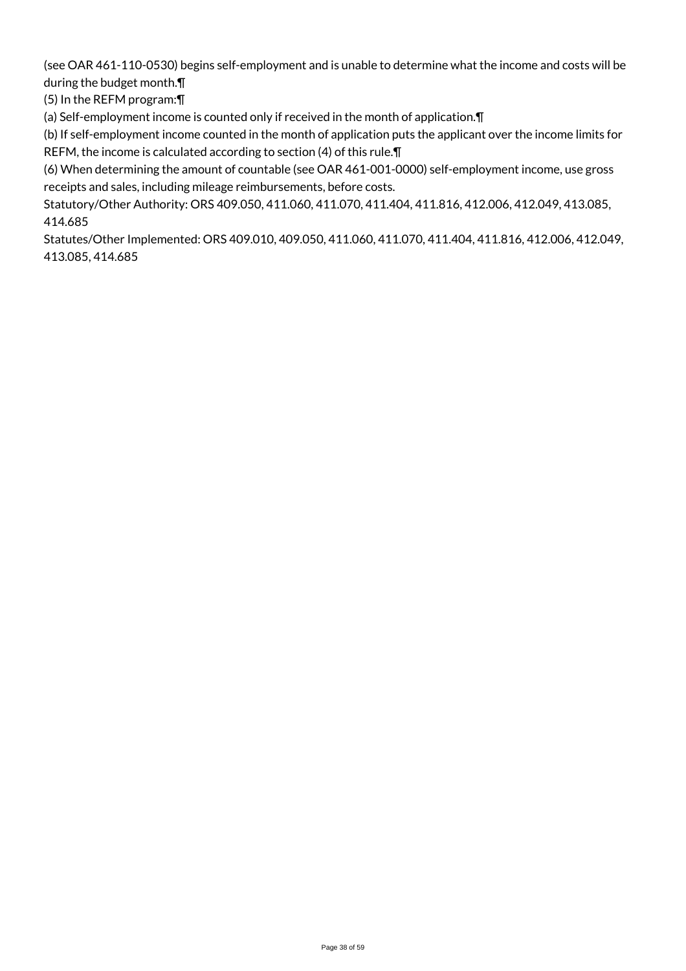(see OAR 461-110-0530) begins self-employment and is unable to determine what the income and costs will be during the budget month.¶

(5) In the REFM program:¶

(a) Self-employment income is counted only if received in the month of application.¶

(b) If self-employment income counted in the month of application puts the applicant over the income limits for REFM, the income is calculated according to section (4) of this rule.¶

(6) When determining the amount of countable (see OAR 461-001-0000) self-employment income, use gross receipts and sales, including mileage reimbursements, before costs.

Statutory/Other Authority: ORS 409.050, 411.060, 411.070, 411.404, 411.816, 412.006, 412.049, 413.085, 414.685

Statutes/Other Implemented: ORS 409.010, 409.050, 411.060, 411.070, 411.404, 411.816, 412.006, 412.049, 413.085, 414.685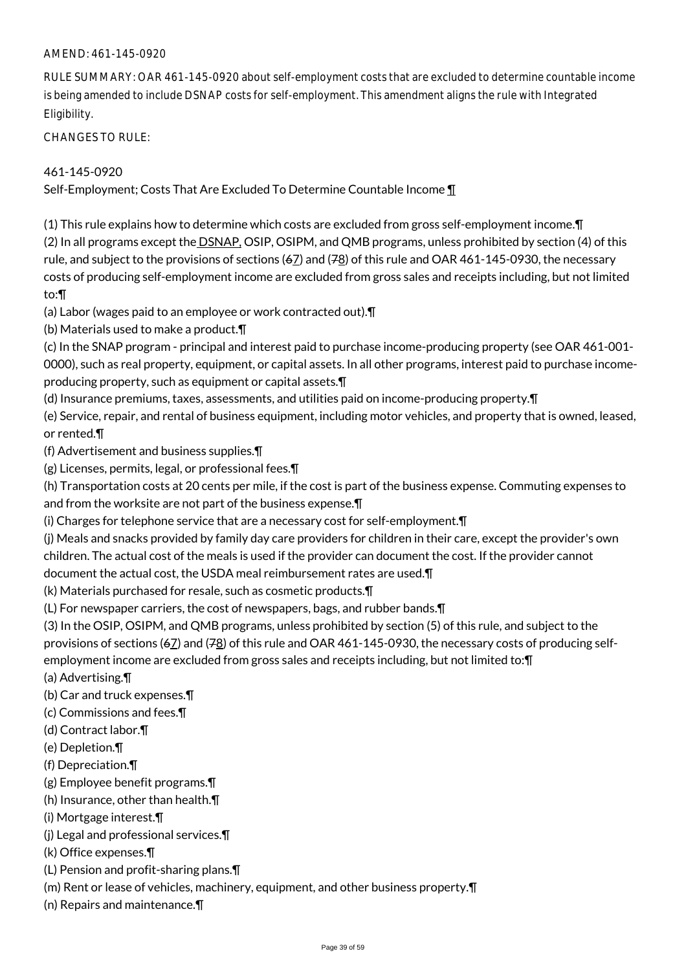### AMEND: 461-145-0920

RULE SUMMARY: OAR 461-145-0920 about self-employment costs that are excluded to determine countable income is being amended to include DSNAP costs for self-employment. This amendment aligns the rule with Integrated Eligibility.

CHANGES TO RULE:

461-145-0920

Self-Employment; Costs That Are Excluded To Determine Countable Income ¶

(1) This rule explains how to determine which costs are excluded from gross self-employment income.¶ (2) In all programs except the DSNAP, OSIP, OSIPM, and QMB programs, unless prohibited by section (4) of this rule, and subject to the provisions of sections  $(67)$  and  $(78)$  of this rule and OAR 461-145-0930, the necessary costs of producing self-employment income are excluded from gross sales and receipts including, but not limited to:¶

(a) Labor (wages paid to an employee or work contracted out).¶

(b) Materials used to make a product.¶

(c) In the SNAP program - principal and interest paid to purchase income-producing property (see OAR 461-001- 0000), such as real property, equipment, or capital assets. In all other programs, interest paid to purchase incomeproducing property, such as equipment or capital assets.¶

(d) Insurance premiums, taxes, assessments, and utilities paid on income-producing property.¶

(e) Service, repair, and rental of business equipment, including motor vehicles, and property that is owned, leased, or rented.¶

(f) Advertisement and business supplies.¶

(g) Licenses, permits, legal, or professional fees.¶

(h) Transportation costs at 20 cents per mile, if the cost is part of the business expense. Commuting expenses to and from the worksite are not part of the business expense.¶

(i) Charges for telephone service that are a necessary cost for self-employment.¶

(j) Meals and snacks provided by family day care providers for children in their care, except the provider's own children. The actual cost of the meals is used if the provider can document the cost. If the provider cannot

document the actual cost, the USDA meal reimbursement rates are used.¶

(k) Materials purchased for resale, such as cosmetic products.¶

(L) For newspaper carriers, the cost of newspapers, bags, and rubber bands.¶

(3) In the OSIP, OSIPM, and QMB programs, unless prohibited by section (5) of this rule, and subject to the provisions of sections ( $6Z$ ) and ( $78$ ) of this rule and OAR 461-145-0930, the necessary costs of producing selfemployment income are excluded from gross sales and receipts including, but not limited to:¶

(a) Advertising.¶

(b) Car and truck expenses.¶

- (c) Commissions and fees.¶
- (d) Contract labor.¶
- (e) Depletion.¶
- (f) Depreciation.¶
- (g) Employee benefit programs.¶
- (h) Insurance, other than health.¶
- (i) Mortgage interest.¶
- (j) Legal and professional services.¶
- (k) Office expenses.¶
- (L) Pension and profit-sharing plans.¶
- (m) Rent or lease of vehicles, machinery, equipment, and other business property.¶
- (n) Repairs and maintenance.¶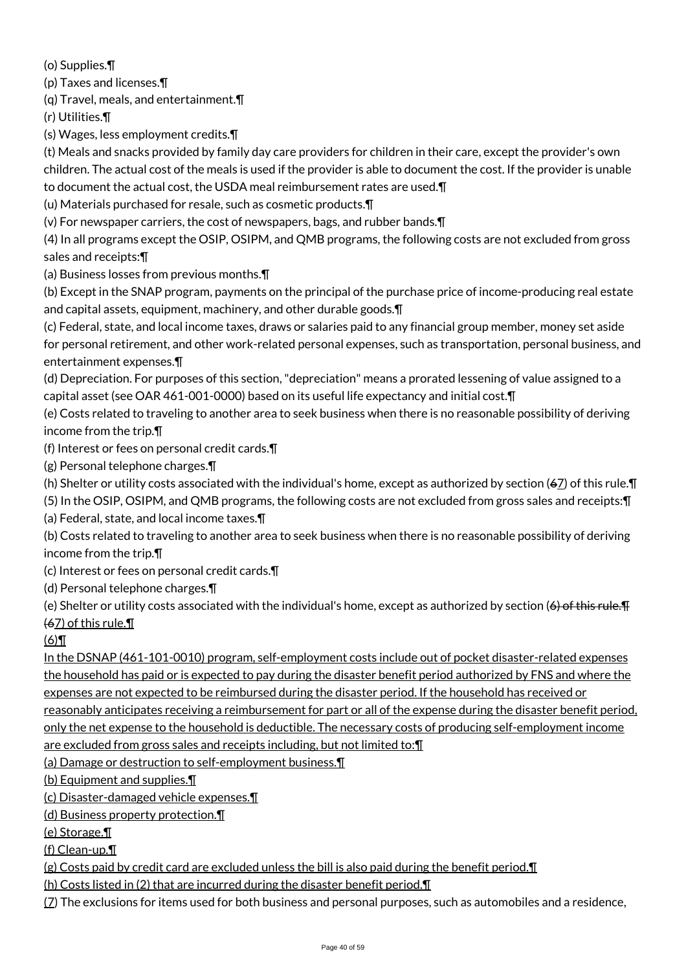(o) Supplies.¶

(p) Taxes and licenses.¶

(q) Travel, meals, and entertainment.¶

(r) Utilities.¶

(s) Wages, less employment credits.¶

(t) Meals and snacks provided by family day care providers for children in their care, except the provider's own children. The actual cost of the meals is used if the provider is able to document the cost. If the provider is unable to document the actual cost, the USDA meal reimbursement rates are used.¶

(u) Materials purchased for resale, such as cosmetic products.¶

(v) For newspaper carriers, the cost of newspapers, bags, and rubber bands.¶

(4) In all programs except the OSIP, OSIPM, and QMB programs, the following costs are not excluded from gross sales and receipts:¶

(a) Business losses from previous months.¶

(b) Except in the SNAP program, payments on the principal of the purchase price of income-producing real estate and capital assets, equipment, machinery, and other durable goods.¶

(c) Federal, state, and local income taxes, draws or salaries paid to any financial group member, money set aside for personal retirement, and other work-related personal expenses, such as transportation, personal business, and entertainment expenses.¶

(d) Depreciation. For purposes of this section, "depreciation" means a prorated lessening of value assigned to a capital asset (see OAR 461-001-0000) based on its useful life expectancy and initial cost.¶

(e) Costs related to traveling to another area to seek business when there is no reasonable possibility of deriving income from the trip.¶

(f) Interest or fees on personal credit cards.¶

(g) Personal telephone charges.¶

(h) Shelter or utility costs associated with the individual's home, except as authorized by section (67) of this rule. $\P$ 

(5) In the OSIP, OSIPM, and QMB programs, the following costs are not excluded from gross sales and receipts:¶

(a) Federal, state, and local income taxes.¶

(b) Costs related to traveling to another area to seek business when there is no reasonable possibility of deriving income from the trip.¶

(c) Interest or fees on personal credit cards.¶

(d) Personal telephone charges.¶

(e) Shelter or utility costs associated with the individual's home, except as authorized by section ( $\Theta$ ) of this rule.  $\Pi$ 

(67) of this rule.¶

 $(6)$ 

In the DSNAP (461-101-0010) program, self-employment costs include out of pocket disaster-related expenses the household has paid or is expected to pay during the disaster benefit period authorized by FNS and where the expenses are not expected to be reimbursed during the disaster period. If the household has received or

reasonably anticipates receiving a reimbursement for part or all of the expense during the disaster benefit period, only the net expense to the household is deductible. The necessary costs of producing self-employment income

are excluded from gross sales and receipts including, but not limited to:¶

(a) Damage or destruction to self-employment business.¶

(b) Equipment and supplies.¶

(c) Disaster-damaged vehicle expenses.¶

(d) Business property protection.¶

(e) Storage.¶

(f) Clean-up.¶

(g) Costs paid by credit card are excluded unless the bill is also paid during the benefit period.  $\P$ 

(h) Costs listed in (2) that are incurred during the disaster benefit period.¶

 $(7)$  The exclusions for items used for both business and personal purposes, such as automobiles and a residence,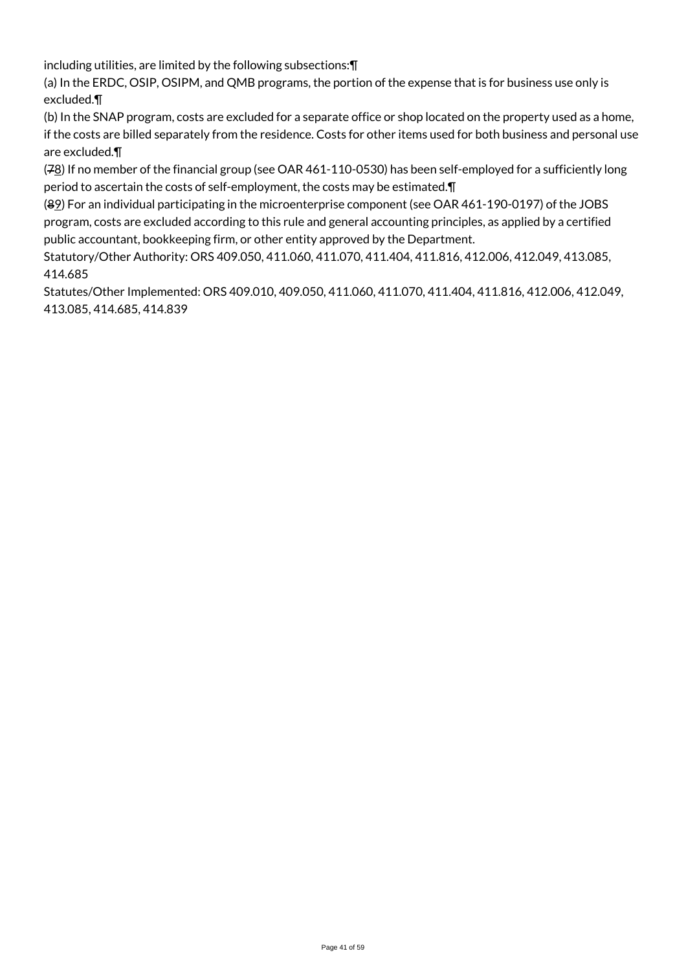including utilities, are limited by the following subsections:¶

(a) In the ERDC, OSIP, OSIPM, and QMB programs, the portion of the expense that is for business use only is excluded.¶

(b) In the SNAP program, costs are excluded for a separate office or shop located on the property used as a home, if the costs are billed separately from the residence. Costs for other items used for both business and personal use are excluded.¶

(78) If no member of the financial group (see OAR 461-110-0530) has been self-employed for a sufficiently long period to ascertain the costs of self-employment, the costs may be estimated.¶

(89) For an individual participating in the microenterprise component (see OAR 461-190-0197) of the JOBS program, costs are excluded according to this rule and general accounting principles, as applied by a certified public accountant, bookkeeping firm, or other entity approved by the Department.

Statutory/Other Authority: ORS 409.050, 411.060, 411.070, 411.404, 411.816, 412.006, 412.049, 413.085, 414.685

Statutes/Other Implemented: ORS 409.010, 409.050, 411.060, 411.070, 411.404, 411.816, 412.006, 412.049, 413.085, 414.685, 414.839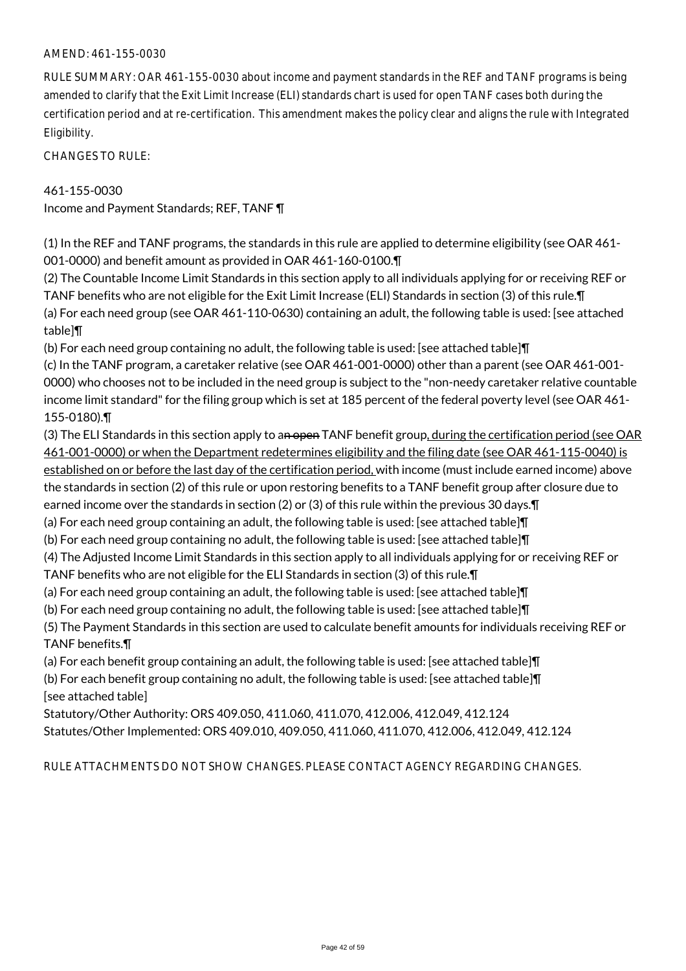#### AMEND: 461-155-0030

RULE SUMMARY: OAR 461-155-0030 about income and payment standards in the REF and TANF programs is being amended to clarify that the Exit Limit Increase (ELI) standards chart is used for open TANF cases both during the certification period and at re-certification. This amendment makes the policy clear and aligns the rule with Integrated Eligibility.

CHANGES TO RULE:

#### 461-155-0030

Income and Payment Standards; REF, TANF ¶

(1) In the REF and TANF programs, the standards in this rule are applied to determine eligibility (see OAR 461- 001-0000) and benefit amount as provided in OAR 461-160-0100.¶

(2) The Countable Income Limit Standards in this section apply to all individuals applying for or receiving REF or TANF benefits who are not eligible for the Exit Limit Increase (ELI) Standards in section (3) of this rule.¶ (a) For each need group (see OAR 461-110-0630) containing an adult, the following table is used: [see attached table]¶

(b) For each need group containing no adult, the following table is used: [see attached table]¶

(c) In the TANF program, a caretaker relative (see OAR 461-001-0000) other than a parent (see OAR 461-001- 0000) who chooses not to be included in the need group is subject to the "non-needy caretaker relative countable income limit standard" for the filing group which is set at 185 percent of the federal poverty level (see OAR 461- 155-0180).¶

- (3) The ELI Standards in this section apply to an open TANF benefit group, during the certification period (see OAR 461-001-0000) or when the Department redetermines eligibility and the filing date (see OAR 461-115-0040) is established on or before the last day of the certification period, with income (must include earned income) above the standards in section (2) of this rule or upon restoring benefits to a TANF benefit group after closure due to earned income over the standards in section (2) or (3) of this rule within the previous 30 days.¶
- (a) For each need group containing an adult, the following table is used: [see attached table]¶
- (b) For each need group containing no adult, the following table is used: [see attached table]¶
- (4) The Adjusted Income Limit Standards in this section apply to all individuals applying for or receiving REF or TANF benefits who are not eligible for the ELI Standards in section (3) of this rule.¶
- (a) For each need group containing an adult, the following table is used: [see attached table]¶
- (b) For each need group containing no adult, the following table is used: [see attached table]¶

(5) The Payment Standards in this section are used to calculate benefit amounts for individuals receiving REF or TANF benefits.¶

(a) For each benefit group containing an adult, the following table is used: [see attached table]¶

(b) For each benefit group containing no adult, the following table is used: [see attached table]¶ [see attached table]

Statutory/Other Authority: ORS 409.050, 411.060, 411.070, 412.006, 412.049, 412.124 Statutes/Other Implemented: ORS 409.010, 409.050, 411.060, 411.070, 412.006, 412.049, 412.124

RULE ATTACHMENTS DO NOT SHOW CHANGES. PLEASE CONTACT AGENCY REGARDING CHANGES.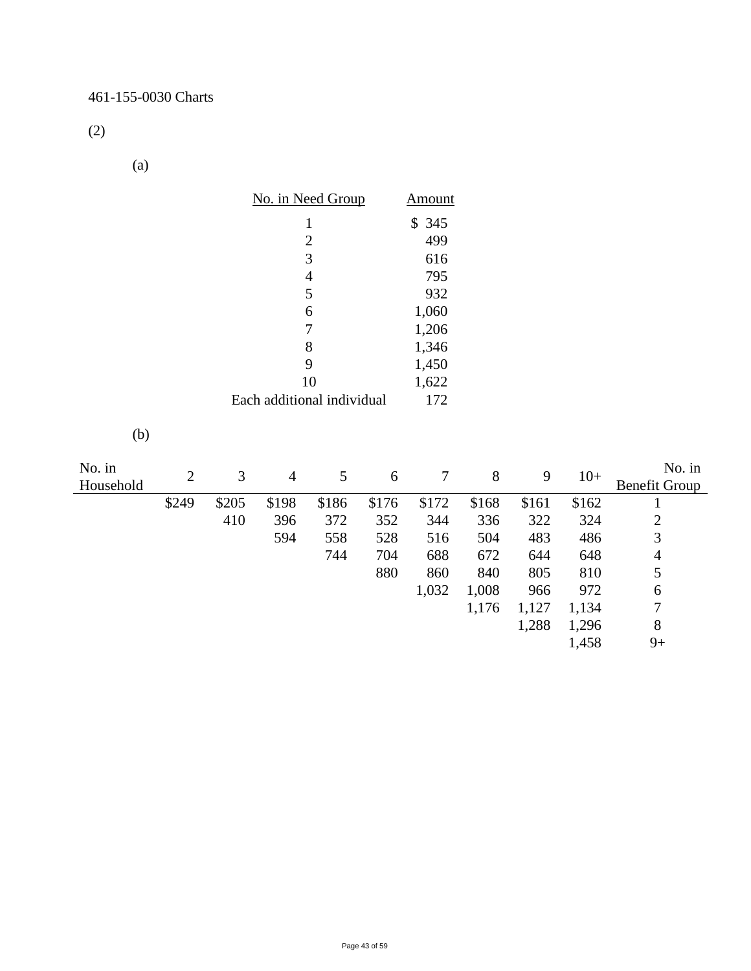(2)

(a)

|                     |                | No. in Need Group |                            |                  |       | <b>Amount</b>    |       |       |       |                                |
|---------------------|----------------|-------------------|----------------------------|------------------|-------|------------------|-------|-------|-------|--------------------------------|
|                     |                |                   | $\mathbf{1}$               |                  |       | \$345            |       |       |       |                                |
|                     |                |                   | $\overline{c}$             |                  |       | 499              |       |       |       |                                |
|                     |                |                   |                            | 3                |       | 616              |       |       |       |                                |
|                     |                |                   |                            | $\overline{4}$   |       | 795              |       |       |       |                                |
|                     |                |                   |                            | 5                |       | 932              |       |       |       |                                |
|                     |                |                   |                            | 6                |       | 1,060            |       |       |       |                                |
|                     |                |                   |                            | $\boldsymbol{7}$ |       | 1,206            |       |       |       |                                |
|                     |                |                   |                            | $8\,$            |       | 1,346            |       |       |       |                                |
|                     |                |                   |                            | 9                |       | 1,450            |       |       |       |                                |
|                     |                |                   |                            | 10               |       | 1,622            |       |       |       |                                |
|                     |                |                   | Each additional individual |                  |       | 172              |       |       |       |                                |
|                     |                |                   |                            |                  |       |                  |       |       |       |                                |
| (b)                 |                |                   |                            |                  |       |                  |       |       |       |                                |
| No. in<br>Household | $\overline{2}$ | 3                 | $\overline{4}$             | 5                | 6     | $\boldsymbol{7}$ | $8\,$ | 9     | $10+$ | No. in<br><b>Benefit Group</b> |
|                     | \$249          | \$205             | \$198                      | \$186            | \$176 | \$172            | \$168 | \$161 | \$162 | $\mathbf{1}$                   |
|                     |                | 410               | 396                        | 372              | 352   | 344              | 336   | 322   | 324   | $\frac{2}{3}$                  |
|                     |                |                   | 594                        | 558              | 528   | 516              | 504   | 483   | 486   |                                |
|                     |                |                   |                            | 744              | 704   | 688              | 672   | 644   | 648   | $\overline{4}$                 |
|                     |                |                   |                            |                  | 880   | 860              | 840   | 805   | 810   | 5                              |
|                     |                |                   |                            |                  |       | 1,032            | 1,008 | 966   | 972   | $\boldsymbol{6}$               |
|                     |                |                   |                            |                  |       |                  | 1,176 | 1,127 | 1,134 | $\boldsymbol{7}$               |
|                     |                |                   |                            |                  |       |                  |       | 1,288 | 1,296 | $8\,$                          |
|                     |                |                   |                            |                  |       |                  |       |       | 1,458 | $9+$                           |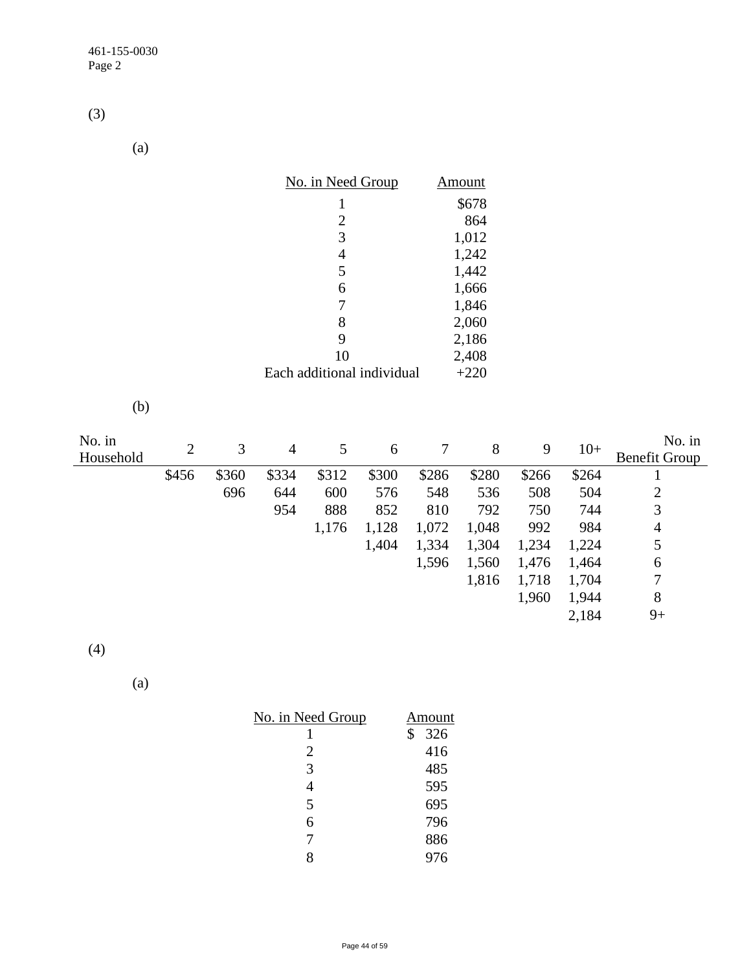(3)

(a)

| No. in Need Group          | Amount |
|----------------------------|--------|
| 1                          | \$678  |
| 2                          | 864    |
| 3                          | 1,012  |
| 4                          | 1,242  |
| 5                          | 1,442  |
| 6                          | 1,666  |
| 7                          | 1,846  |
| 8                          | 2,060  |
| 9                          | 2,186  |
| 10                         | 2,408  |
| Each additional individual | $+220$ |

(b)

| No. in<br>Household | 2     | 3     | 4     | 5     | 6     | 7     | 8     | 9     | $10+$ | No. in<br><b>Benefit Group</b> |
|---------------------|-------|-------|-------|-------|-------|-------|-------|-------|-------|--------------------------------|
|                     | \$456 | \$360 | \$334 | \$312 | \$300 | \$286 | \$280 | \$266 | \$264 |                                |
|                     |       | 696   | 644   | 600   | 576   | 548   | 536   | 508   | 504   | 2                              |
|                     |       |       | 954   | 888   | 852   | 810   | 792   | 750   | 744   | 3                              |
|                     |       |       |       | 1,176 | 1,128 | 1,072 | 1,048 | 992   | 984   | 4                              |
|                     |       |       |       |       | 1,404 | 1,334 | 1,304 | 1,234 | 1,224 | 5                              |
|                     |       |       |       |       |       | 1,596 | 1,560 | 1,476 | 1,464 | 6                              |
|                     |       |       |       |       |       |       | 1,816 | 1,718 | 1,704 | 7                              |
|                     |       |       |       |       |       |       |       | 1,960 | 1,944 | 8                              |
|                     |       |       |       |       |       |       |       |       | 2,184 | $9+$                           |

(4)

(a)

| <u>No. in Need Group</u> | Amount    |
|--------------------------|-----------|
|                          | \$<br>326 |
| $\overline{2}$           | 416       |
| 3                        | 485       |
| 4                        | 595       |
| 5                        | 695       |
| 6                        | 796       |
| 7                        | 886       |
|                          | 976       |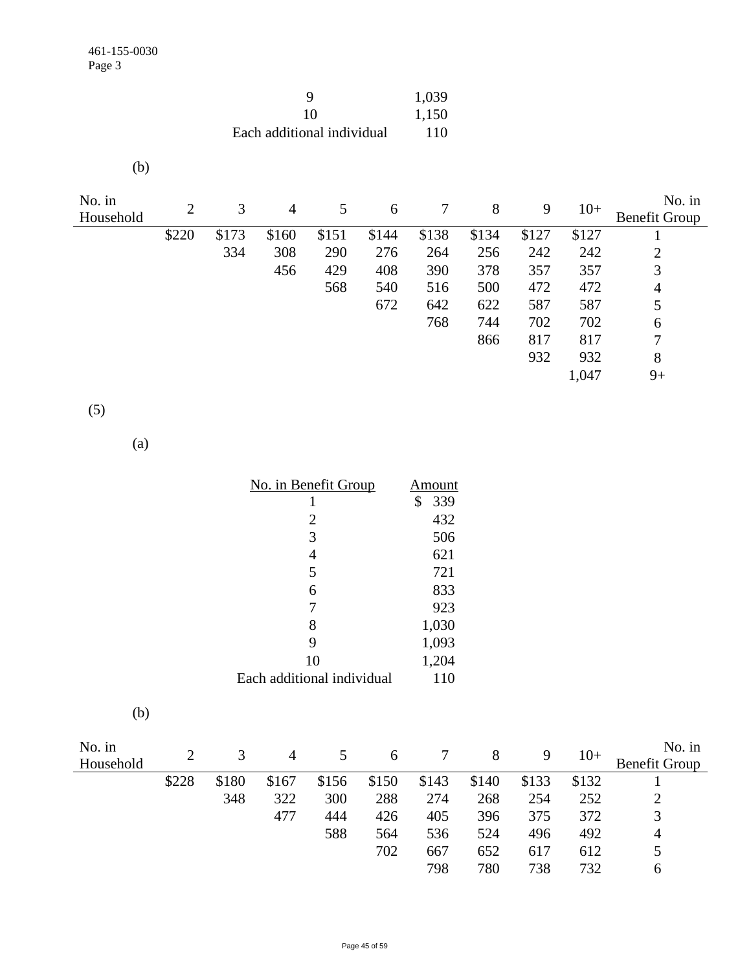| Q                          | 1,039 |
|----------------------------|-------|
| 10                         | 1,150 |
| Each additional individual | 110   |

(b)

| No. in    | 2     | 3     | 4     | 5     | 6     |       | 8     | 9     | $10+$ | No. in               |
|-----------|-------|-------|-------|-------|-------|-------|-------|-------|-------|----------------------|
| Household |       |       |       |       |       |       |       |       |       | <b>Benefit Group</b> |
|           | \$220 | \$173 | \$160 | \$151 | \$144 | \$138 | \$134 | \$127 | \$127 |                      |
|           |       | 334   | 308   | 290   | 276   | 264   | 256   | 242   | 242   | 2                    |
|           |       |       | 456   | 429   | 408   | 390   | 378   | 357   | 357   | 3                    |
|           |       |       |       | 568   | 540   | 516   | 500   | 472   | 472   | 4                    |
|           |       |       |       |       | 672   | 642   | 622   | 587   | 587   | 5                    |
|           |       |       |       |       |       | 768   | 744   | 702   | 702   | 6                    |
|           |       |       |       |       |       |       | 866   | 817   | 817   | 7                    |
|           |       |       |       |       |       |       |       | 932   | 932   | 8                    |
|           |       |       |       |       |       |       |       |       | 1,047 | $9+$                 |

(5)

(a)

| No. in Benefit Group       | Amount    |
|----------------------------|-----------|
| 1                          | \$<br>339 |
| $\overline{2}$             | 432       |
| 3                          | 506       |
| 4                          | 621       |
| 5                          | 721       |
| 6                          | 833       |
| 7                          | 923       |
| 8                          | 1,030     |
| 9                          | 1,093     |
| 10                         | 1,204     |
| Each additional individual | 110       |

| I |  |
|---|--|

| No. in<br>Household |       | 3     | 4     |       | 6     |       | 8     | 9     | $10+$ | No. in<br><b>Benefit Group</b> |
|---------------------|-------|-------|-------|-------|-------|-------|-------|-------|-------|--------------------------------|
|                     | \$228 | \$180 | \$167 | \$156 | \$150 | \$143 | \$140 | \$133 | \$132 |                                |
|                     |       | 348   | 322   | 300   | 288   | 274   | 268   | 254   | 252   |                                |
|                     |       |       | 477   | 444   | 426   | 405   | 396   | 375   | 372   | 3                              |
|                     |       |       |       | 588   | 564   | 536   | 524   | 496   | 492   | 4                              |
|                     |       |       |       |       | 702   | 667   | 652   | 617   | 612   |                                |
|                     |       |       |       |       |       | 798   | 780   | 738   | 732   | h                              |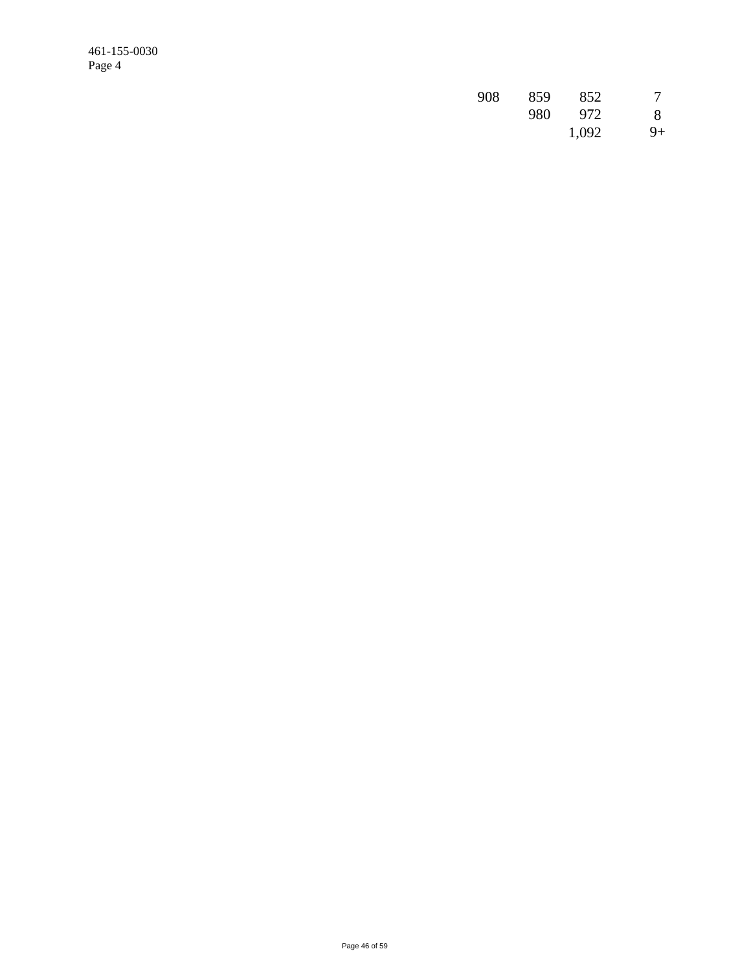461-155-0030 Page 4

| 908 | 859 | 852   |    |
|-----|-----|-------|----|
|     | 980 | 972   | 8  |
|     |     | 1,092 | 9+ |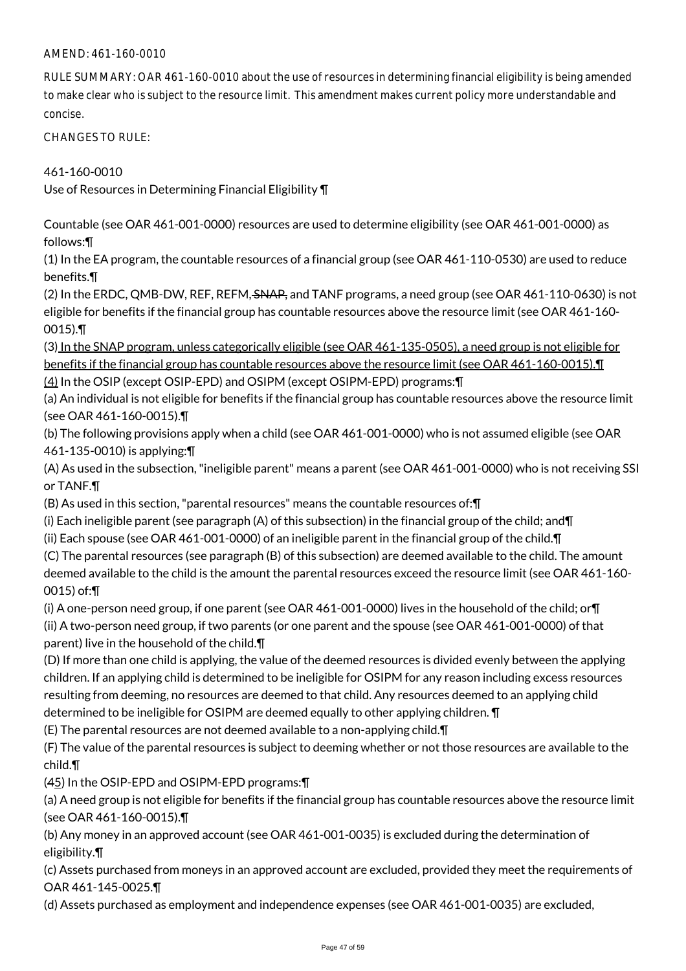### AMEND: 461-160-0010

RULE SUMMARY: OAR 461-160-0010 about the use of resources in determining financial eligibility is being amended to make clear who is subject to the resource limit. This amendment makes current policy more understandable and concise.

CHANGES TO RULE:

461-160-0010

Use of Resources in Determining Financial Eligibility ¶

Countable (see OAR 461-001-0000) resources are used to determine eligibility (see OAR 461-001-0000) as follows:¶

(1) In the EA program, the countable resources of a financial group (see OAR 461-110-0530) are used to reduce benefits.¶

(2) In the ERDC, QMB-DW, REF, REFM, SNAP, and TANF programs, a need group (see OAR 461-110-0630) is not eligible for benefits if the financial group has countable resources above the resource limit (see OAR 461-160- 0015).¶

(3) In the SNAP program, unless categorically eligible (see OAR 461-135-0505), a need group is not eligible for benefits if the financial group has countable resources above the resource limit (see OAR 461-160-0015). (4) In the OSIP (except OSIP-EPD) and OSIPM (except OSIPM-EPD) programs:¶

(a) An individual is not eligible for benefits if the financial group has countable resources above the resource limit (see OAR 461-160-0015).¶

(b) The following provisions apply when a child (see OAR 461-001-0000) who is not assumed eligible (see OAR 461-135-0010) is applying:¶

(A) As used in the subsection, "ineligible parent" means a parent (see OAR 461-001-0000) who is not receiving SSI or TANF.¶

(B) As used in this section, "parental resources" means the countable resources of:¶

(i) Each ineligible parent (see paragraph (A) of this subsection) in the financial group of the child; and¶

(ii) Each spouse (see OAR 461-001-0000) of an ineligible parent in the financial group of the child.¶

(C) The parental resources (see paragraph (B) of this subsection) are deemed available to the child. The amount deemed available to the child is the amount the parental resources exceed the resource limit (see OAR 461-160- 0015) of:¶

(i) A one-person need group, if one parent (see OAR 461-001-0000) lives in the household of the child; or¶ (ii) A two-person need group, if two parents (or one parent and the spouse (see OAR 461-001-0000) of that parent) live in the household of the child.¶

(D) If more than one child is applying, the value of the deemed resources is divided evenly between the applying children. If an applying child is determined to be ineligible for OSIPM for any reason including excess resources resulting from deeming, no resources are deemed to that child. Any resources deemed to an applying child determined to be ineligible for OSIPM are deemed equally to other applying children. ¶

(E) The parental resources are not deemed available to a non-applying child.¶

(F) The value of the parental resources is subject to deeming whether or not those resources are available to the child.¶

(45) In the OSIP-EPD and OSIPM-EPD programs:¶

(a) A need group is not eligible for benefits if the financial group has countable resources above the resource limit (see OAR 461-160-0015).¶

(b) Any money in an approved account (see OAR 461-001-0035) is excluded during the determination of eligibility.¶

(c) Assets purchased from moneys in an approved account are excluded, provided they meet the requirements of OAR 461-145-0025.¶

(d) Assets purchased as employment and independence expenses (see OAR 461-001-0035) are excluded,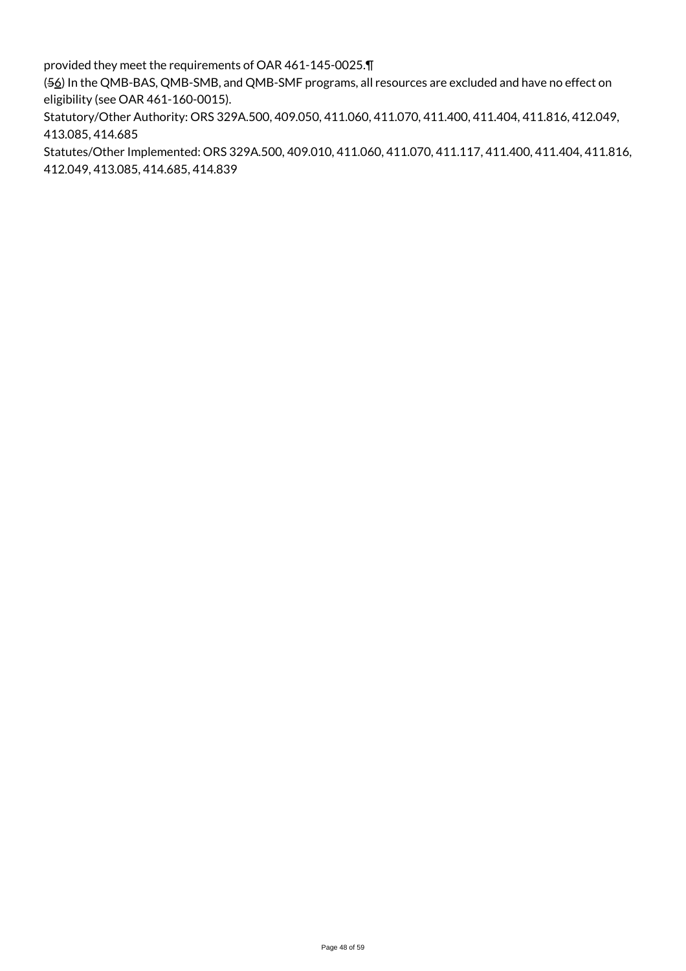provided they meet the requirements of OAR 461-145-0025.¶

(56) In the QMB-BAS, QMB-SMB, and QMB-SMF programs, all resources are excluded and have no effect on eligibility (see OAR 461-160-0015).

Statutory/Other Authority: ORS 329A.500, 409.050, 411.060, 411.070, 411.400, 411.404, 411.816, 412.049, 413.085, 414.685

Statutes/Other Implemented: ORS 329A.500, 409.010, 411.060, 411.070, 411.117, 411.400, 411.404, 411.816, 412.049, 413.085, 414.685, 414.839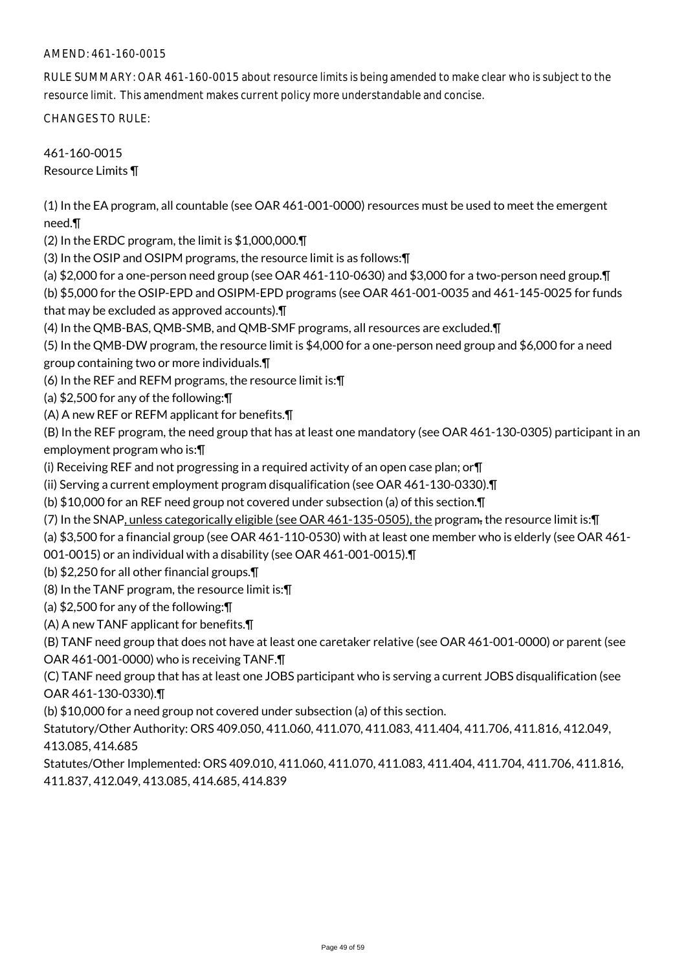### AMEND: 461-160-0015

RULE SUMMARY: OAR 461-160-0015 about resource limits is being amended to make clear who is subject to the resource limit. This amendment makes current policy more understandable and concise.

CHANGES TO RULE:

461-160-0015 Resource Limits ¶

(1) In the EA program, all countable (see OAR 461-001-0000) resources must be used to meet the emergent need.¶

(2) In the ERDC program, the limit is \$1,000,000.¶

(3) In the OSIP and OSIPM programs, the resource limit is as follows:¶

(a) \$2,000 for a one-person need group (see OAR 461-110-0630) and \$3,000 for a two-person need group.¶

(b) \$5,000 for the OSIP-EPD and OSIPM-EPD programs (see OAR 461-001-0035 and 461-145-0025 for funds that may be excluded as approved accounts).¶

(4) In the QMB-BAS, QMB-SMB, and QMB-SMF programs, all resources are excluded.¶

(5) In the QMB-DW program, the resource limit is \$4,000 for a one-person need group and \$6,000 for a need

group containing two or more individuals.¶

(6) In the REF and REFM programs, the resource limit is:¶

(a) \$2,500 for any of the following:¶

(A) A new REF or REFM applicant for benefits.¶

(B) In the REF program, the need group that has at least one mandatory (see OAR 461-130-0305) participant in an employment program who is:¶

(i) Receiving REF and not progressing in a required activity of an open case plan; or¶

(ii) Serving a current employment program disqualification (see OAR 461-130-0330).¶

(b) \$10,000 for an REF need group not covered under subsection (a) of this section.¶

(7) In the SNAP, unless categorically eligible (see OAR 461-135-0505), the program, the resource limit is:¶

(a) \$3,500 for a financial group (see OAR 461-110-0530) with at least one member who is elderly (see OAR 461-

001-0015) or an individual with a disability (see OAR 461-001-0015).¶

(b) \$2,250 for all other financial groups.¶

(8) In the TANF program, the resource limit is:¶

(a) \$2,500 for any of the following:¶

(A) A new TANF applicant for benefits.¶

(B) TANF need group that does not have at least one caretaker relative (see OAR 461-001-0000) or parent (see OAR 461-001-0000) who is receiving TANF.¶

(C) TANF need group that has at least one JOBS participant who is serving a current JOBS disqualification (see OAR 461-130-0330).¶

(b) \$10,000 for a need group not covered under subsection (a) of this section.

Statutory/Other Authority: ORS 409.050, 411.060, 411.070, 411.083, 411.404, 411.706, 411.816, 412.049, 413.085, 414.685

Statutes/Other Implemented: ORS 409.010, 411.060, 411.070, 411.083, 411.404, 411.704, 411.706, 411.816, 411.837, 412.049, 413.085, 414.685, 414.839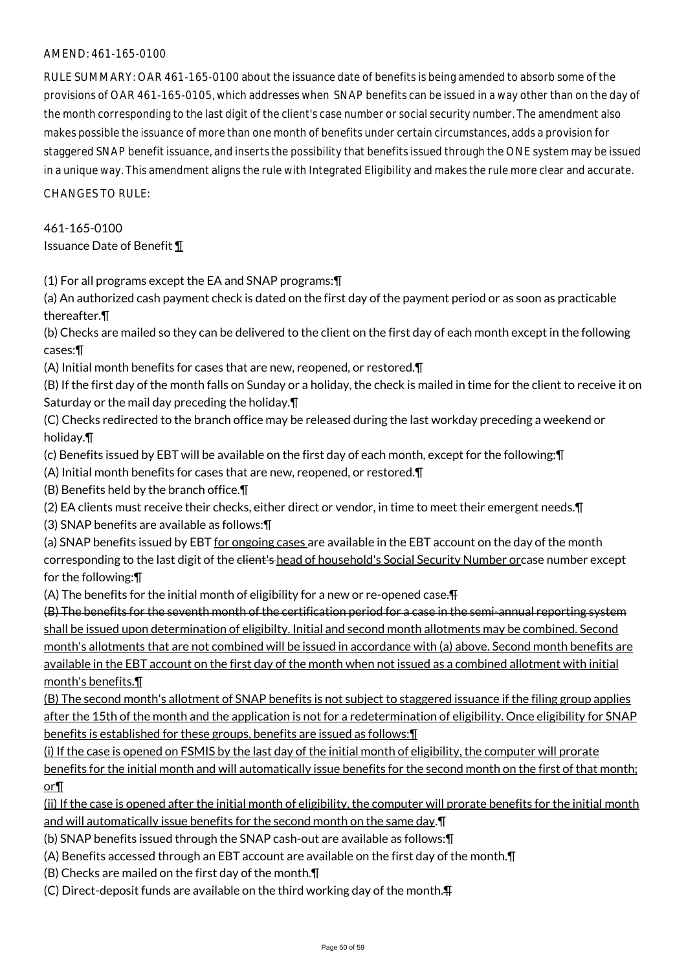#### AMEND: 461-165-0100

RULE SUMMARY: OAR 461-165-0100 about the issuance date of benefits is being amended to absorb some of the provisions of OAR 461-165-0105, which addresses when SNAP benefits can be issued in a way other than on the day of the month corresponding to the last digit of the client's case number or social security number. The amendment also makes possible the issuance of more than one month of benefits under certain circumstances, adds a provision for staggered SNAP benefit issuance, and inserts the possibility that benefits issued through the ONE system may be issued in a unique way. This amendment aligns the rule with Integrated Eligibility and makes the rule more clear and accurate. CHANGES TO RULE:

461-165-0100

Issuance Date of Benefit ¶

(1) For all programs except the EA and SNAP programs:¶

(a) An authorized cash payment check is dated on the first day of the payment period or as soon as practicable thereafter.¶

(b) Checks are mailed so they can be delivered to the client on the first day of each month except in the following cases:¶

(A) Initial month benefits for cases that are new, reopened, or restored.¶

(B) If the first day of the month falls on Sunday or a holiday, the check is mailed in time for the client to receive it on Saturday or the mail day preceding the holiday.¶

(C) Checks redirected to the branch office may be released during the last workday preceding a weekend or holiday.¶

(c) Benefits issued by EBT will be available on the first day of each month, except for the following:¶

(A) Initial month benefits for cases that are new, reopened, or restored.¶

(B) Benefits held by the branch office.¶

(2) EA clients must receive their checks, either direct or vendor, in time to meet their emergent needs.¶

(3) SNAP benefits are available as follows:¶

(a) SNAP benefits issued by EBT for ongoing cases are available in the EBT account on the day of the month corresponding to the last digit of the client's head of household's Social Security Number orcase number except for the following:¶

(A) The benefits for the initial month of eligibility for a new or re-opened case. $\overline{F}$ 

(B) The benefits for the seventh month of the certification period for a case in the semi-annual reporting system shall be issued upon determination of eligibilty. Initial and second month allotments may be combined. Second month's allotments that are not combined will be issued in accordance with (a) above. Second month benefits are available in the EBT account on the first day of the month when not issued as a combined allotment with initial month's benefits.¶

(B) The second month's allotment of SNAP benefits is not subject to staggered issuance if the filing group applies after the 15th of the month and the application is not for a redetermination of eligibility. Once eligibility for SNAP benefits is established for these groups, benefits are issued as follows:¶

(i) If the case is opened on FSMIS by the last day of the initial month of eligibility, the computer will prorate

benefits for the initial month and will automatically issue benefits for the second month on the first of that month; or¶

(ii) If the case is opened after the initial month of eligibility, the computer will prorate benefits for the initial month and will automatically issue benefits for the second month on the same day.¶

(b) SNAP benefits issued through the SNAP cash-out are available as follows:¶

(A) Benefits accessed through an EBT account are available on the first day of the month.¶

(B) Checks are mailed on the first day of the month.¶

(C) Direct-deposit funds are available on the third working day of the month.¶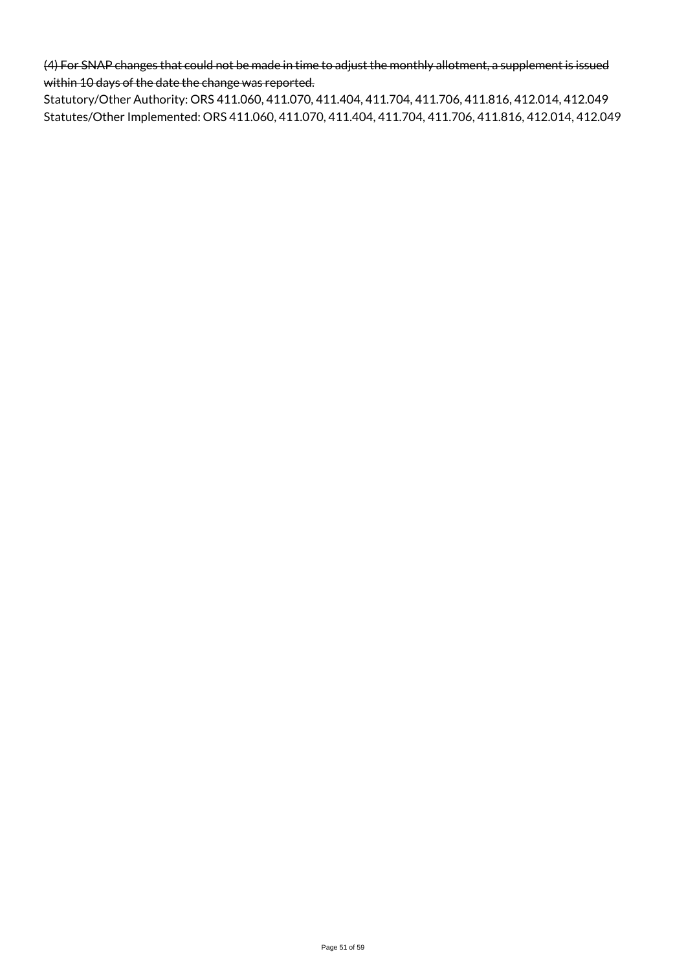(4) For SNAP changes that could not be made in time to adjust the monthly allotment, a supplement is issued within 10 days of the date the change was reported.

Statutory/Other Authority: ORS 411.060, 411.070, 411.404, 411.704, 411.706, 411.816, 412.014, 412.049 Statutes/Other Implemented: ORS 411.060, 411.070, 411.404, 411.704, 411.706, 411.816, 412.014, 412.049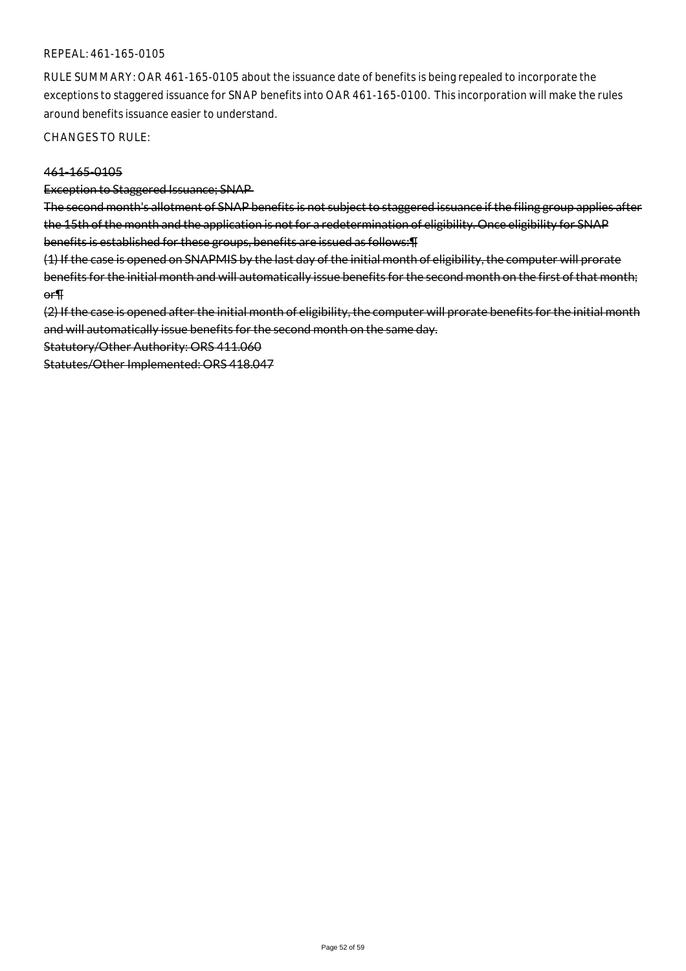#### REPEAL: 461-165-0105

RULE SUMMARY: OAR 461-165-0105 about the issuance date of benefits is being repealed to incorporate the exceptions to staggered issuance for SNAP benefits into OAR 461-165-0100. This incorporation will make the rules around benefits issuance easier to understand.

CHANGES TO RULE:

#### 461-165-0105

#### Exception to Staggered Issuance; SNAP

The second month's allotment of SNAP benefits is not subject to staggered issuance if the filing group applies after the 15th of the month and the application is not for a redetermination of eligibility. Once eligibility for SNAP benefits is established for these groups, benefits are issued as follows:¶

(1) If the case is opened on SNAPMIS by the last day of the initial month of eligibility, the computer will prorate benefits for the initial month and will automatically issue benefits for the second month on the first of that month; or¶

(2) If the case is opened after the initial month of eligibility, the computer will prorate benefits for the initial month and will automatically issue benefits for the second month on the same day.

Statutory/Other Authority: ORS 411.060

Statutes/Other Implemented: ORS 418.047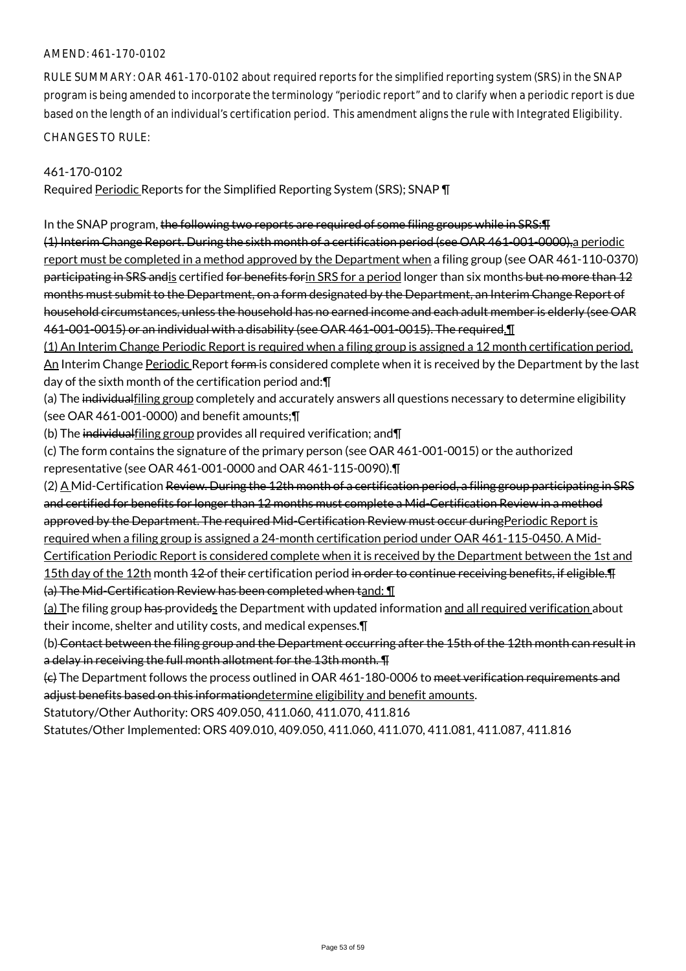#### AMEND: 461-170-0102

RULE SUMMARY: OAR 461-170-0102 about required reports for the simplified reporting system (SRS) in the SNAP program is being amended to incorporate the terminology "periodic report" and to clarify when a periodic report is due based on the length of an individual's certification period. This amendment aligns the rule with Integrated Eligibility. CHANGES TO RULE:

#### 461-170-0102

Required Periodic Reports for the Simplified Reporting System (SRS); SNAP ¶

In the SNAP program, the following two reports are required of some filing groups while in SRS:¶ (1) Interim Change Report. During the sixth month of a certification period (see OAR 461-001-0000),a periodic report must be completed in a method approved by the Department when a filing group (see OAR 461-110-0370) participating in SRS andis certified for benefits forin SRS for a period longer than six months but no more than 12 months must submit to the Department, on a form designated by the Department, an Interim Change Report of household circumstances, unless the household has no earned income and each adult member is elderly (see OAR 461-001-0015) or an individual with a disability (see OAR 461-001-0015). The required.¶

(1) An Interim Change Periodic Report is required when a filing group is assigned a 12 month certification period. An Interim Change Periodic Report form is considered complete when it is received by the Department by the last day of the sixth month of the certification period and:¶

(a) The individualfiling group completely and accurately answers all questions necessary to determine eligibility (see OAR 461-001-0000) and benefit amounts;¶

(b) The individualfiling group provides all required verification; and¶

(c) The form contains the signature of the primary person (see OAR 461-001-0015) or the authorized representative (see OAR 461-001-0000 and OAR 461-115-0090).¶

(2) A Mid-Certification Review. During the 12th month of a certification period, a filing group participating in SRS and certified for benefits for longer than 12 months must complete a Mid-Certification Review in a method approved by the Department. The required Mid-Certification Review must occur during Periodic Report is required when a filing group is assigned a 24-month certification period under OAR 461-115-0450. A Mid-Certification Periodic Report is considered complete when it is received by the Department between the 1st and

15th day of the 12th month 42-of their certification period in order to continue receiving benefits, if eligible. T (a) The Mid-Certification Review has been completed when tand: ¶

(a) The filing group has provideds the Department with updated information and all required verification about their income, shelter and utility costs, and medical expenses.¶

(b) Contact between the filing group and the Department occurring after the 15th of the 12th month can result in a delay in receiving the full month allotment for the 13th month. TH

(c) The Department follows the process outlined in OAR 461-180-0006 to meet verification requirements and adjust benefits based on this informationdetermine eligibility and benefit amounts.

Statutory/Other Authority: ORS 409.050, 411.060, 411.070, 411.816

Statutes/Other Implemented: ORS 409.010, 409.050, 411.060, 411.070, 411.081, 411.087, 411.816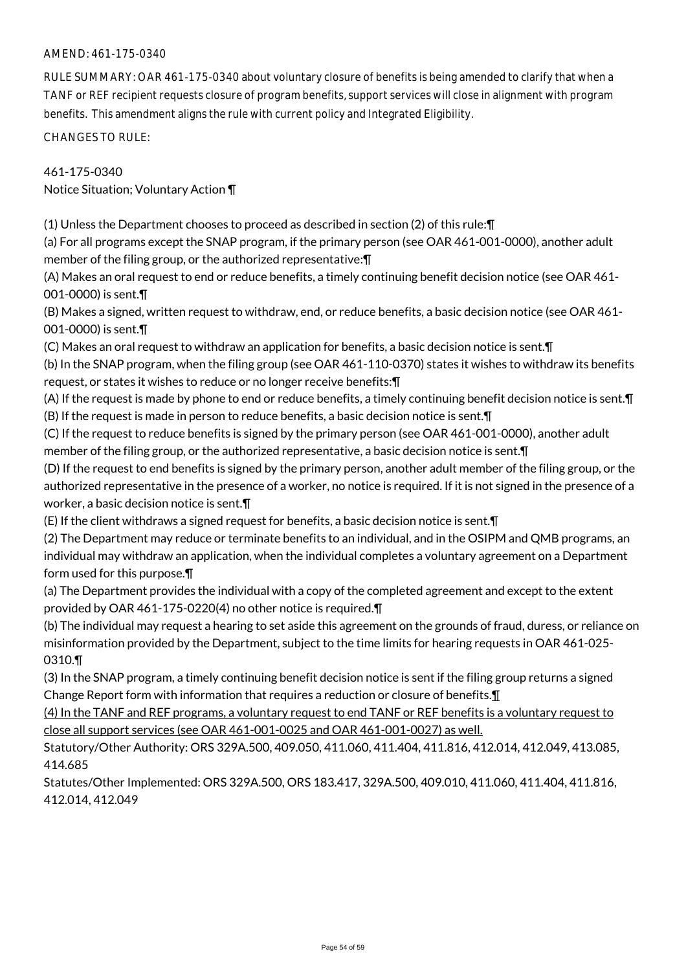### AMEND: 461-175-0340

RULE SUMMARY: OAR 461-175-0340 about voluntary closure of benefits is being amended to clarify that when a TANF or REF recipient requests closure of program benefits, support services will close in alignment with program benefits. This amendment aligns the rule with current policy and Integrated Eligibility.

CHANGES TO RULE:

461-175-0340 Notice Situation; Voluntary Action ¶

(1) Unless the Department chooses to proceed as described in section (2) of this rule:¶

(a) For all programs except the SNAP program, if the primary person (see OAR 461-001-0000), another adult member of the filing group, or the authorized representative:¶

(A) Makes an oral request to end or reduce benefits, a timely continuing benefit decision notice (see OAR 461- 001-0000) is sent.¶

(B) Makes a signed, written request to withdraw, end, or reduce benefits, a basic decision notice (see OAR 461- 001-0000) is sent.¶

(C) Makes an oral request to withdraw an application for benefits, a basic decision notice is sent.¶

(b) In the SNAP program, when the filing group (see OAR 461-110-0370) states it wishes to withdraw its benefits request, or states it wishes to reduce or no longer receive benefits:¶

(A) If the request is made by phone to end or reduce benefits, a timely continuing benefit decision notice is sent.¶ (B) If the request is made in person to reduce benefits, a basic decision notice is sent.¶

(C) If the request to reduce benefits is signed by the primary person (see OAR 461-001-0000), another adult member of the filing group, or the authorized representative, a basic decision notice is sent.¶

(D) If the request to end benefits is signed by the primary person, another adult member of the filing group, or the authorized representative in the presence of a worker, no notice is required. If it is not signed in the presence of a worker, a basic decision notice is sent.¶

(E) If the client withdraws a signed request for benefits, a basic decision notice is sent.¶

(2) The Department may reduce or terminate benefits to an individual, and in the OSIPM and QMB programs, an individual may withdraw an application, when the individual completes a voluntary agreement on a Department form used for this purpose.¶

(a) The Department provides the individual with a copy of the completed agreement and except to the extent provided by OAR 461-175-0220(4) no other notice is required.¶

(b) The individual may request a hearing to set aside this agreement on the grounds of fraud, duress, or reliance on misinformation provided by the Department, subject to the time limits for hearing requests in OAR 461-025- 0310.¶

(3) In the SNAP program, a timely continuing benefit decision notice is sent if the filing group returns a signed Change Report form with information that requires a reduction or closure of benefits.¶

(4) In the TANF and REF programs, a voluntary request to end TANF or REF benefits is a voluntary request to close all support services (see OAR 461-001-0025 and OAR 461-001-0027) as well.

Statutory/Other Authority: ORS 329A.500, 409.050, 411.060, 411.404, 411.816, 412.014, 412.049, 413.085, 414.685

Statutes/Other Implemented: ORS 329A.500, ORS 183.417, 329A.500, 409.010, 411.060, 411.404, 411.816, 412.014, 412.049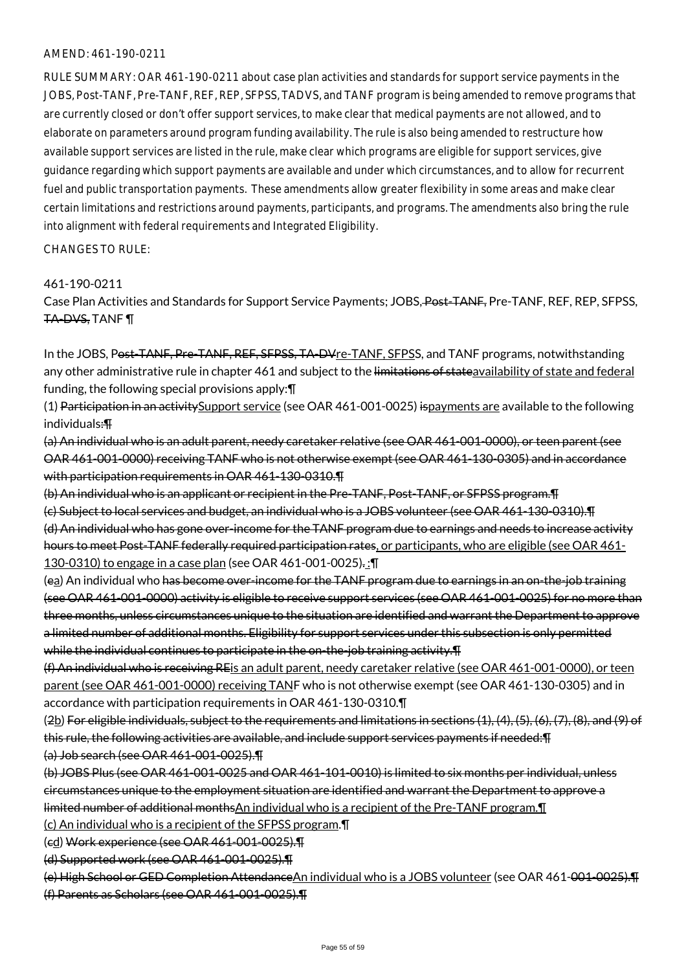#### AMEND: 461-190-0211

RULE SUMMARY: OAR 461-190-0211 about case plan activities and standards for support service payments in the JOBS, Post-TANF, Pre-TANF, REF, REP, SFPSS, TADVS, and TANF program is being amended to remove programs that are currently closed or don't offer support services, to make clear that medical payments are not allowed, and to elaborate on parameters around program funding availability. The rule is also being amended to restructure how available support services are listed in the rule, make clear which programs are eligible for support services, give guidance regarding which support payments are available and under which circumstances, and to allow for recurrent fuel and public transportation payments. These amendments allow greater flexibility in some areas and make clear certain limitations and restrictions around payments, participants, and programs. The amendments also bring the rule into alignment with federal requirements and Integrated Eligibility.

CHANGES TO RULE:

#### 461-190-0211

Case Plan Activities and Standards for Support Service Payments; JOBS, Post-TANF, Pre-TANF, REF, REP, SFPSS, TA-DVS, TANF ¶

In the JOBS, Post-TANF, Pre-TANF, REF, SFPSS, TA-DVre-TANF, SFPSS, and TANF programs, notwithstanding any other administrative rule in chapter 461 and subject to the limitations of stateavailability of state and federal funding, the following special provisions apply:¶

(1) Participation in an activity Support service (see OAR 461-001-0025) ispayments are available to the following individuals:¶

(a) An individual who is an adult parent, needy caretaker relative (see OAR 461-001-0000), or teen parent (see OAR 461-001-0000) receiving TANF who is not otherwise exempt (see OAR 461-130-0305) and in accordance with participation requirements in OAR 461-130-0310.¶

(b) An individual who is an applicant or recipient in the Pre-TANF, Post-TANF, or SFPSS program.¶ (c) Subject to local services and budget, an individual who is a JOBS volunteer (see OAR 461-130-0310).¶ (d) An individual who has gone over-income for the TANF program due to earnings and needs to increase activity hours to meet Post-TANF federally required participation rates, or participants, who are eligible (see OAR 461- 130-0310) to engage in a case plan (see OAR 461-001-0025). :¶

(ea) An individual who has become over-income for the TANF program due to earnings in an on-the-job training (see OAR 461-001-0000) activity is eligible to receive support services (see OAR 461-001-0025) for no more than three months, unless circumstances unique to the situation are identified and warrant the Department to approve a limited number of additional months. Eligibility for support services under this subsection is only permitted while the individual continues to participate in the on-the-job training activity.¶

(f) An individual who is receiving REis an adult parent, needy caretaker relative (see OAR 461-001-0000), or teen parent (see OAR 461-001-0000) receiving TANF who is not otherwise exempt (see OAR 461-130-0305) and in accordance with participation requirements in OAR 461-130-0310.¶

 $(2\underline{b})$  For eligible individuals, subject to the requirements and limitations in sections  $(1), (4), (5), (6), (7), (8),$  and  $(9)$  of this rule, the following activities are available, and include support services payments if needed:¶ (a) Job search (see OAR 461-001-0025).¶

(b) JOBS Plus (see OAR 461-001-0025 and OAR 461-101-0010) is limited to six months per individual, unless circumstances unique to the employment situation are identified and warrant the Department to approve a limited number of additional monthsAn individual who is a recipient of the Pre-TANF program.¶

(c) An individual who is a recipient of the SFPSS program.¶

(cd) Work experience (see OAR 461-001-0025).¶

(d) Supported work (see OAR 461-001-0025).¶

(e) High School or GED Completion AttendanceAn individual who is a JOBS volunteer (see OAR 461-001-0025).¶ (f) Parents as Scholars (see OAR 461-001-0025).¶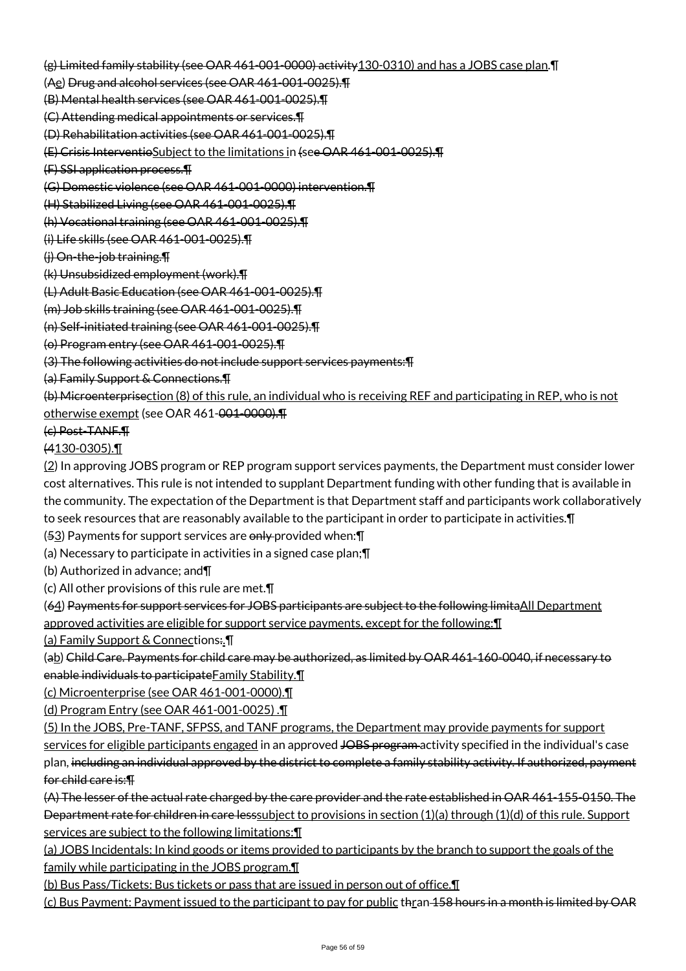(g) Limited family stability (see OAR 461-001-0000) activity130-0310) and has a JOBS case plan.¶

(Ae) Drug and alcohol services (see OAR 461-001-0025).¶

(B) Mental health services (see OAR 461-001-0025).¶

(C) Attending medical appointments or services.¶

(D) Rehabilitation activities (see OAR 461-001-0025).¶

(E) Crisis InterventioSubject to the limitations in (see OAR 461-001-0025).¶

(F) SSI application process.¶

(G) Domestic violence (see OAR 461-001-0000) intervention.¶

(H) Stabilized Living (see OAR 461-001-0025).¶

(h) Vocational training (see OAR 461-001-0025).¶

(i) Life skills (see OAR 461-001-0025).¶

(j) On-the-job training.¶

(k) Unsubsidized employment (work).¶

(L) Adult Basic Education (see OAR 461-001-0025).¶

(m) Job skills training (see OAR 461-001-0025).¶

(n) Self-initiated training (see OAR 461-001-0025).¶

(o) Program entry (see OAR 461-001-0025).¶

(3) The following activities do not include support services payments:¶

(a) Family Support & Connections.¶

(b) Microenterprisection (8) of this rule, an individual who is receiving REF and participating in REP, who is not otherwise exempt (see OAR 461-001-0000).¶

(c) Post-TANF.¶

(4130-0305).¶

(2) In approving JOBS program or REP program support services payments, the Department must consider lower cost alternatives. This rule is not intended to supplant Department funding with other funding that is available in the community. The expectation of the Department is that Department staff and participants work collaboratively to seek resources that are reasonably available to the participant in order to participate in activities.¶

 $(53)$  Payments for support services are only provided when:  $\P$ 

(a) Necessary to participate in activities in a signed case plan;¶

(b) Authorized in advance; and¶

(c) All other provisions of this rule are met.¶

(64) Payments for support services for JOBS participants are subject to the following limitaAll Department

approved activities are eligible for support service payments, except for the following:¶

(a) Family Support & Connections:.¶

(ab) Child Care. Payments for child care may be authorized, as limited by OAR 461-160-0040, if necessary to enable individuals to participateFamily Stability.¶

(c) Microenterprise (see OAR 461-001-0000).¶

(d) Program Entry (see OAR 461-001-0025) .¶

(5) In the JOBS, Pre-TANF, SFPSS, and TANF programs, the Department may provide payments for support

services for eligible participants engaged in an approved JOBS program activity specified in the individual's case plan, including an individual approved by the district to complete a family stability activity. If authorized, payment for child care is:¶

(A) The lesser of the actual rate charged by the care provider and the rate established in OAR 461-155-0150. The Department rate for children in care lesssubject to provisions in section (1)(a) through (1)(d) of this rule. Support services are subject to the following limitations:¶

(a) JOBS Incidentals: In kind goods or items provided to participants by the branch to support the goals of the family while participating in the JOBS program.¶

(b) Bus Pass/Tickets: Bus tickets or pass that are issued in person out of office.¶

(c) Bus Payment: Payment issued to the participant to pay for public thran 158 hours in a month is limited by OAR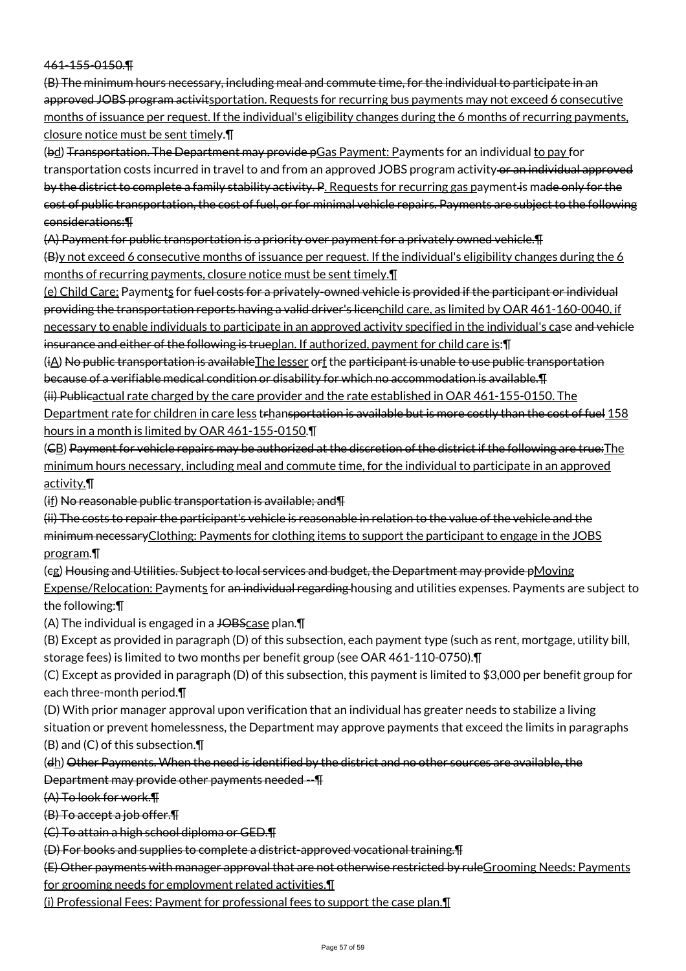#### 461-155-0150.¶

(B) The minimum hours necessary, including meal and commute time, for the individual to participate in an approved JOBS program activits portation. Requests for recurring bus payments may not exceed 6 consecutive months of issuance per request. If the individual's eligibility changes during the 6 months of recurring payments, closure notice must be sent timely.¶

(bd) Transportation. The Department may provide pGas Payment: Payments for an individual to pay for transportation costs incurred in travel to and from an approved JOBS program activity or an individual approved by the district to complete a family stability activity. P. Requests for recurring gas payment is made only for the cost of public transportation, the cost of fuel, or for minimal vehicle repairs. Payments are subject to the following considerations:¶

(A) Payment for public transportation is a priority over payment for a privately owned vehicle.¶ (B)y not exceed 6 consecutive months of issuance per request. If the individual's eligibility changes during the 6 months of recurring payments, closure notice must be sent timely.¶

(e) Child Care: Payments for fuel costs for a privately-owned vehicle is provided if the participant or individual providing the transportation reports having a valid driver's licenchild care, as limited by OAR 461-160-0040, if necessary to enable individuals to participate in an approved activity specified in the individual's case and vehicle insurance and either of the following is trueplan. If authorized, payment for child care is:¶

(iA) No public transportation is availableThe lesser orf the participant is unable to use public transportation because of a verifiable medical condition or disability for which no accommodation is available.¶

(ii) Publicactual rate charged by the care provider and the rate established in OAR 461-155-0150. The Department rate for children in care less trhansportation is available but is more costly than the cost of fuel 158

hours in a month is limited by OAR 461-155-0150.¶

(CB) Payment for vehicle repairs may be authorized at the discretion of the district if the following are true:The minimum hours necessary, including meal and commute time, for the individual to participate in an approved activity.¶

(if) No reasonable public transportation is available; and¶

(ii) The costs to repair the participant's vehicle is reasonable in relation to the value of the vehicle and the minimum necessaryClothing: Payments for clothing items to support the participant to engage in the JOBS program.¶

(cg) Housing and Utilities. Subject to local services and budget, the Department may provide pMoving Expense/Relocation: Payments for an individual regarding housing and utilities expenses. Payments are subject to the following:¶

(A) The individual is engaged in a JOBScase plan.

(B) Except as provided in paragraph (D) of this subsection, each payment type (such as rent, mortgage, utility bill, storage fees) is limited to two months per benefit group (see OAR 461-110-0750).¶

(C) Except as provided in paragraph (D) of this subsection, this payment is limited to \$3,000 per benefit group for each three-month period.¶

(D) With prior manager approval upon verification that an individual has greater needs to stabilize a living situation or prevent homelessness, the Department may approve payments that exceed the limits in paragraphs (B) and (C) of this subsection.¶

(dh) Other Payments. When the need is identified by the district and no other sources are available, the Department may provide other payments needed --¶

(A) To look for work.¶

(B) To accept a job offer.¶

(C) To attain a high school diploma or GED.¶

(D) For books and supplies to complete a district-approved vocational training.¶

(E) Other payments with manager approval that are not otherwise restricted by ruleGrooming Needs: Payments for grooming needs for employment related activities.¶

(i) Professional Fees: Payment for professional fees to support the case plan.¶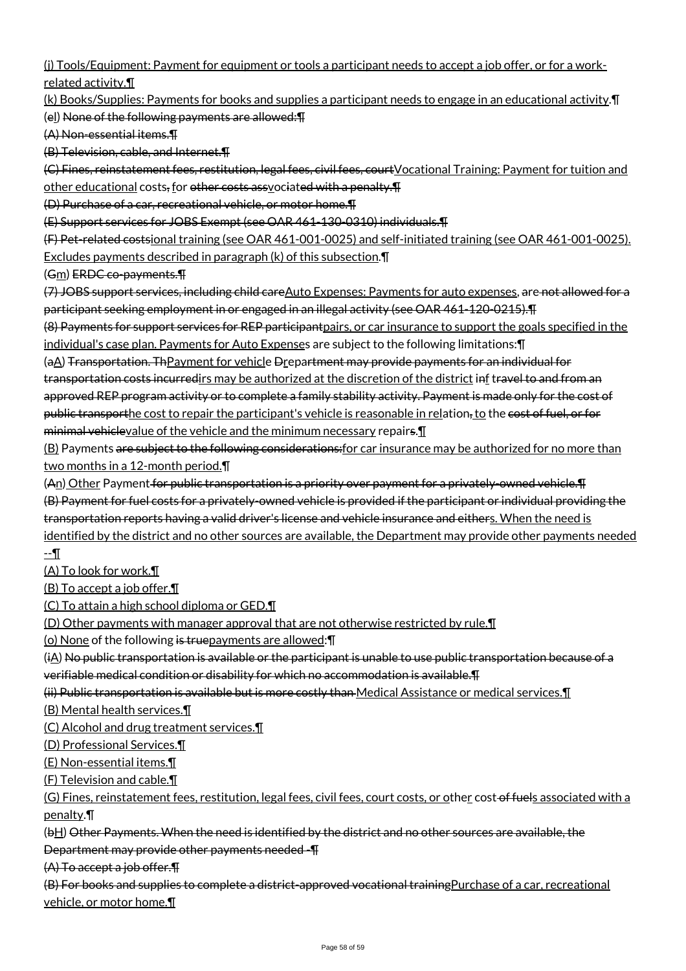(j) Tools/Equipment: Payment for equipment or tools a participant needs to accept a job offer, or for a workrelated activity.¶

(k) Books/Supplies: Payments for books and supplies a participant needs to engage in an educational activity.¶ (el) None of the following payments are allowed:¶

(A) Non-essential items.¶

(B) Television, cable, and Internet.¶

(C) Fines, reinstatement fees, restitution, legal fees, civil fees, courtVocational Training: Payment for tuition and other educational costs, for other costs assyociated with a penalty. The

(D) Purchase of a car, recreational vehicle, or motor home.¶

(E) Support services for JOBS Exempt (see OAR 461-130-0310) individuals.¶

(F) Pet-related costsional training (see OAR 461-001-0025) and self-initiated training (see OAR 461-001-0025). Excludes payments described in paragraph (k) of this subsection.¶

(Gm) ERDC co-payments.¶

(7) JOBS support services, including child careAuto Expenses: Payments for auto expenses, are not allowed for a participant seeking employment in or engaged in an illegal activity (see OAR 461-120-0215).¶

(8) Payments for support services for REP participantpairs, or car insurance to support the goals specified in the individual's case plan. Payments for Auto Expenses are subject to the following limitations:¶

(aA) Transportation. ThPayment for vehicle Drepartment may provide payments for an individual for transportation costs incurredirs may be authorized at the discretion of the district inf travel to and from an approved REP program activity or to complete a family stability activity. Payment is made only for the cost of public transporthe cost to repair the participant's vehicle is reasonable in relation, to the cost of fuel, or for minimal vehiclevalue of the vehicle and the minimum necessary repairs.

(B) Payments are subject to the following considerations: for car insurance may be authorized for no more than two months in a 12-month period.¶

 $(A<sub>n</sub>)$  Other Payment for public transportation is a priority over payment for a privately-owned vehicle.  $\Pi$ 

(B) Payment for fuel costs for a privately-owned vehicle is provided if the participant or individual providing the transportation reports having a valid driver's license and vehicle insurance and eithers. When the need is

identified by the district and no other sources are available, the Department may provide other payments needed --¶

(A) To look for work.¶

(B) To accept a job offer.¶

(C) To attain a high school diploma or GED.¶

(D) Other payments with manager approval that are not otherwise restricted by rule.¶

(o) None of the following is truepayments are allowed:¶

 $(i)$  No public transportation is available or the participant is unable to use public transportation because of a verifiable medical condition or disability for which no accommodation is available.¶

(ii) Public transportation is available but is more costly than Medical Assistance or medical services.¶

(B) Mental health services.¶

(C) Alcohol and drug treatment services.¶

(D) Professional Services.¶

(E) Non-essential items.¶

(F) Television and cable.¶

(G) Fines, reinstatement fees, restitution, legal fees, civil fees, court costs, or other cost-of fuels associated with a penalty.¶

(bH) Other Payments. When the need is identified by the district and no other sources are available, the

Department may provide other payments needed -¶

(A) To accept a job offer.¶

(B) For books and supplies to complete a district-approved vocational trainingPurchase of a car, recreational vehicle, or motor home.¶